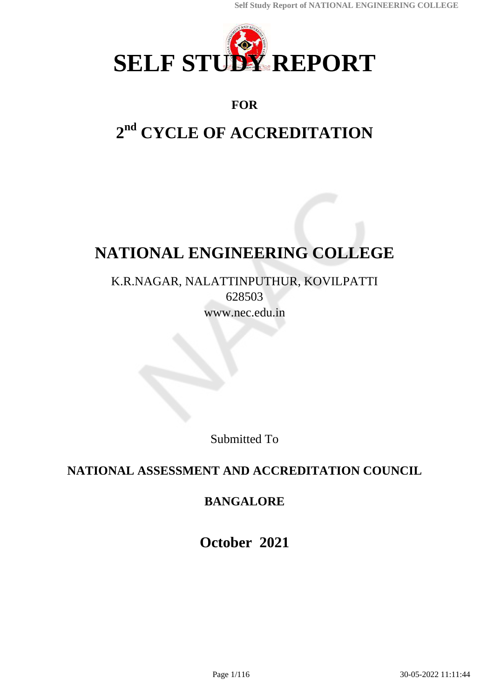

## **FOR**

# **2 nd CYCLE OF ACCREDITATION**

# **NATIONAL ENGINEERING COLLEGE**

K.R.NAGAR, NALATTINPUTHUR, KOVILPATTI 628503 www.nec.edu.in

Submitted To

## **NATIONAL ASSESSMENT AND ACCREDITATION COUNCIL**

## **BANGALORE**

**October 2021**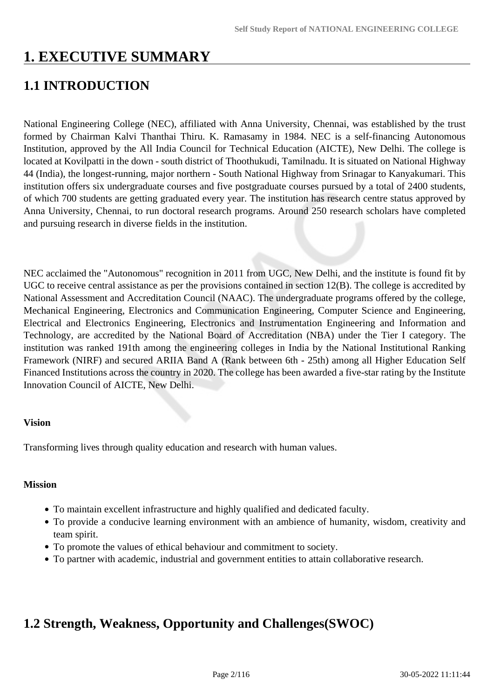# **1. EXECUTIVE SUMMARY**

# **1.1 INTRODUCTION**

National Engineering College (NEC), affiliated with Anna University, Chennai, was established by the trust formed by Chairman Kalvi Thanthai Thiru. K. Ramasamy in 1984. NEC is a self-financing Autonomous Institution, approved by the All India Council for Technical Education (AICTE), New Delhi. The college is located at Kovilpatti in the down - south district of Thoothukudi, Tamilnadu. It is situated on National Highway 44 (India), the longest-running, major northern - South National Highway from Srinagar to Kanyakumari. This institution offers six undergraduate courses and five postgraduate courses pursued by a total of 2400 students, of which 700 students are getting graduated every year. The institution has research centre status approved by Anna University, Chennai, to run doctoral research programs. Around 250 research scholars have completed and pursuing research in diverse fields in the institution.

NEC acclaimed the "Autonomous" recognition in 2011 from UGC, New Delhi, and the institute is found fit by UGC to receive central assistance as per the provisions contained in section 12(B). The college is accredited by National Assessment and Accreditation Council (NAAC). The undergraduate programs offered by the college, Mechanical Engineering, Electronics and Communication Engineering, Computer Science and Engineering, Electrical and Electronics Engineering, Electronics and Instrumentation Engineering and Information and Technology, are accredited by the National Board of Accreditation (NBA) under the Tier I category. The institution was ranked 191th among the engineering colleges in India by the National Institutional Ranking Framework (NIRF) and secured ARIIA Band A (Rank between 6th - 25th) among all Higher Education Self Financed Institutions across the country in 2020. The college has been awarded a five-star rating by the Institute Innovation Council of AICTE, New Delhi.

#### **Vision**

Transforming lives through quality education and research with human values.

#### **Mission**

- To maintain excellent infrastructure and highly qualified and dedicated faculty.
- To provide a conducive learning environment with an ambience of humanity, wisdom, creativity and team spirit.
- To promote the values of ethical behaviour and commitment to society.
- To partner with academic, industrial and government entities to attain collaborative research.

## **1.2 Strength, Weakness, Opportunity and Challenges(SWOC)**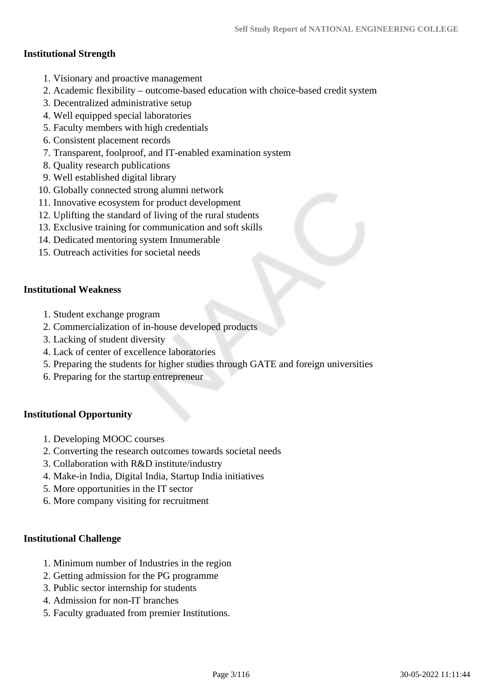#### **Institutional Strength**

- 1. Visionary and proactive management
- 2. Academic flexibility outcome-based education with choice-based credit system
- 3. Decentralized administrative setup
- 4. Well equipped special laboratories
- 5. Faculty members with high credentials
- 6. Consistent placement records
- 7. Transparent, foolproof, and IT-enabled examination system
- 8. Quality research publications
- 9. Well established digital library
- 10. Globally connected strong alumni network
- 11. Innovative ecosystem for product development
- 12. Uplifting the standard of living of the rural students
- 13. Exclusive training for communication and soft skills
- 14. Dedicated mentoring system Innumerable
- 15. Outreach activities for societal needs

#### **Institutional Weakness**

- 1. Student exchange program
- 2. Commercialization of in-house developed products
- 3. Lacking of student diversity
- 4. Lack of center of excellence laboratories
- 5. Preparing the students for higher studies through GATE and foreign universities
- 6. Preparing for the startup entrepreneur

#### **Institutional Opportunity**

- 1. Developing MOOC courses
- 2. Converting the research outcomes towards societal needs
- 3. Collaboration with R&D institute/industry
- 4. Make-in India, Digital India, Startup India initiatives
- 5. More opportunities in the IT sector
- 6. More company visiting for recruitment

#### **Institutional Challenge**

- 1. Minimum number of Industries in the region
- 2. Getting admission for the PG programme
- 3. Public sector internship for students
- 4. Admission for non-IT branches
- 5. Faculty graduated from premier Institutions.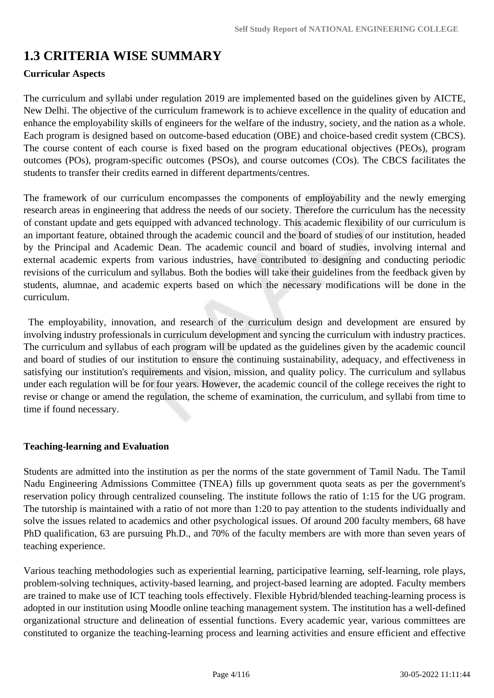# **1.3 CRITERIA WISE SUMMARY**

## **Curricular Aspects**

The curriculum and syllabi under regulation 2019 are implemented based on the guidelines given by AICTE, New Delhi. The objective of the curriculum framework is to achieve excellence in the quality of education and enhance the employability skills of engineers for the welfare of the industry, society, and the nation as a whole. Each program is designed based on outcome-based education (OBE) and choice-based credit system (CBCS). The course content of each course is fixed based on the program educational objectives (PEOs), program outcomes (POs), program-specific outcomes (PSOs), and course outcomes (COs). The CBCS facilitates the students to transfer their credits earned in different departments/centres.

The framework of our curriculum encompasses the components of employability and the newly emerging research areas in engineering that address the needs of our society. Therefore the curriculum has the necessity of constant update and gets equipped with advanced technology. This academic flexibility of our curriculum is an important feature, obtained through the academic council and the board of studies of our institution, headed by the Principal and Academic Dean. The academic council and board of studies, involving internal and external academic experts from various industries, have contributed to designing and conducting periodic revisions of the curriculum and syllabus. Both the bodies will take their guidelines from the feedback given by students, alumnae, and academic experts based on which the necessary modifications will be done in the curriculum.

 The employability, innovation, and research of the curriculum design and development are ensured by involving industry professionals in curriculum development and syncing the curriculum with industry practices. The curriculum and syllabus of each program will be updated as the guidelines given by the academic council and board of studies of our institution to ensure the continuing sustainability, adequacy, and effectiveness in satisfying our institution's requirements and vision, mission, and quality policy. The curriculum and syllabus under each regulation will be for four years. However, the academic council of the college receives the right to revise or change or amend the regulation, the scheme of examination, the curriculum, and syllabi from time to time if found necessary.

#### **Teaching-learning and Evaluation**

Students are admitted into the institution as per the norms of the state government of Tamil Nadu. The Tamil Nadu Engineering Admissions Committee (TNEA) fills up government quota seats as per the government's reservation policy through centralized counseling. The institute follows the ratio of 1:15 for the UG program. The tutorship is maintained with a ratio of not more than 1:20 to pay attention to the students individually and solve the issues related to academics and other psychological issues. Of around 200 faculty members, 68 have PhD qualification, 63 are pursuing Ph.D., and 70% of the faculty members are with more than seven years of teaching experience.

Various teaching methodologies such as experiential learning, participative learning, self-learning, role plays, problem-solving techniques, activity-based learning, and project-based learning are adopted. Faculty members are trained to make use of ICT teaching tools effectively. Flexible Hybrid/blended teaching-learning process is adopted in our institution using Moodle online teaching management system. The institution has a well-defined organizational structure and delineation of essential functions. Every academic year, various committees are constituted to organize the teaching-learning process and learning activities and ensure efficient and effective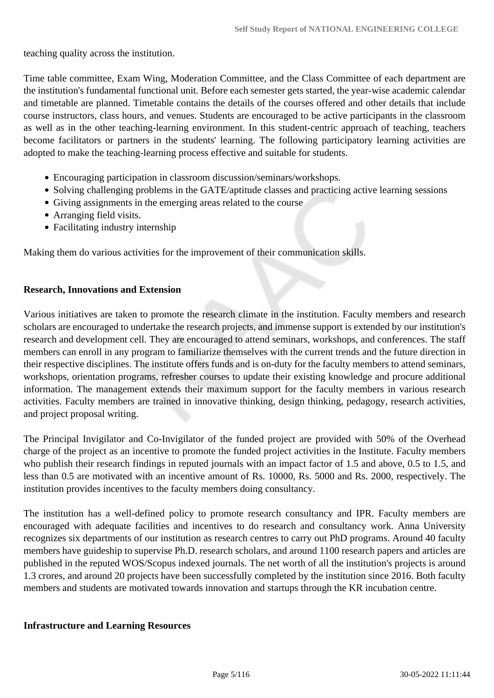teaching quality across the institution.

Time table committee, Exam Wing, Moderation Committee, and the Class Committee of each department are the institution's fundamental functional unit. Before each semester gets started, the year-wise academic calendar and timetable are planned. Timetable contains the details of the courses offered and other details that include course instructors, class hours, and venues. Students are encouraged to be active participants in the classroom as well as in the other teaching-learning environment. In this student-centric approach of teaching, teachers become facilitators or partners in the students' learning. The following participatory learning activities are adopted to make the teaching-learning process effective and suitable for students.

- Encouraging participation in classroom discussion/seminars/workshops.
- Solving challenging problems in the GATE/aptitude classes and practicing active learning sessions
- Giving assignments in the emerging areas related to the course
- Arranging field visits.
- Facilitating industry internship

Making them do various activities for the improvement of their communication skills.

#### **Research, Innovations and Extension**

Various initiatives are taken to promote the research climate in the institution. Faculty members and research scholars are encouraged to undertake the research projects, and immense support is extended by our institution's research and development cell. They are encouraged to attend seminars, workshops, and conferences. The staff members can enroll in any program to familiarize themselves with the current trends and the future direction in their respective disciplines. The institute offers funds and is on-duty for the faculty members to attend seminars, workshops, orientation programs, refresher courses to update their existing knowledge and procure additional information. The management extends their maximum support for the faculty members in various research activities. Faculty members are trained in innovative thinking, design thinking, pedagogy, research activities, and project proposal writing.

The Principal Invigilator and Co-Invigilator of the funded project are provided with 50% of the Overhead charge of the project as an incentive to promote the funded project activities in the Institute. Faculty members who publish their research findings in reputed journals with an impact factor of 1.5 and above, 0.5 to 1.5, and less than 0.5 are motivated with an incentive amount of Rs. 10000, Rs. 5000 and Rs. 2000, respectively. The institution provides incentives to the faculty members doing consultancy.

The institution has a well-defined policy to promote research consultancy and IPR. Faculty members are encouraged with adequate facilities and incentives to do research and consultancy work. Anna University recognizes six departments of our institution as research centres to carry out PhD programs. Around 40 faculty members have guideship to supervise Ph.D. research scholars, and around 1100 research papers and articles are published in the reputed WOS/Scopus indexed journals. The net worth of all the institution's projects is around 1.3 crores, and around 20 projects have been successfully completed by the institution since 2016. Both faculty members and students are motivated towards innovation and startups through the KR incubation centre.

#### **Infrastructure and Learning Resources**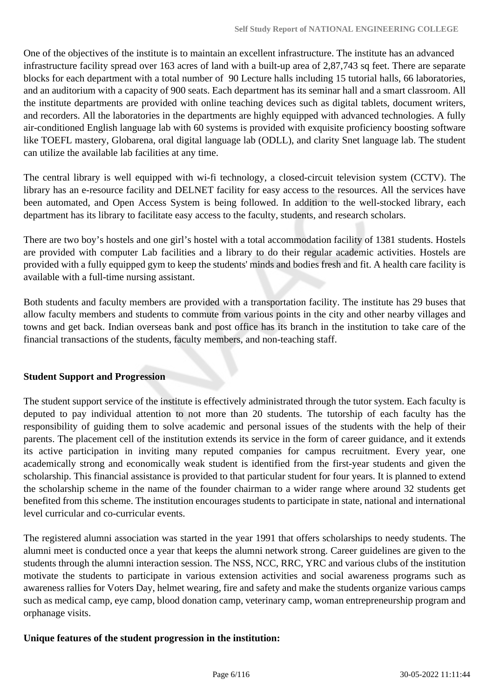One of the objectives of the institute is to maintain an excellent infrastructure. The institute has an advanced infrastructure facility spread over 163 acres of land with a built-up area of 2,87,743 sq feet. There are separate blocks for each department with a total number of 90 Lecture halls including 15 tutorial halls, 66 laboratories, and an auditorium with a capacity of 900 seats. Each department has its seminar hall and a smart classroom. All the institute departments are provided with online teaching devices such as digital tablets, document writers, and recorders. All the laboratories in the departments are highly equipped with advanced technologies. A fully air-conditioned English language lab with 60 systems is provided with exquisite proficiency boosting software like TOEFL mastery, Globarena, oral digital language lab (ODLL), and clarity Snet language lab. The student can utilize the available lab facilities at any time.

The central library is well equipped with wi-fi technology, a closed-circuit television system (CCTV). The library has an e-resource facility and DELNET facility for easy access to the resources. All the services have been automated, and Open Access System is being followed. In addition to the well-stocked library, each department has its library to facilitate easy access to the faculty, students, and research scholars.

There are two boy's hostels and one girl's hostel with a total accommodation facility of 1381 students. Hostels are provided with computer Lab facilities and a library to do their regular academic activities. Hostels are provided with a fully equipped gym to keep the students' minds and bodies fresh and fit. A health care facility is available with a full-time nursing assistant.

Both students and faculty members are provided with a transportation facility. The institute has 29 buses that allow faculty members and students to commute from various points in the city and other nearby villages and towns and get back. Indian overseas bank and post office has its branch in the institution to take care of the financial transactions of the students, faculty members, and non-teaching staff.

#### **Student Support and Progression**

The student support service of the institute is effectively administrated through the tutor system. Each faculty is deputed to pay individual attention to not more than 20 students. The tutorship of each faculty has the responsibility of guiding them to solve academic and personal issues of the students with the help of their parents. The placement cell of the institution extends its service in the form of career guidance, and it extends its active participation in inviting many reputed companies for campus recruitment. Every year, one academically strong and economically weak student is identified from the first-year students and given the scholarship. This financial assistance is provided to that particular student for four years. It is planned to extend the scholarship scheme in the name of the founder chairman to a wider range where around 32 students get benefited from this scheme. The institution encourages students to participate in state, national and international level curricular and co-curricular events.

The registered alumni association was started in the year 1991 that offers scholarships to needy students. The alumni meet is conducted once a year that keeps the alumni network strong. Career guidelines are given to the students through the alumni interaction session. The NSS, NCC, RRC, YRC and various clubs of the institution motivate the students to participate in various extension activities and social awareness programs such as awareness rallies for Voters Day, helmet wearing, fire and safety and make the students organize various camps such as medical camp, eye camp, blood donation camp, veterinary camp, woman entrepreneurship program and orphanage visits.

#### **Unique features of the student progression in the institution:**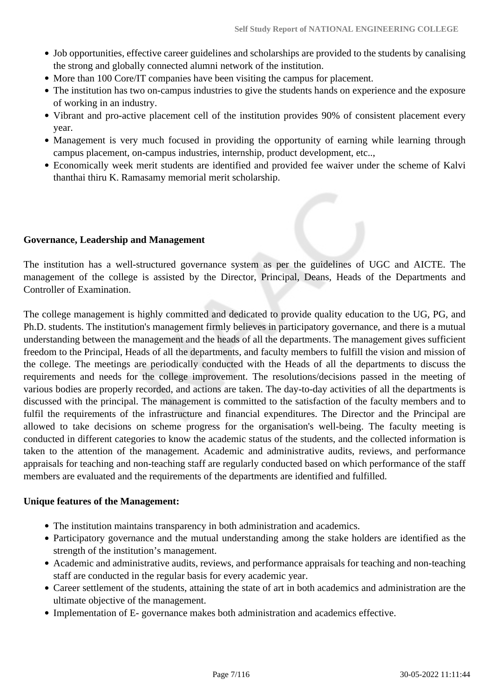- Job opportunities, effective career guidelines and scholarships are provided to the students by canalising the strong and globally connected alumni network of the institution.
- More than 100 Core/IT companies have been visiting the campus for placement.
- The institution has two on-campus industries to give the students hands on experience and the exposure of working in an industry.
- Vibrant and pro-active placement cell of the institution provides 90% of consistent placement every year.
- Management is very much focused in providing the opportunity of earning while learning through campus placement, on-campus industries, internship, product development, etc..,
- Economically week merit students are identified and provided fee waiver under the scheme of Kalvi thanthai thiru K. Ramasamy memorial merit scholarship.

#### **Governance, Leadership and Management**

The institution has a well-structured governance system as per the guidelines of UGC and AICTE. The management of the college is assisted by the Director, Principal, Deans, Heads of the Departments and Controller of Examination.

The college management is highly committed and dedicated to provide quality education to the UG, PG, and Ph.D. students. The institution's management firmly believes in participatory governance, and there is a mutual understanding between the management and the heads of all the departments. The management gives sufficient freedom to the Principal, Heads of all the departments, and faculty members to fulfill the vision and mission of the college. The meetings are periodically conducted with the Heads of all the departments to discuss the requirements and needs for the college improvement. The resolutions/decisions passed in the meeting of various bodies are properly recorded, and actions are taken. The day-to-day activities of all the departments is discussed with the principal. The management is committed to the satisfaction of the faculty members and to fulfil the requirements of the infrastructure and financial expenditures. The Director and the Principal are allowed to take decisions on scheme progress for the organisation's well-being. The faculty meeting is conducted in different categories to know the academic status of the students, and the collected information is taken to the attention of the management. Academic and administrative audits, reviews, and performance appraisals for teaching and non-teaching staff are regularly conducted based on which performance of the staff members are evaluated and the requirements of the departments are identified and fulfilled.

#### **Unique features of the Management:**

- The institution maintains transparency in both administration and academics.
- Participatory governance and the mutual understanding among the stake holders are identified as the strength of the institution's management.
- Academic and administrative audits, reviews, and performance appraisals for teaching and non-teaching staff are conducted in the regular basis for every academic year.
- Career settlement of the students, attaining the state of art in both academics and administration are the ultimate objective of the management.
- Implementation of E- governance makes both administration and academics effective.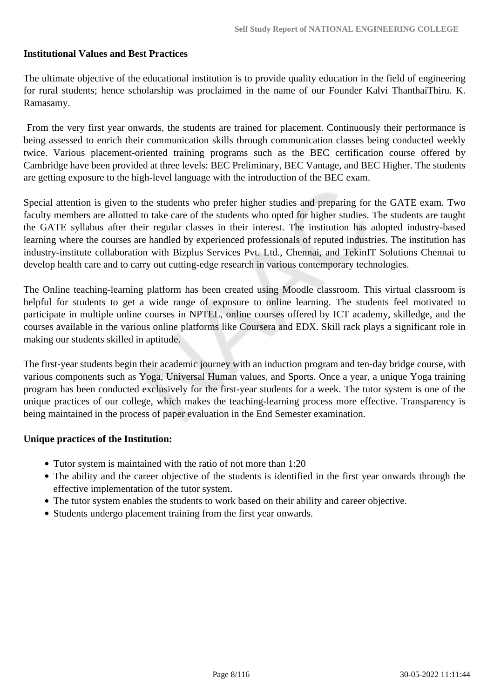#### **Institutional Values and Best Practices**

The ultimate objective of the educational institution is to provide quality education in the field of engineering for rural students; hence scholarship was proclaimed in the name of our Founder Kalvi ThanthaiThiru. K. Ramasamy.

 From the very first year onwards, the students are trained for placement. Continuously their performance is being assessed to enrich their communication skills through communication classes being conducted weekly twice. Various placement-oriented training programs such as the BEC certification course offered by Cambridge have been provided at three levels: BEC Preliminary, BEC Vantage, and BEC Higher. The students are getting exposure to the high-level language with the introduction of the BEC exam.

Special attention is given to the students who prefer higher studies and preparing for the GATE exam. Two faculty members are allotted to take care of the students who opted for higher studies. The students are taught the GATE syllabus after their regular classes in their interest. The institution has adopted industry-based learning where the courses are handled by experienced professionals of reputed industries. The institution has industry-institute collaboration with Bizplus Services Pvt. Ltd., Chennai, and TekinIT Solutions Chennai to develop health care and to carry out cutting-edge research in various contemporary technologies.

The Online teaching-learning platform has been created using Moodle classroom. This virtual classroom is helpful for students to get a wide range of exposure to online learning. The students feel motivated to participate in multiple online courses in NPTEL, online courses offered by ICT academy, skilledge, and the courses available in the various online platforms like Coursera and EDX. Skill rack plays a significant role in making our students skilled in aptitude.

The first-year students begin their academic journey with an induction program and ten-day bridge course, with various components such as Yoga, Universal Human values, and Sports. Once a year, a unique Yoga training program has been conducted exclusively for the first-year students for a week. The tutor system is one of the unique practices of our college, which makes the teaching-learning process more effective. Transparency is being maintained in the process of paper evaluation in the End Semester examination.

#### **Unique practices of the Institution:**

- Tutor system is maintained with the ratio of not more than 1:20
- The ability and the career objective of the students is identified in the first year onwards through the effective implementation of the tutor system.
- The tutor system enables the students to work based on their ability and career objective.
- Students undergo placement training from the first year onwards.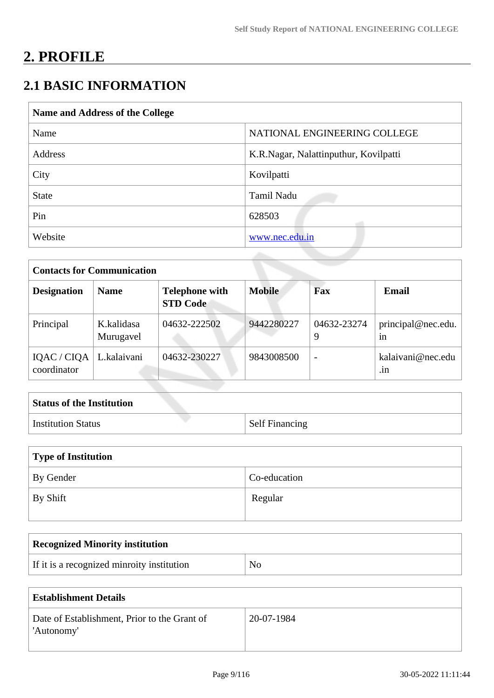# **2. PROFILE**

# **2.1 BASIC INFORMATION**

| Name and Address of the College |                                       |
|---------------------------------|---------------------------------------|
| Name                            | NATIONAL ENGINEERING COLLEGE          |
| Address                         | K.R.Nagar, Nalattinputhur, Kovilpatti |
| City                            | Kovilpatti                            |
| <b>State</b>                    | Tamil Nadu                            |
| Pin                             | 628503                                |
| Website                         | www.nec.edu.in                        |

| <b>Contacts for Communication</b>        |                         |                                          |               |                  |                          |
|------------------------------------------|-------------------------|------------------------------------------|---------------|------------------|--------------------------|
| <b>Designation</b>                       | <b>Name</b>             | <b>Telephone with</b><br><b>STD Code</b> | <b>Mobile</b> | Fax              | <b>Email</b>             |
| Principal                                | K.kalidasa<br>Murugavel | 04632-222502                             | 9442280227    | 04632-23274<br>9 | principal@nec.edu.<br>1n |
| IQAC / CIQA   L.kalaivani<br>coordinator |                         | 04632-230227                             | 9843008500    |                  | kalaivani@nec.edu<br>.1n |

| <b>Status of the Institution</b> |                       |
|----------------------------------|-----------------------|
| <b>Institution Status</b>        | <b>Self Financing</b> |

| Type of Institution |              |  |  |
|---------------------|--------------|--|--|
| By Gender           | Co-education |  |  |
| By Shift            | Regular      |  |  |

| <b>Recognized Minority institution</b>     |                |
|--------------------------------------------|----------------|
| If it is a recognized minroity institution | N <sub>0</sub> |

| <b>Establishment Details</b>                               |            |  |
|------------------------------------------------------------|------------|--|
| Date of Establishment, Prior to the Grant of<br>'Autonomy' | 20-07-1984 |  |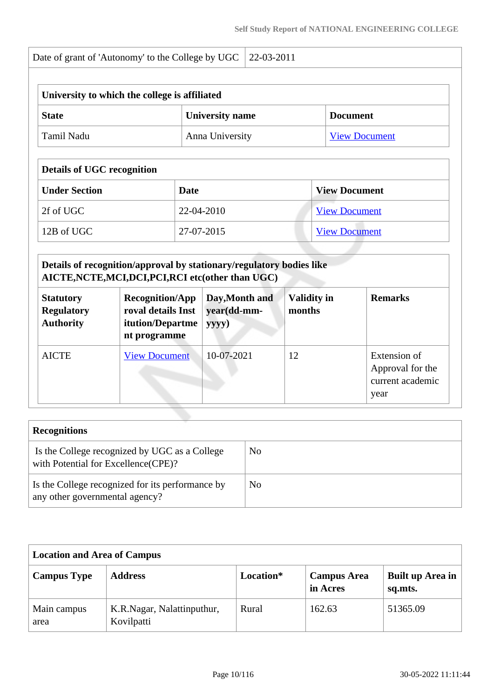| University to which the college is affiliated |                        |                      |
|-----------------------------------------------|------------------------|----------------------|
| <b>State</b>                                  | <b>University name</b> | <b>Document</b>      |
| Tamil Nadu                                    | Anna University        | <b>View Document</b> |

## **Details of UGC recognition**

| <b>Under Section</b>      | Date       | <b>View Document</b> |
|---------------------------|------------|----------------------|
| $\vert$ 2f of UGC $\vert$ | 22-04-2010 | <b>View Document</b> |
| 12B of UGC                | 27-07-2015 | <b>View Document</b> |

### **Details of recognition/approval by stationary/regulatory bodies like AICTE,NCTE,MCI,DCI,PCI,RCI etc(other than UGC)**

| <b>Statutory</b><br><b>Regulatory</b><br><b>Authority</b> | <b>Recognition/App</b><br>roval details Inst<br>itution/Departme<br>nt programme | Day, Month and<br>year(dd-mm-<br>yyyy) | <b>Validity in</b><br>months | <b>Remarks</b>                                               |
|-----------------------------------------------------------|----------------------------------------------------------------------------------|----------------------------------------|------------------------------|--------------------------------------------------------------|
| <b>AICTE</b>                                              | <b>View Document</b>                                                             | 10-07-2021                             | 12                           | Extension of<br>Approval for the<br>current academic<br>year |

| <b>Recognitions</b>                                                                  |     |
|--------------------------------------------------------------------------------------|-----|
| Is the College recognized by UGC as a College<br>with Potential for Excellence(CPE)? | No  |
| Is the College recognized for its performance by<br>any other governmental agency?   | No. |

| <b>Location and Area of Campus</b> |                                          |           |                                |                             |  |
|------------------------------------|------------------------------------------|-----------|--------------------------------|-----------------------------|--|
| <b>Campus Type</b>                 | <b>Address</b>                           | Location* | <b>Campus Area</b><br>in Acres | Built up Area in<br>sq.mts. |  |
| Main campus<br>area                | K.R.Nagar, Nalattinputhur,<br>Kovilpatti | Rural     | 162.63                         | 51365.09                    |  |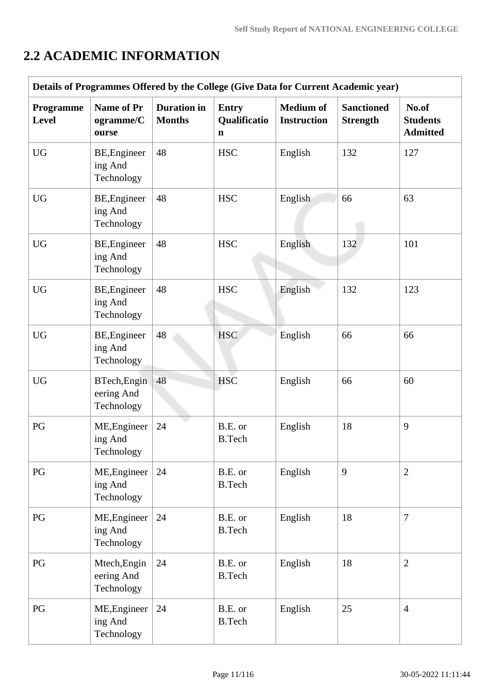# **2.2 ACADEMIC INFORMATION**

| Details of Programmes Offered by the College (Give Data for Current Academic year) |                                          |                                     |                                             |                                        |                                      |                                             |
|------------------------------------------------------------------------------------|------------------------------------------|-------------------------------------|---------------------------------------------|----------------------------------------|--------------------------------------|---------------------------------------------|
| Programme<br><b>Level</b>                                                          | <b>Name of Pr</b><br>ogramme/C<br>ourse  | <b>Duration</b> in<br><b>Months</b> | <b>Entry</b><br>Qualificatio<br>$\mathbf n$ | <b>Medium</b> of<br><b>Instruction</b> | <b>Sanctioned</b><br><b>Strength</b> | No.of<br><b>Students</b><br><b>Admitted</b> |
| <b>UG</b>                                                                          | BE, Engineer<br>ing And<br>Technology    | 48                                  | <b>HSC</b>                                  | English                                | 132                                  | 127                                         |
| <b>UG</b>                                                                          | BE, Engineer<br>ing And<br>Technology    | 48                                  | <b>HSC</b>                                  | English                                | 66                                   | 63                                          |
| <b>UG</b>                                                                          | BE, Engineer<br>ing And<br>Technology    | 48                                  | <b>HSC</b>                                  | English                                | 132                                  | 101                                         |
| <b>UG</b>                                                                          | BE, Engineer<br>ing And<br>Technology    | 48                                  | <b>HSC</b>                                  | English                                | 132                                  | 123                                         |
| <b>UG</b>                                                                          | BE, Engineer<br>ing And<br>Technology    | 48                                  | <b>HSC</b>                                  | English                                | 66                                   | 66                                          |
| <b>UG</b>                                                                          | BTech, Engin<br>eering And<br>Technology | 48                                  | <b>HSC</b>                                  | English                                | 66                                   | 60                                          |
| PG                                                                                 | ME, Engineer<br>ing And<br>Technology    | 24                                  | B.E. or<br><b>B.Tech</b>                    | English                                | 18                                   | 9                                           |
| PG                                                                                 | ME, Engineer<br>ing And<br>Technology    | 24                                  | B.E. or<br><b>B.Tech</b>                    | English                                | 9                                    | $\overline{2}$                              |
| PG                                                                                 | ME, Engineer<br>ing And<br>Technology    | 24                                  | B.E. or<br><b>B.Tech</b>                    | English                                | 18                                   | $\tau$                                      |
| PG                                                                                 | Mtech, Engin<br>eering And<br>Technology | 24                                  | B.E. or<br><b>B.Tech</b>                    | English                                | 18                                   | $\overline{2}$                              |
| PG                                                                                 | ME, Engineer<br>ing And<br>Technology    | 24                                  | B.E. or<br><b>B.Tech</b>                    | English                                | 25                                   | $\overline{4}$                              |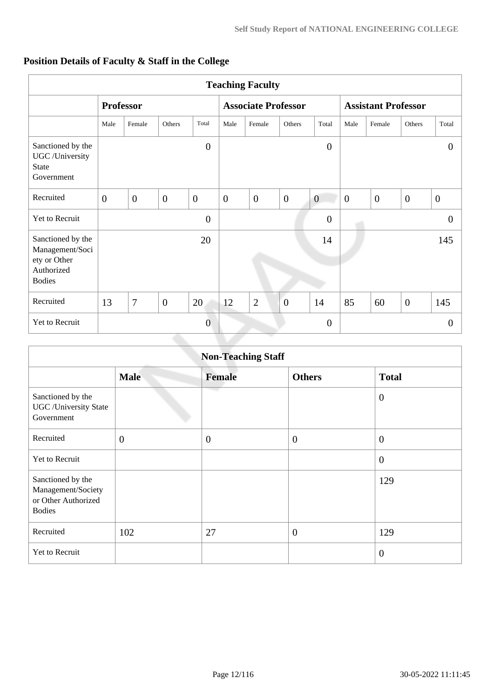|                                                                                     | <b>Teaching Faculty</b> |                  |                  |                |                |                            |                |                  |                            |                |                |                |
|-------------------------------------------------------------------------------------|-------------------------|------------------|------------------|----------------|----------------|----------------------------|----------------|------------------|----------------------------|----------------|----------------|----------------|
|                                                                                     |                         | <b>Professor</b> |                  |                |                | <b>Associate Professor</b> |                |                  | <b>Assistant Professor</b> |                |                |                |
|                                                                                     | Male                    | Female           | Others           | Total          | Male           | Female                     | Others         | Total            | Male                       | Female         | Others         | Total          |
| Sanctioned by the<br>UGC /University<br><b>State</b><br>Government                  |                         |                  |                  | $\overline{0}$ |                |                            |                | $\boldsymbol{0}$ |                            |                |                | $\theta$       |
| Recruited                                                                           | $\overline{0}$          | $\overline{0}$   | $\boldsymbol{0}$ | $\overline{0}$ | $\overline{0}$ | $\overline{0}$             | $\overline{0}$ | $\overline{0}$   | $\overline{0}$             | $\overline{0}$ | $\overline{0}$ | $\overline{0}$ |
| Yet to Recruit                                                                      |                         |                  |                  | $\overline{0}$ |                |                            |                | $\overline{0}$   |                            |                |                | $\overline{0}$ |
| Sanctioned by the<br>Management/Soci<br>ety or Other<br>Authorized<br><b>Bodies</b> |                         |                  |                  | 20             |                |                            |                | 14               |                            |                |                | 145            |
| Recruited                                                                           | 13                      | 7                | $\overline{0}$   | 20             | 12             | $\overline{2}$             | $\overline{0}$ | 14               | 85                         | 60             | $\overline{0}$ | 145            |
| Yet to Recruit                                                                      |                         |                  |                  | $\overline{0}$ |                |                            |                | $\boldsymbol{0}$ |                            |                |                | $\overline{0}$ |

## **Position Details of Faculty & Staff in the College**

|                                                                                 |                | <b>Non-Teaching Staff</b> |                |                  |
|---------------------------------------------------------------------------------|----------------|---------------------------|----------------|------------------|
|                                                                                 | <b>Male</b>    | <b>Female</b>             | <b>Others</b>  | <b>Total</b>     |
| Sanctioned by the<br><b>UGC</b> / University State<br>Government                |                | mar i                     |                | $\boldsymbol{0}$ |
| Recruited                                                                       | $\overline{0}$ | $\overline{0}$            | $\overline{0}$ | $\overline{0}$   |
| Yet to Recruit                                                                  |                |                           |                | $\theta$         |
| Sanctioned by the<br>Management/Society<br>or Other Authorized<br><b>Bodies</b> |                |                           |                | 129              |
| Recruited                                                                       | 102            | 27                        | $\overline{0}$ | 129              |
| Yet to Recruit                                                                  |                |                           |                | $\overline{0}$   |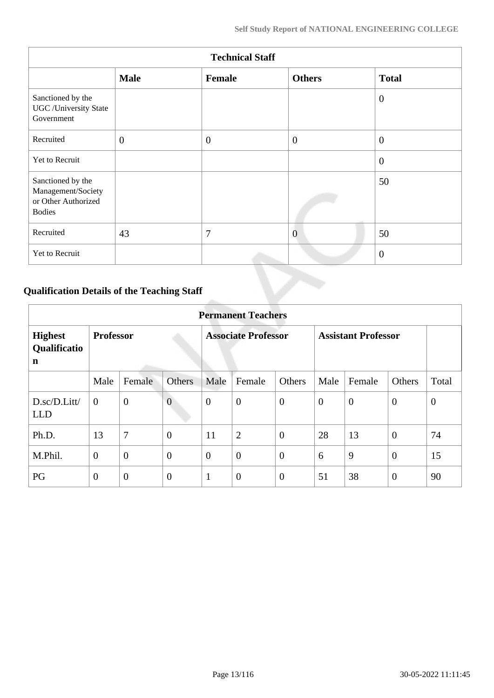|                                                                                 | <b>Technical Staff</b> |          |                |                  |  |  |  |  |  |  |
|---------------------------------------------------------------------------------|------------------------|----------|----------------|------------------|--|--|--|--|--|--|
|                                                                                 | <b>Male</b>            | Female   | <b>Others</b>  | <b>Total</b>     |  |  |  |  |  |  |
| Sanctioned by the<br><b>UGC</b> /University State<br>Government                 |                        |          |                | $\boldsymbol{0}$ |  |  |  |  |  |  |
| Recruited                                                                       | $\overline{0}$         | $\theta$ | $\overline{0}$ | $\boldsymbol{0}$ |  |  |  |  |  |  |
| Yet to Recruit                                                                  |                        |          |                | $\boldsymbol{0}$ |  |  |  |  |  |  |
| Sanctioned by the<br>Management/Society<br>or Other Authorized<br><b>Bodies</b> |                        |          |                | 50               |  |  |  |  |  |  |
| Recruited                                                                       | 43                     | 7        | $\overline{0}$ | 50               |  |  |  |  |  |  |
| Yet to Recruit                                                                  |                        |          |                | $\overline{0}$   |  |  |  |  |  |  |

## **Qualification Details of the Teaching Staff**

|                                     | <b>Permanent Teachers</b> |                |                |                  |                            |                  |                |                            |                |          |
|-------------------------------------|---------------------------|----------------|----------------|------------------|----------------------------|------------------|----------------|----------------------------|----------------|----------|
| <b>Highest</b><br>Qualificatio<br>n | <b>Professor</b>          |                |                |                  | <b>Associate Professor</b> |                  |                | <b>Assistant Professor</b> |                |          |
|                                     | Male                      | Female         | Others         | Male             | Female                     | Others           | Male           | Female                     | Others         | Total    |
| D.sc/D.Litt/<br><b>LLD</b>          | $\overline{0}$            | $\overline{0}$ | $\overline{0}$ | $\boldsymbol{0}$ | $\boldsymbol{0}$           | $\overline{0}$   | $\overline{0}$ | $\boldsymbol{0}$           | $\mathbf{0}$   | $\theta$ |
| Ph.D.                               | 13                        | 7              | $\overline{0}$ | 11               | $\overline{2}$             | $\overline{0}$   | 28             | 13                         | $\overline{0}$ | 74       |
| M.Phil.                             | $\mathbf{0}$              | $\overline{0}$ | $\overline{0}$ | $\overline{0}$   | $\overline{0}$             | $\overline{0}$   | 6              | 9                          | $\overline{0}$ | 15       |
| PG                                  | $\overline{0}$            | $\overline{0}$ | $\overline{0}$ | 1                | $\overline{0}$             | $\boldsymbol{0}$ | 51             | 38                         | $\overline{0}$ | 90       |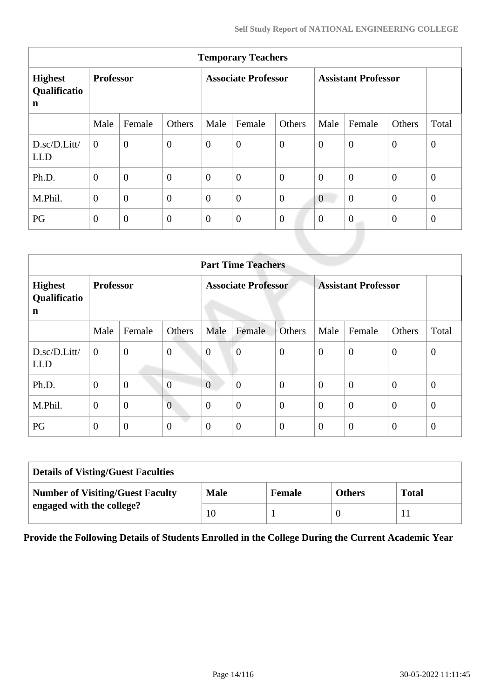| <b>Temporary Teachers</b>                     |                  |                |                |                            |                  |                  |                            |                  |                  |                  |
|-----------------------------------------------|------------------|----------------|----------------|----------------------------|------------------|------------------|----------------------------|------------------|------------------|------------------|
| <b>Highest</b><br>Qualificatio<br>$\mathbf n$ | <b>Professor</b> |                |                | <b>Associate Professor</b> |                  |                  | <b>Assistant Professor</b> |                  |                  |                  |
|                                               | Male             | Female         | Others         | Male                       | Female           | Others           | Male                       | Female           | Others           | Total            |
| D.sc/D.Litt/<br><b>LLD</b>                    | $\overline{0}$   | $\overline{0}$ | $\overline{0}$ | $\boldsymbol{0}$           | $\boldsymbol{0}$ | $\boldsymbol{0}$ | $\boldsymbol{0}$           | $\overline{0}$   | $\overline{0}$   | $\boldsymbol{0}$ |
| Ph.D.                                         | $\overline{0}$   | $\overline{0}$ | $\overline{0}$ | $\theta$                   | $\boldsymbol{0}$ | $\overline{0}$   | $\overline{0}$             | $\overline{0}$   | $\overline{0}$   | $\theta$         |
| M.Phil.                                       | $\overline{0}$   | $\overline{0}$ | $\overline{0}$ | $\overline{0}$             | $\overline{0}$   | $\overline{0}$   | $\mathbf{0}$               | $\overline{0}$   | $\overline{0}$   | $\theta$         |
| PG                                            | $\overline{0}$   | $\overline{0}$ | $\overline{0}$ | $\overline{0}$             | $\boldsymbol{0}$ | $\boldsymbol{0}$ | $\overline{0}$             | $\boldsymbol{0}$ | $\boldsymbol{0}$ | $\theta$         |
|                                               |                  |                |                |                            |                  |                  |                            |                  |                  |                  |

|                                     | <b>Part Time Teachers</b> |                |                |                |                            |                |                |                            |                  |                |  |
|-------------------------------------|---------------------------|----------------|----------------|----------------|----------------------------|----------------|----------------|----------------------------|------------------|----------------|--|
| <b>Highest</b><br>Qualificatio<br>n | <b>Professor</b>          |                |                |                | <b>Associate Professor</b> |                |                | <b>Assistant Professor</b> |                  |                |  |
|                                     | Male                      | Female         | Others         | Male           | Female                     | <b>Others</b>  | Male           | Female                     | Others           | Total          |  |
| D.sc/D.Litt/<br><b>LLD</b>          | $\overline{0}$            | $\mathbf{0}$   | $\overline{0}$ | $\overline{0}$ | $\overline{0}$             | $\overline{0}$ | $\overline{0}$ | $\boldsymbol{0}$           | $\overline{0}$   | $\theta$       |  |
| Ph.D.                               | $\mathbf{0}$              | $\overline{0}$ | $\overline{0}$ | $\overline{0}$ | $\overline{0}$             | $\overline{0}$ | $\theta$       | $\overline{0}$             | $\theta$         | $\overline{0}$ |  |
| M.Phil.                             | $\mathbf{0}$              | $\overline{0}$ | $\overline{0}$ | $\overline{0}$ | $\overline{0}$             | $\overline{0}$ | $\theta$       | $\overline{0}$             | $\boldsymbol{0}$ | $\overline{0}$ |  |
| PG                                  | $\overline{0}$            | $\overline{0}$ | $\overline{0}$ | $\overline{0}$ | $\overline{0}$             | $\overline{0}$ | $\overline{0}$ | $\overline{0}$             | $\overline{0}$   | $\theta$       |  |

| <b>Details of Visting/Guest Faculties</b> |             |               |               |              |  |  |  |
|-------------------------------------------|-------------|---------------|---------------|--------------|--|--|--|
| <b>Number of Visiting/Guest Faculty</b>   | <b>Male</b> | <b>Female</b> | <b>Others</b> | <b>Total</b> |  |  |  |
| engaged with the college?                 | 10          |               |               |              |  |  |  |

**Provide the Following Details of Students Enrolled in the College During the Current Academic Year**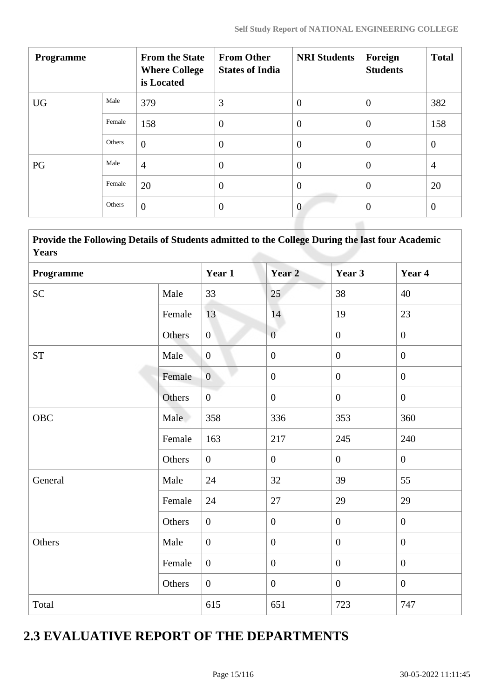| <b>Programme</b> |        | <b>From the State</b><br><b>Where College</b><br>is Located | <b>From Other</b><br><b>States of India</b> | <b>NRI Students</b> | Foreign<br><b>Students</b> | <b>Total</b>   |
|------------------|--------|-------------------------------------------------------------|---------------------------------------------|---------------------|----------------------------|----------------|
| <b>UG</b>        | Male   | 379                                                         | 3                                           | $\overline{0}$      | $\theta$                   | 382            |
|                  | Female | 158                                                         | $\overline{0}$                              | $\overline{0}$      | $\overline{0}$             | 158            |
|                  | Others | $\overline{0}$                                              | $\overline{0}$                              | $\overline{0}$      | $\overline{0}$             | $\overline{0}$ |
| PG               | Male   | $\overline{4}$                                              | $\overline{0}$                              | $\overline{0}$      | $\overline{0}$             | $\overline{4}$ |
|                  | Female | 20                                                          | $\overline{0}$                              | $\overline{0}$      | $\overline{0}$             | 20             |
|                  | Others | $\overline{0}$                                              | $\overline{0}$                              | $\overline{0}$      | $\overline{0}$             | $\overline{0}$ |

| Provide the Following Details of Students admitted to the College During the last four Academic<br><b>Years</b> |        |                  |                   |                |                |
|-----------------------------------------------------------------------------------------------------------------|--------|------------------|-------------------|----------------|----------------|
| Programme                                                                                                       |        | Year 1           | Year <sub>2</sub> | Year 3         | Year 4         |
| ${\rm SC}$                                                                                                      | Male   | 33               | 25                | 38             | 40             |
|                                                                                                                 | Female | 13               | 14                | 19             | 23             |
|                                                                                                                 | Others | $\mathbf{0}$     | $\overline{0}$    | $\mathbf{0}$   | $\overline{0}$ |
| <b>ST</b>                                                                                                       | Male   | $\overline{0}$   | $\boldsymbol{0}$  | $\overline{0}$ | $\overline{0}$ |
|                                                                                                                 | Female | $\overline{0}$   | $\overline{0}$    | $\mathbf{0}$   | $\overline{0}$ |
|                                                                                                                 | Others | $\overline{0}$   | $\overline{0}$    | $\mathbf{0}$   | $\overline{0}$ |
| <b>OBC</b>                                                                                                      | Male   | 358              | 336               | 353            | 360            |
|                                                                                                                 | Female | 163              | 217               | 245            | 240            |
|                                                                                                                 | Others | $\mathbf{0}$     | $\overline{0}$    | $\mathbf{0}$   | $\overline{0}$ |
| General                                                                                                         | Male   | 24               | 32                | 39             | 55             |
|                                                                                                                 | Female | 24               | 27                | 29             | 29             |
|                                                                                                                 | Others | $\boldsymbol{0}$ | $\overline{0}$    | $\overline{0}$ | $\overline{0}$ |
| Others                                                                                                          | Male   | $\mathbf{0}$     | $\overline{0}$    | $\mathbf{0}$   | $\overline{0}$ |
|                                                                                                                 | Female | $\overline{0}$   | $\overline{0}$    | $\mathbf{0}$   | $\overline{0}$ |
|                                                                                                                 | Others | $\boldsymbol{0}$ | $\overline{0}$    | $\overline{0}$ | $\overline{0}$ |
| Total                                                                                                           |        | 615              | 651               | 723            | 747            |

# **2.3 EVALUATIVE REPORT OF THE DEPARTMENTS**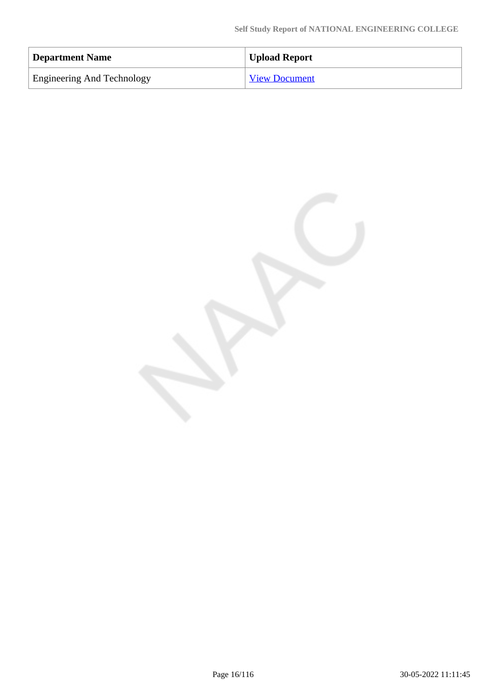| Department Name                   | Upload Report        |
|-----------------------------------|----------------------|
| <b>Engineering And Technology</b> | <b>View Document</b> |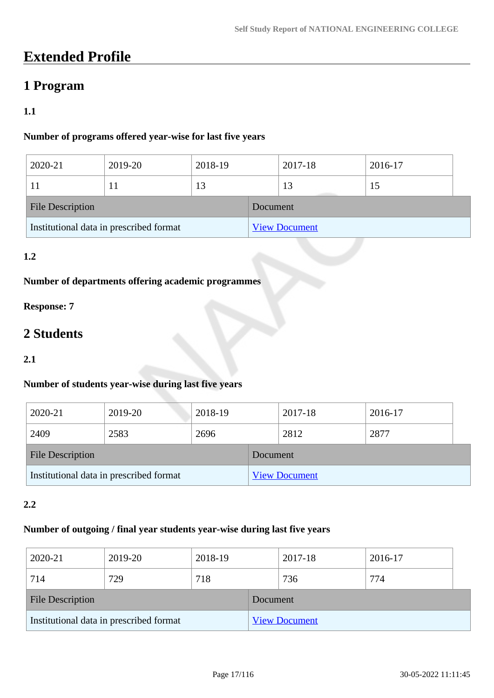# **Extended Profile**

## **1 Program**

## **1.1**

## **Number of programs offered year-wise for last five years**

| 2020-21                                 | 2019-20 | 2018-19 |                      | 2017-18 | 2016-17 |  |  |
|-----------------------------------------|---------|---------|----------------------|---------|---------|--|--|
|                                         |         | 13      |                      | 13      | 15      |  |  |
| <b>File Description</b>                 |         |         | Document             |         |         |  |  |
| Institutional data in prescribed format |         |         | <b>View Document</b> |         |         |  |  |

## **1.2**

## **Number of departments offering academic programmes**

## **Response: 7**

# **2 Students**

#### **2.1**

## **Number of students year-wise during last five years**

| 2020-21                                 | 2019-20 | 2018-19 |                      | 2017-18 |  | 2016-17 |  |
|-----------------------------------------|---------|---------|----------------------|---------|--|---------|--|
| 2409                                    | 2583    | 2696    |                      | 2812    |  | 2877    |  |
| <b>File Description</b>                 |         |         | Document             |         |  |         |  |
| Institutional data in prescribed format |         |         | <b>View Document</b> |         |  |         |  |

#### **2.2**

#### **Number of outgoing / final year students year-wise during last five years**

| 2020-21                                 | 2019-20 | 2018-19 |          | 2017-18              | 2016-17 |  |
|-----------------------------------------|---------|---------|----------|----------------------|---------|--|
| 714                                     | 729     | 718     |          | 736                  | 774     |  |
| <b>File Description</b>                 |         |         | Document |                      |         |  |
| Institutional data in prescribed format |         |         |          | <b>View Document</b> |         |  |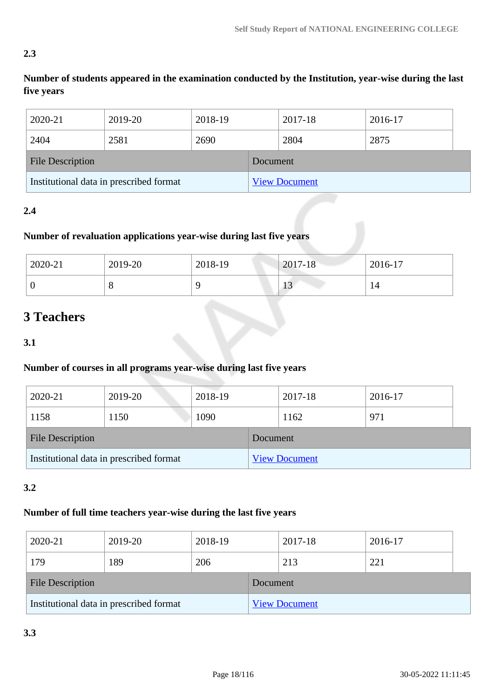## **2.3**

**Number of students appeared in the examination conducted by the Institution, year-wise during the last five years**

| 2020-21                                 | 2019-20 | 2018-19 |          | 2017-18              | 2016-17 |
|-----------------------------------------|---------|---------|----------|----------------------|---------|
| 2404                                    | 2581    | 2690    |          | 2804                 | 2875    |
| <b>File Description</b>                 |         |         | Document |                      |         |
| Institutional data in prescribed format |         |         |          | <b>View Document</b> |         |

## **2.4**

## **Number of revaluation applications year-wise during last five years**

| 2020-21 | 2019-20 | 2018-19 | $2017 - 18$                       | $2016-17$ |
|---------|---------|---------|-----------------------------------|-----------|
| υ       | Ő       |         | $\bigcap$<br>-1<br>$\overline{1}$ | 14        |

# **3 Teachers**

**3.1**

## **Number of courses in all programs year-wise during last five years**

| 2020-21                                 | 2019-20 | 2018-19 |          | 2017-18              |  | 2016-17 |  |
|-----------------------------------------|---------|---------|----------|----------------------|--|---------|--|
| 1158                                    | 1150    | 1090    |          | 1162                 |  | 971     |  |
| <b>File Description</b>                 |         |         | Document |                      |  |         |  |
| Institutional data in prescribed format |         |         |          | <b>View Document</b> |  |         |  |

## **3.2**

## **Number of full time teachers year-wise during the last five years**

| 2020-21                                 | 2019-20 | 2018-19 |          | 2017-18              |  | 2016-17 |  |
|-----------------------------------------|---------|---------|----------|----------------------|--|---------|--|
| 179                                     | 189     | 206     |          | 213                  |  | 221     |  |
| <b>File Description</b>                 |         |         | Document |                      |  |         |  |
| Institutional data in prescribed format |         |         |          | <b>View Document</b> |  |         |  |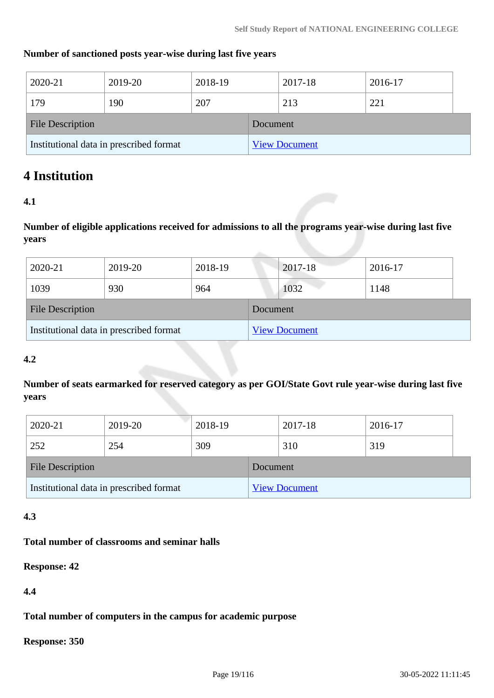#### **Number of sanctioned posts year-wise during last five years**

| 2020-21                                 | 2019-20 | 2018-19 |          | 2017-18              | 2016-17 |  |
|-----------------------------------------|---------|---------|----------|----------------------|---------|--|
| 179                                     | 190     | 207     |          | 213                  | 221     |  |
| <b>File Description</b>                 |         |         | Document |                      |         |  |
| Institutional data in prescribed format |         |         |          | <b>View Document</b> |         |  |

## **4 Institution**

### **4.1**

**Number of eligible applications received for admissions to all the programs year-wise during last five years**

| 2020-21                                 | 2019-20 | 2018-19 |          | 2017-18              | 2016-17 |
|-----------------------------------------|---------|---------|----------|----------------------|---------|
| 1039                                    | 930     | 964     |          | 1032                 | 1148    |
| <b>File Description</b>                 |         |         | Document |                      |         |
| Institutional data in prescribed format |         |         |          | <b>View Document</b> |         |

#### **4.2**

**Number of seats earmarked for reserved category as per GOI/State Govt rule year-wise during last five years**

| 2020-21                                 | 2019-20 | 2018-19 |                      | 2017-18 | 2016-17 |  |
|-----------------------------------------|---------|---------|----------------------|---------|---------|--|
| 252                                     | 254     | 309     |                      | 310     | 319     |  |
| <b>File Description</b>                 |         |         | Document             |         |         |  |
| Institutional data in prescribed format |         |         | <b>View Document</b> |         |         |  |

#### **4.3**

### **Total number of classrooms and seminar halls**

#### **Response: 42**

### **4.4**

**Total number of computers in the campus for academic purpose**

**Response: 350**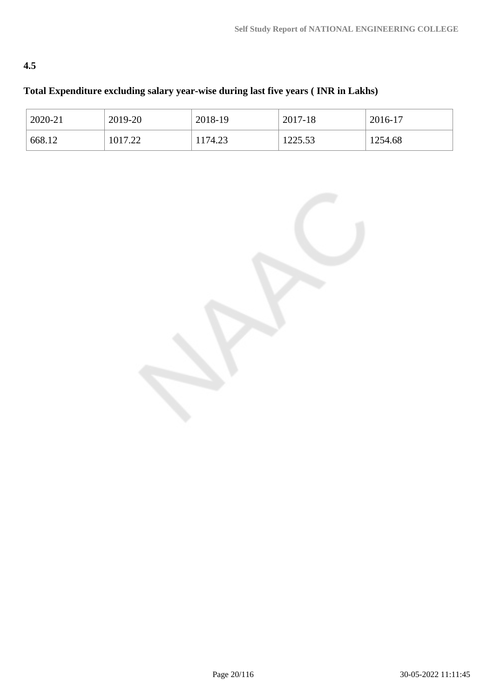## **4.5**

## **Total Expenditure excluding salary year-wise during last five years ( INR in Lakhs)**

| 2020-21 | 2019-20 | 2018-19 | 2017-18 | 2016-17 |
|---------|---------|---------|---------|---------|
| 668.12  | 1017.22 | 1174.23 | 1225.53 | 1254.68 |

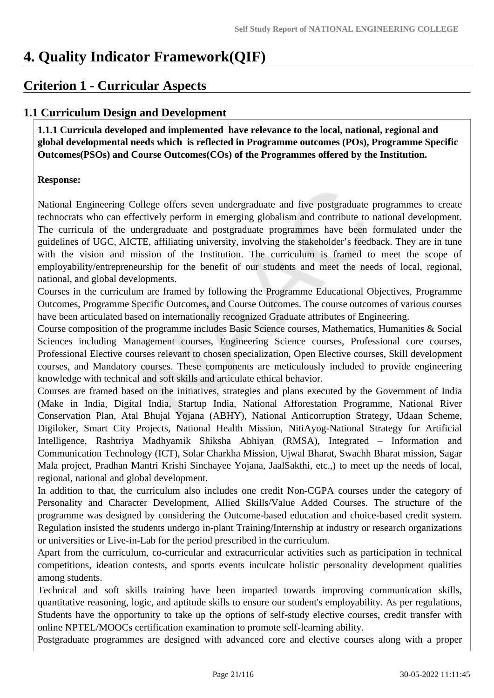# **4. Quality Indicator Framework(QIF)**

## **Criterion 1 - Curricular Aspects**

## **1.1 Curriculum Design and Development**

 **1.1.1 Curricula developed and implemented have relevance to the local, national, regional and global developmental needs which is reflected in Programme outcomes (POs), Programme Specific Outcomes(PSOs) and Course Outcomes(COs) of the Programmes offered by the Institution.**

### **Response:**

National Engineering College offers seven undergraduate and five postgraduate programmes to create technocrats who can effectively perform in emerging globalism and contribute to national development. The curricula of the undergraduate and postgraduate programmes have been formulated under the guidelines of UGC, AICTE, affiliating university, involving the stakeholder's feedback. They are in tune with the vision and mission of the Institution. The curriculum is framed to meet the scope of employability/entrepreneurship for the benefit of our students and meet the needs of local, regional, national, and global developments.

Courses in the curriculum are framed by following the Programme Educational Objectives, Programme Outcomes, Programme Specific Outcomes, and Course Outcomes. The course outcomes of various courses have been articulated based on internationally recognized Graduate attributes of Engineering.

Course composition of the programme includes Basic Science courses, Mathematics, Humanities & Social Sciences including Management courses, Engineering Science courses, Professional core courses, Professional Elective courses relevant to chosen specialization, Open Elective courses, Skill development courses, and Mandatory courses. These components are meticulously included to provide engineering knowledge with technical and soft skills and articulate ethical behavior.

Courses are framed based on the initiatives, strategies and plans executed by the Government of India (Make in India, Digital India, Startup India, National Afforestation Programme, National River Conservation Plan, Atal Bhujal Yojana (ABHY), National Anticorruption Strategy, Udaan Scheme, Digiloker, Smart City Projects, National Health Mission, NitiAyog-National Strategy for Artificial Intelligence, Rashtriya Madhyamik Shiksha Abhiyan (RMSA), Integrated – Information and Communication Technology (ICT), Solar Charkha Mission, Ujwal Bharat, Swachh Bharat mission, Sagar Mala project, Pradhan Mantri Krishi Sinchayee Yojana, JaalSakthi, etc.,) to meet up the needs of local, regional, national and global development.

In addition to that, the curriculum also includes one credit Non-CGPA courses under the category of Personality and Character Development, Allied Skills/Value Added Courses. The structure of the programme was designed by considering the Outcome-based education and choice-based credit system. Regulation insisted the students undergo in-plant Training/Internship at industry or research organizations or universities or Live-in-Lab for the period prescribed in the curriculum.

Apart from the curriculum, co-curricular and extracurricular activities such as participation in technical competitions, ideation contests, and sports events inculcate holistic personality development qualities among students.

Technical and soft skills training have been imparted towards improving communication skills, quantitative reasoning, logic, and aptitude skills to ensure our student's employability. As per regulations, Students have the opportunity to take up the options of self-study elective courses, credit transfer with online NPTEL/MOOCs certification examination to promote self-learning ability.

Postgraduate programmes are designed with advanced core and elective courses along with a proper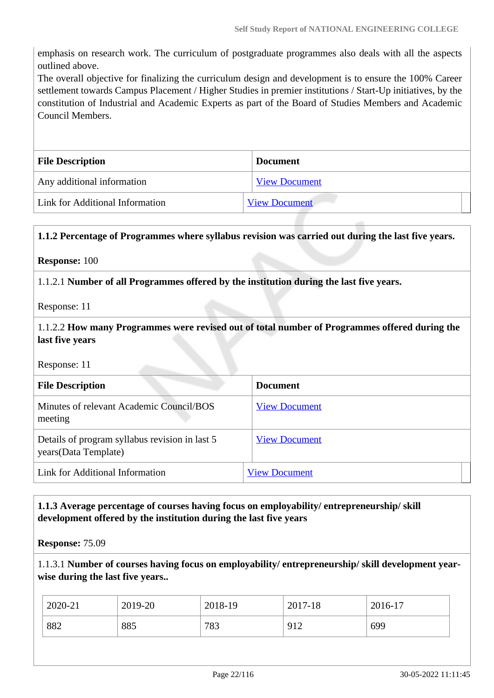emphasis on research work. The curriculum of postgraduate programmes also deals with all the aspects outlined above.

The overall objective for finalizing the curriculum design and development is to ensure the 100% Career settlement towards Campus Placement / Higher Studies in premier institutions / Start-Up initiatives, by the constitution of Industrial and Academic Experts as part of the Board of Studies Members and Academic Council Members.

| <b>File Description</b>         | <b>Document</b>      |
|---------------------------------|----------------------|
| Any additional information      | <b>View Document</b> |
| Link for Additional Information | <b>View Document</b> |

#### **1.1.2 Percentage of Programmes where syllabus revision was carried out during the last five years.**

#### **Response:** 100

1.1.2.1 **Number of all Programmes offered by the institution during the last five years.**

Response: 11

1.1.2.2 **How many Programmes were revised out of total number of Programmes offered during the last five years**

Response: 11

| <b>File Description</b>                                                 | <b>Document</b>      |
|-------------------------------------------------------------------------|----------------------|
| Minutes of relevant Academic Council/BOS<br>meeting                     | <b>View Document</b> |
| Details of program syllabus revision in last 5<br>years (Data Template) | <b>View Document</b> |
| Link for Additional Information                                         | <b>View Document</b> |

### **1.1.3 Average percentage of courses having focus on employability/ entrepreneurship/ skill development offered by the institution during the last five years**

**Response:** 75.09

1.1.3.1 **Number of courses having focus on employability/ entrepreneurship/ skill development yearwise during the last five years..**

| 2020-21 | 2019-20 | 2018-19 | 2017-18     | 2016-17 |
|---------|---------|---------|-------------|---------|
| 882     | 885     | 783     | 012<br>, ⊥∠ | 699     |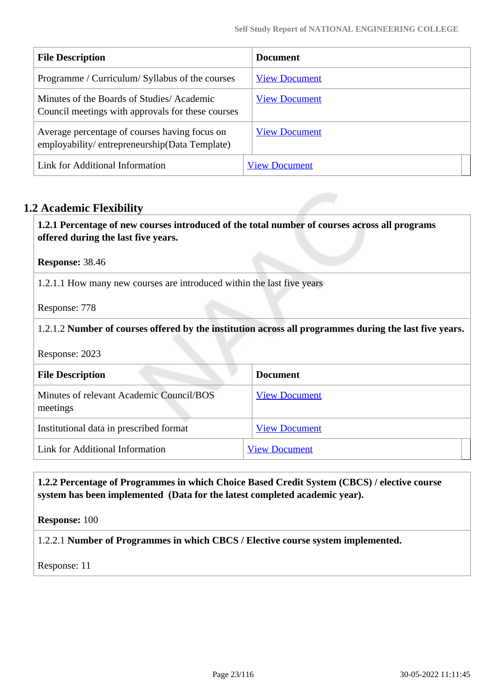| <b>File Description</b>                                                                        | Document             |
|------------------------------------------------------------------------------------------------|----------------------|
| Programme / Curriculum/ Syllabus of the courses                                                | <b>View Document</b> |
| Minutes of the Boards of Studies/Academic<br>Council meetings with approvals for these courses | <b>View Document</b> |
| Average percentage of courses having focus on<br>employability/entrepreneurship(Data Template) | <b>View Document</b> |
| Link for Additional Information                                                                | <b>View Document</b> |

## **1.2 Academic Flexibility**

 **1.2.1 Percentage of new courses introduced of the total number of courses across all programs offered during the last five years.**

**Response:** 38.46

1.2.1.1 How many new courses are introduced within the last five years

Response: 778

#### 1.2.1.2 **Number of courses offered by the institution across all programmes during the last five years.**

Response: 2023

| <b>File Description</b>                              | <b>Document</b>      |
|------------------------------------------------------|----------------------|
| Minutes of relevant Academic Council/BOS<br>meetings | <b>View Document</b> |
| Institutional data in prescribed format              | <b>View Document</b> |
| Link for Additional Information                      | <b>View Document</b> |

### **1.2.2 Percentage of Programmes in which Choice Based Credit System (CBCS) / elective course system has been implemented (Data for the latest completed academic year).**

**Response:** 100

1.2.2.1 **Number of Programmes in which CBCS / Elective course system implemented.**

Response: 11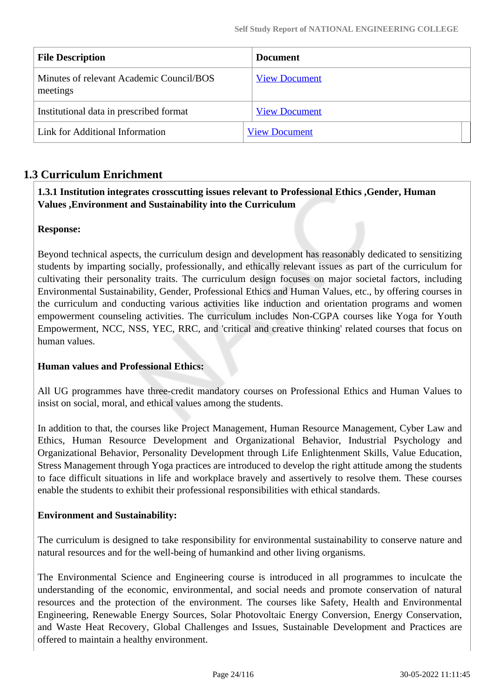| <b>File Description</b>                              | <b>Document</b>      |
|------------------------------------------------------|----------------------|
| Minutes of relevant Academic Council/BOS<br>meetings | <b>View Document</b> |
| Institutional data in prescribed format              | <b>View Document</b> |
| Link for Additional Information                      | <b>View Document</b> |

## **1.3 Curriculum Enrichment**

### **1.3.1 Institution integrates crosscutting issues relevant to Professional Ethics ,Gender, Human Values ,Environment and Sustainability into the Curriculum**

### **Response:**

Beyond technical aspects, the curriculum design and development has reasonably dedicated to sensitizing students by imparting socially, professionally, and ethically relevant issues as part of the curriculum for cultivating their personality traits. The curriculum design focuses on major societal factors, including Environmental Sustainability, Gender, Professional Ethics and Human Values, etc., by offering courses in the curriculum and conducting various activities like induction and orientation programs and women empowerment counseling activities. The curriculum includes Non-CGPA courses like Yoga for Youth Empowerment, NCC, NSS, YEC, RRC, and 'critical and creative thinking' related courses that focus on human values.

#### **Human values and Professional Ethics:**

All UG programmes have three-credit mandatory courses on Professional Ethics and Human Values to insist on social, moral, and ethical values among the students.

In addition to that, the courses like Project Management, Human Resource Management, Cyber Law and Ethics, Human Resource Development and Organizational Behavior, Industrial Psychology and Organizational Behavior, Personality Development through Life Enlightenment Skills, Value Education, Stress Management through Yoga practices are introduced to develop the right attitude among the students to face difficult situations in life and workplace bravely and assertively to resolve them. These courses enable the students to exhibit their professional responsibilities with ethical standards.

#### **Environment and Sustainability:**

The curriculum is designed to take responsibility for environmental sustainability to conserve nature and natural resources and for the well-being of humankind and other living organisms.

The Environmental Science and Engineering course is introduced in all programmes to inculcate the understanding of the economic, environmental, and social needs and promote conservation of natural resources and the protection of the environment. The courses like Safety, Health and Environmental Engineering, Renewable Energy Sources, Solar Photovoltaic Energy Conversion, Energy Conservation, and Waste Heat Recovery, Global Challenges and Issues, Sustainable Development and Practices are offered to maintain a healthy environment.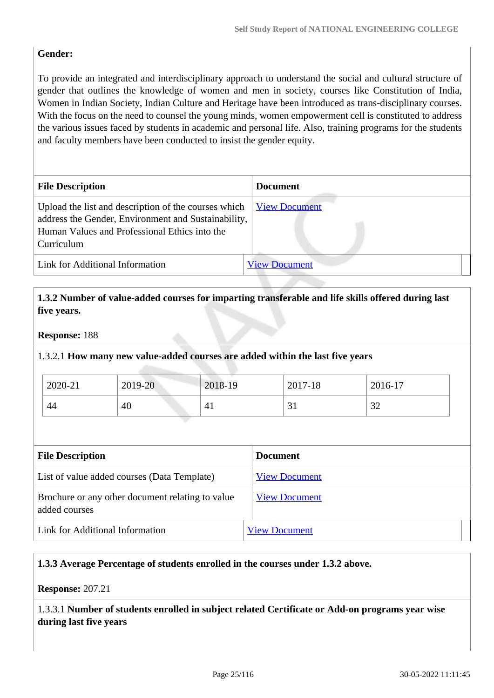## **Gender:**

To provide an integrated and interdisciplinary approach to understand the social and cultural structure of gender that outlines the knowledge of women and men in society, courses like Constitution of India, Women in Indian Society, Indian Culture and Heritage have been introduced as trans-disciplinary courses. With the focus on the need to counsel the young minds, women empowerment cell is constituted to address the various issues faced by students in academic and personal life. Also, training programs for the students and faculty members have been conducted to insist the gender equity.

| <b>File Description</b>                                                                                                                                                    | <b>Document</b>      |
|----------------------------------------------------------------------------------------------------------------------------------------------------------------------------|----------------------|
| Upload the list and description of the courses which<br>address the Gender, Environment and Sustainability,<br>Human Values and Professional Ethics into the<br>Curriculum | <b>View Document</b> |
| Link for Additional Information                                                                                                                                            | <b>View Document</b> |

 **1.3.2 Number of value-added courses for imparting transferable and life skills offered during last five years.**

#### **Response:** 188

1.3.2.1 **How many new value-added courses are added within the last five years**

| 2020-21 | 2019-20 | 2018-19 | 2017-18 | 2016-17       |
|---------|---------|---------|---------|---------------|
| 44      | 40      | $4_{1}$ | ◡▴      | $\cap$<br>ے ر |

| <b>File Description</b>                                           | <b>Document</b>      |
|-------------------------------------------------------------------|----------------------|
| List of value added courses (Data Template)                       | <b>View Document</b> |
| Brochure or any other document relating to value<br>added courses | <b>View Document</b> |
| Link for Additional Information                                   | <b>View Document</b> |

#### **1.3.3 Average Percentage of students enrolled in the courses under 1.3.2 above.**

**Response:** 207.21

1.3.3.1 **Number of students enrolled in subject related Certificate or Add-on programs year wise during last five years**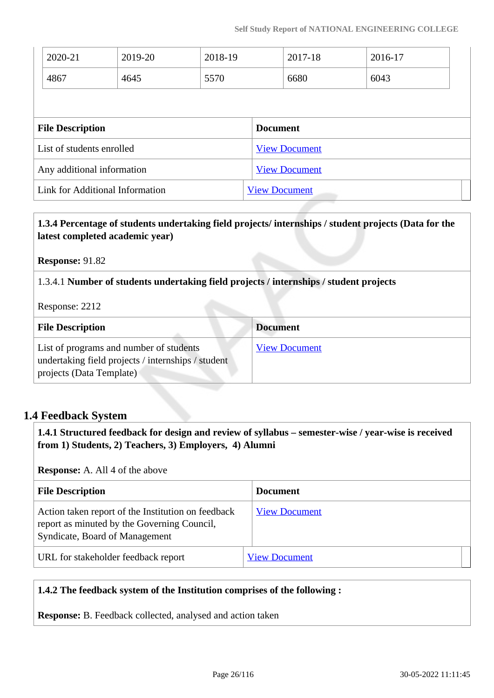| 2020-21                         | 2019-20 | 2018-19 |                      | 2017-18              | 2016-17 |  |
|---------------------------------|---------|---------|----------------------|----------------------|---------|--|
| 4867                            | 4645    | 5570    |                      | 6680                 | 6043    |  |
|                                 |         |         |                      |                      |         |  |
| <b>File Description</b>         |         |         | <b>Document</b>      |                      |         |  |
| List of students enrolled       |         |         |                      | <b>View Document</b> |         |  |
| Any additional information      |         |         |                      | <b>View Document</b> |         |  |
| Link for Additional Information |         |         | <b>View Document</b> |                      |         |  |

### **1.3.4 Percentage of students undertaking field projects/ internships / student projects (Data for the latest completed academic year)**

**Response:** 91.82

1.3.4.1 **Number of students undertaking field projects / internships / student projects**

Response: 2212

| <b>File Description</b>                                                                                                   | <b>Document</b>      |
|---------------------------------------------------------------------------------------------------------------------------|----------------------|
| List of programs and number of students<br>undertaking field projects / internships / student<br>projects (Data Template) | <b>View Document</b> |

## **1.4 Feedback System**

 **1.4.1 Structured feedback for design and review of syllabus – semester-wise / year-wise is received from 1) Students, 2) Teachers, 3) Employers, 4) Alumni**

**Response:** A. All 4 of the above

| <b>File Description</b>                                                                                                             | <b>Document</b>      |
|-------------------------------------------------------------------------------------------------------------------------------------|----------------------|
| Action taken report of the Institution on feedback<br>report as minuted by the Governing Council,<br>Syndicate, Board of Management | <b>View Document</b> |
| URL for stakeholder feedback report                                                                                                 | <b>View Document</b> |

#### **1.4.2 The feedback system of the Institution comprises of the following :**

**Response:** B. Feedback collected, analysed and action taken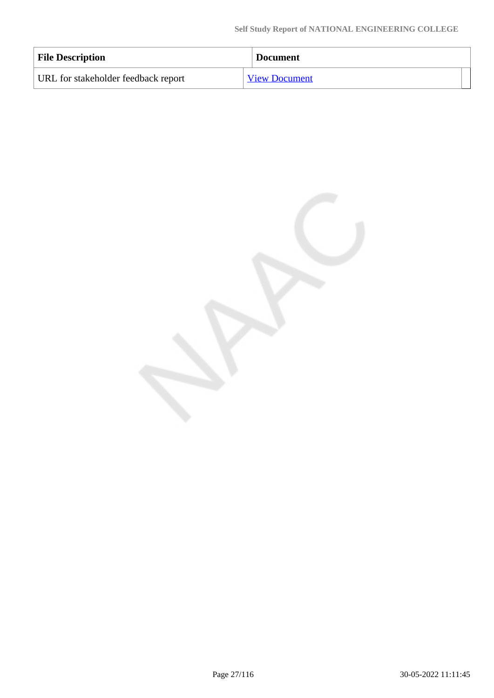| <b>File Description</b>             | <b>Document</b>      |
|-------------------------------------|----------------------|
| URL for stakeholder feedback report | <b>View Document</b> |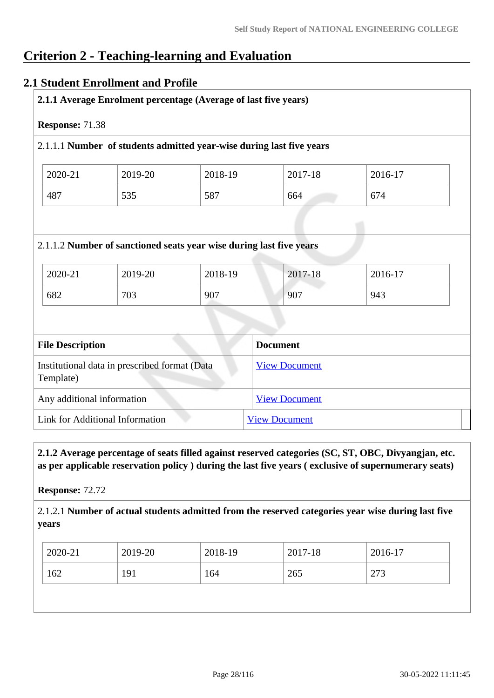# **Criterion 2 - Teaching-learning and Evaluation**

## **2.1 Student Enrollment and Profile**

| 2018-19<br>2017-18   | 2016-17                                                                                                                           |  |  |
|----------------------|-----------------------------------------------------------------------------------------------------------------------------------|--|--|
| 664                  | 674                                                                                                                               |  |  |
|                      | 943                                                                                                                               |  |  |
|                      |                                                                                                                                   |  |  |
|                      |                                                                                                                                   |  |  |
| <b>View Document</b> |                                                                                                                                   |  |  |
|                      |                                                                                                                                   |  |  |
|                      | 587<br>2.1.1.2 Number of sanctioned seats year wise during last five years<br>2018-19<br>2017-18<br>907<br>907<br><b>Document</b> |  |  |

 **2.1.2 Average percentage of seats filled against reserved categories (SC, ST, OBC, Divyangjan, etc. as per applicable reservation policy ) during the last five years ( exclusive of supernumerary seats)**

**Response:** 72.72

2.1.2.1 **Number of actual students admitted from the reserved categories year wise during last five years**

| 2020-21    | 2019-20 | 2018-19 | 2017-18 | 2016-17 |
|------------|---------|---------|---------|---------|
| 162<br>191 |         | 164     | 265     | 273     |
|            |         |         |         |         |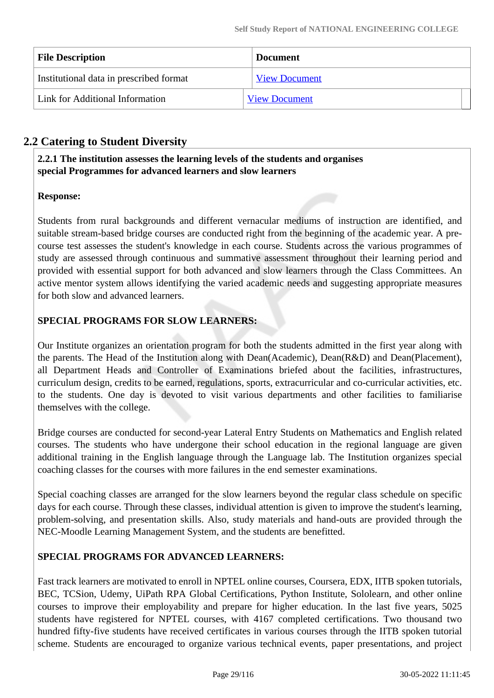| <b>File Description</b>                 | <b>Document</b>      |
|-----------------------------------------|----------------------|
| Institutional data in prescribed format | <b>View Document</b> |
| Link for Additional Information         | <b>View Document</b> |

## **2.2 Catering to Student Diversity**

 **2.2.1 The institution assesses the learning levels of the students and organises special Programmes for advanced learners and slow learners**

## **Response:**

Students from rural backgrounds and different vernacular mediums of instruction are identified, and suitable stream-based bridge courses are conducted right from the beginning of the academic year. A precourse test assesses the student's knowledge in each course. Students across the various programmes of study are assessed through continuous and summative assessment throughout their learning period and provided with essential support for both advanced and slow learners through the Class Committees. An active mentor system allows identifying the varied academic needs and suggesting appropriate measures for both slow and advanced learners.

## **SPECIAL PROGRAMS FOR SLOW LEARNERS:**

Our Institute organizes an orientation program for both the students admitted in the first year along with the parents. The Head of the Institution along with Dean(Academic), Dean(R&D) and Dean(Placement), all Department Heads and Controller of Examinations briefed about the facilities, infrastructures, curriculum design, credits to be earned, regulations, sports, extracurricular and co-curricular activities, etc. to the students. One day is devoted to visit various departments and other facilities to familiarise themselves with the college.

Bridge courses are conducted for second-year Lateral Entry Students on Mathematics and English related courses. The students who have undergone their school education in the regional language are given additional training in the English language through the Language lab. The Institution organizes special coaching classes for the courses with more failures in the end semester examinations.

Special coaching classes are arranged for the slow learners beyond the regular class schedule on specific days for each course. Through these classes, individual attention is given to improve the student's learning, problem-solving, and presentation skills. Also, study materials and hand-outs are provided through the NEC-Moodle Learning Management System, and the students are benefitted.

## **SPECIAL PROGRAMS FOR ADVANCED LEARNERS:**

Fast track learners are motivated to enroll in NPTEL online courses, Coursera, EDX, IITB spoken tutorials, BEC, TCSion, Udemy, UiPath RPA Global Certifications, Python Institute, Sololearn, and other online courses to improve their employability and prepare for higher education. In the last five years, 5025 students have registered for NPTEL courses, with 4167 completed certifications. Two thousand two hundred fifty-five students have received certificates in various courses through the IITB spoken tutorial scheme. Students are encouraged to organize various technical events, paper presentations, and project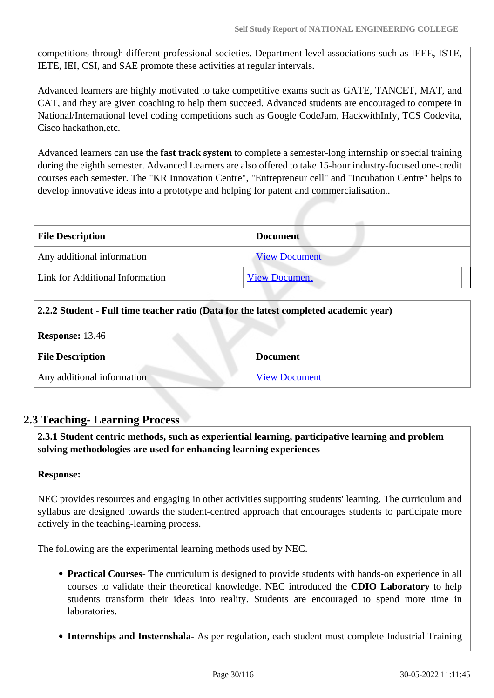competitions through different professional societies. Department level associations such as IEEE, ISTE, IETE, IEI, CSI, and SAE promote these activities at regular intervals.

Advanced learners are highly motivated to take competitive exams such as GATE, TANCET, MAT, and CAT, and they are given coaching to help them succeed. Advanced students are encouraged to compete in National/International level coding competitions such as Google CodeJam, HackwithInfy, TCS Codevita, Cisco hackathon,etc.

Advanced learners can use the **fast track system** to complete a semester-long internship or special training during the eighth semester. Advanced Learners are also offered to take 15-hour industry-focused one-credit courses each semester. The "KR Innovation Centre", "Entrepreneur cell" and "Incubation Centre" helps to develop innovative ideas into a prototype and helping for patent and commercialisation..

| <b>File Description</b><br><b>Document</b> |                      |  |
|--------------------------------------------|----------------------|--|
| Any additional information                 | <b>View Document</b> |  |
| Link for Additional Information            | <b>View Document</b> |  |

| 2.2.2 Student - Full time teacher ratio (Data for the latest completed academic year) |                      |
|---------------------------------------------------------------------------------------|----------------------|
| <b>Response: 13.46</b>                                                                |                      |
| <b>File Description</b>                                                               | <b>Document</b>      |
| Any additional information                                                            | <b>View Document</b> |

## **2.3 Teaching- Learning Process**

 **2.3.1 Student centric methods, such as experiential learning, participative learning and problem solving methodologies are used for enhancing learning experiences**

#### **Response:**

NEC provides resources and engaging in other activities supporting students' learning. The curriculum and syllabus are designed towards the student-centred approach that encourages students to participate more actively in the teaching-learning process.

The following are the experimental learning methods used by NEC.

- **Practical Courses** The curriculum is designed to provide students with hands-on experience in all courses to validate their theoretical knowledge. NEC introduced the **CDIO Laboratory** to help students transform their ideas into reality. Students are encouraged to spend more time in laboratories.
- **Internships and Insternshala** As per regulation, each student must complete Industrial Training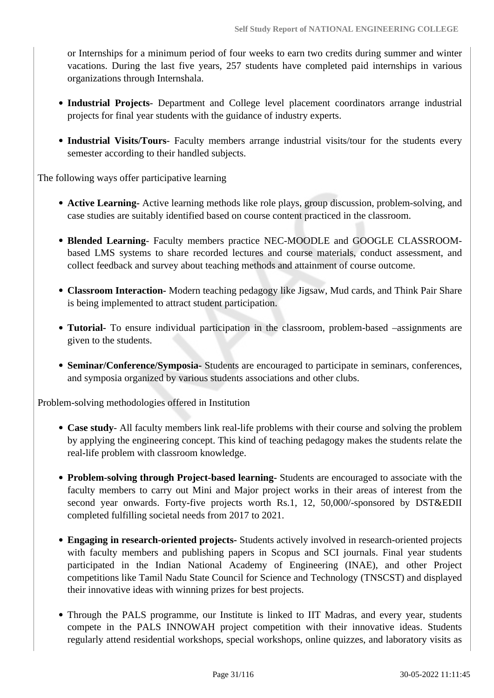or Internships for a minimum period of four weeks to earn two credits during summer and winter vacations. During the last five years, 257 students have completed paid internships in various organizations through Internshala.

- **Industrial Projects** Department and College level placement coordinators arrange industrial projects for final year students with the guidance of industry experts.
- **Industrial Visits/Tours** Faculty members arrange industrial visits/tour for the students every semester according to their handled subjects.

The following ways offer participative learning

- **Active Learning-** Active learning methods like role plays, group discussion, problem-solving, and case studies are suitably identified based on course content practiced in the classroom.
- **Blended Learning** Faculty members practice NEC-MOODLE and GOOGLE CLASSROOMbased LMS systems to share recorded lectures and course materials, conduct assessment, and collect feedback and survey about teaching methods and attainment of course outcome.
- **Classroom Interaction-** Modern teaching pedagogy like Jigsaw, Mud cards, and Think Pair Share is being implemented to attract student participation.
- **Tutorial-** To ensure individual participation in the classroom, problem-based –assignments are given to the students.
- **Seminar/Conference/Symposia-** Students are encouraged to participate in seminars, conferences, and symposia organized by various students associations and other clubs.

Problem-solving methodologies offered in Institution

- **Case study** All faculty members link real-life problems with their course and solving the problem by applying the engineering concept. This kind of teaching pedagogy makes the students relate the real-life problem with classroom knowledge.
- **Problem-solving through Project-based learning-** Students are encouraged to associate with the faculty members to carry out Mini and Major project works in their areas of interest from the second year onwards. Forty-five projects worth Rs.1, 12, 50,000/-sponsored by DST&EDII completed fulfilling societal needs from 2017 to 2021.
- **Engaging in research-oriented projects-** Students actively involved in research-oriented projects with faculty members and publishing papers in Scopus and SCI journals. Final year students participated in the Indian National Academy of Engineering (INAE), and other Project competitions like Tamil Nadu State Council for Science and Technology (TNSCST) and displayed their innovative ideas with winning prizes for best projects.
- Through the PALS programme, our Institute is linked to IIT Madras, and every year, students compete in the PALS INNOWAH project competition with their innovative ideas. Students regularly attend residential workshops, special workshops, online quizzes, and laboratory visits as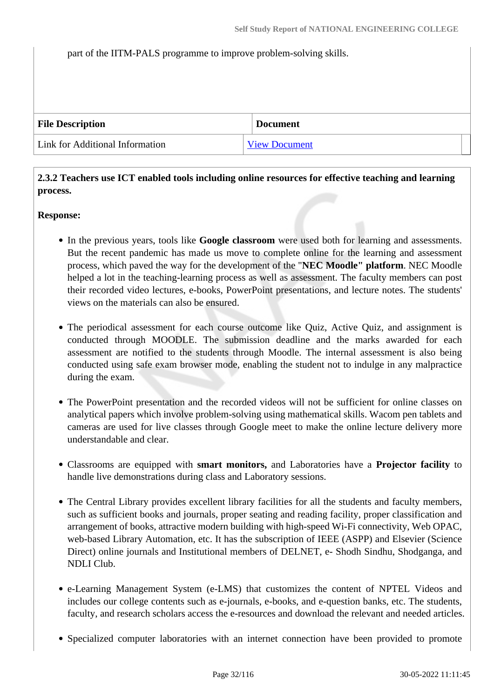#### part of the IITM-PALS programme to improve problem-solving skills.

| <b>File Description</b>         | <b>Document</b>      |
|---------------------------------|----------------------|
| Link for Additional Information | <b>View Document</b> |

 **2.3.2 Teachers use ICT enabled tools including online resources for effective teaching and learning process.** 

#### **Response:**

- In the previous years, tools like **Google classroom** were used both for learning and assessments. But the recent pandemic has made us move to complete online for the learning and assessment process, which paved the way for the development of the "**NEC Moodle" platform**. NEC Moodle helped a lot in the teaching-learning process as well as assessment. The faculty members can post their recorded video lectures, e-books, PowerPoint presentations, and lecture notes. The students' views on the materials can also be ensured.
- The periodical assessment for each course outcome like Quiz, Active Quiz, and assignment is conducted through MOODLE. The submission deadline and the marks awarded for each assessment are notified to the students through Moodle. The internal assessment is also being conducted using safe exam browser mode, enabling the student not to indulge in any malpractice during the exam.
- The PowerPoint presentation and the recorded videos will not be sufficient for online classes on analytical papers which involve problem-solving using mathematical skills. Wacom pen tablets and cameras are used for live classes through Google meet to make the online lecture delivery more understandable and clear.
- Classrooms are equipped with **smart monitors,** and Laboratories have a **Projector facility** to handle live demonstrations during class and Laboratory sessions.
- The Central Library provides excellent library facilities for all the students and faculty members, such as sufficient books and journals, proper seating and reading facility, proper classification and arrangement of books, attractive modern building with high-speed Wi-Fi connectivity, Web OPAC, web-based Library Automation, etc. It has the subscription of IEEE (ASPP) and Elsevier (Science Direct) online journals and Institutional members of DELNET, e- Shodh Sindhu, Shodganga, and NDLI Club.
- e-Learning Management System (e-LMS) that customizes the content of NPTEL Videos and includes our college contents such as e-journals, e-books, and e-question banks, etc. The students, faculty, and research scholars access the e-resources and download the relevant and needed articles.
- Specialized computer laboratories with an internet connection have been provided to promote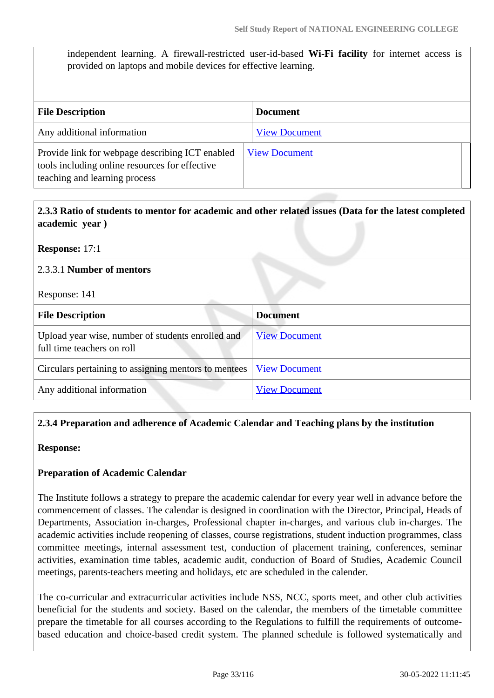independent learning. A firewall-restricted user-id-based **Wi-Fi facility** for internet access is provided on laptops and mobile devices for effective learning.

| <b>File Description</b>                                                                                                            | <b>Document</b>      |
|------------------------------------------------------------------------------------------------------------------------------------|----------------------|
| Any additional information                                                                                                         | <b>View Document</b> |
| Provide link for webpage describing ICT enabled<br>tools including online resources for effective<br>teaching and learning process | <b>View Document</b> |

| 2.3.3 Ratio of students to mentor for academic and other related issues (Data for the latest completed |
|--------------------------------------------------------------------------------------------------------|
| academic year)                                                                                         |

**Response:** 17:1

#### 2.3.3.1 **Number of mentors**

Response: 141

| <b>File Description</b>                                                         | <b>Document</b>      |
|---------------------------------------------------------------------------------|----------------------|
| Upload year wise, number of students enrolled and<br>full time teachers on roll | <b>View Document</b> |
| Circulars pertaining to assigning mentors to mentees                            | <b>View Document</b> |
| Any additional information                                                      | <b>View Document</b> |

#### **2.3.4 Preparation and adherence of Academic Calendar and Teaching plans by the institution**

**Response:** 

#### **Preparation of Academic Calendar**

The Institute follows a strategy to prepare the academic calendar for every year well in advance before the commencement of classes. The calendar is designed in coordination with the Director, Principal, Heads of Departments, Association in-charges, Professional chapter in-charges, and various club in-charges. The academic activities include reopening of classes, course registrations, student induction programmes, class committee meetings, internal assessment test, conduction of placement training, conferences, seminar activities, examination time tables, academic audit, conduction of Board of Studies, Academic Council meetings, parents-teachers meeting and holidays, etc are scheduled in the calender.

The co-curricular and extracurricular activities include NSS, NCC, sports meet, and other club activities beneficial for the students and society. Based on the calendar, the members of the timetable committee prepare the timetable for all courses according to the Regulations to fulfill the requirements of outcomebased education and choice-based credit system. The planned schedule is followed systematically and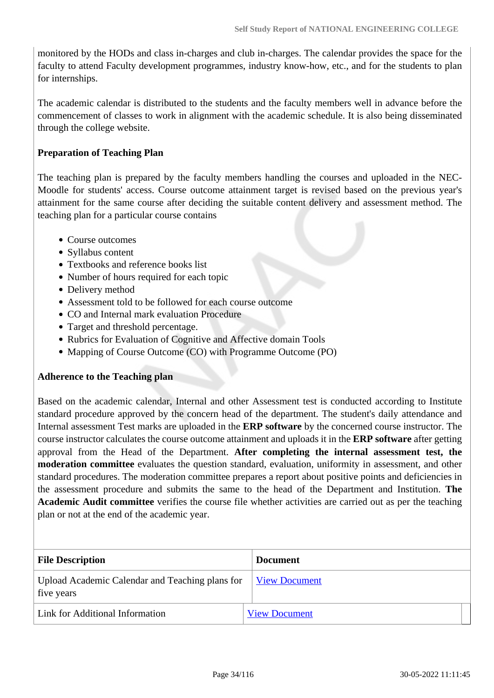monitored by the HODs and class in-charges and club in-charges. The calendar provides the space for the faculty to attend Faculty development programmes, industry know-how, etc., and for the students to plan for internships.

The academic calendar is distributed to the students and the faculty members well in advance before the commencement of classes to work in alignment with the academic schedule. It is also being disseminated through the college website.

#### **Preparation of Teaching Plan**

The teaching plan is prepared by the faculty members handling the courses and uploaded in the NEC-Moodle for students' access. Course outcome attainment target is revised based on the previous year's attainment for the same course after deciding the suitable content delivery and assessment method. The teaching plan for a particular course contains

- Course outcomes
- Syllabus content
- Textbooks and reference books list
- Number of hours required for each topic
- Delivery method
- Assessment told to be followed for each course outcome
- CO and Internal mark evaluation Procedure
- Target and threshold percentage.
- Rubrics for Evaluation of Cognitive and Affective domain Tools
- Mapping of Course Outcome (CO) with Programme Outcome (PO)

#### **Adherence to the Teaching plan**

Based on the academic calendar, Internal and other Assessment test is conducted according to Institute standard procedure approved by the concern head of the department. The student's daily attendance and Internal assessment Test marks are uploaded in the **ERP software** by the concerned course instructor. The course instructor calculates the course outcome attainment and uploads it in the **ERP software** after getting approval from the Head of the Department. **After completing the internal assessment test, the moderation committee** evaluates the question standard, evaluation, uniformity in assessment, and other standard procedures. The moderation committee prepares a report about positive points and deficiencies in the assessment procedure and submits the same to the head of the Department and Institution. **The Academic Audit committee** verifies the course file whether activities are carried out as per the teaching plan or not at the end of the academic year.

| <b>File Description</b>                                       | <b>Document</b>      |
|---------------------------------------------------------------|----------------------|
| Upload Academic Calendar and Teaching plans for<br>five years | <b>View Document</b> |
| Link for Additional Information                               | <b>View Document</b> |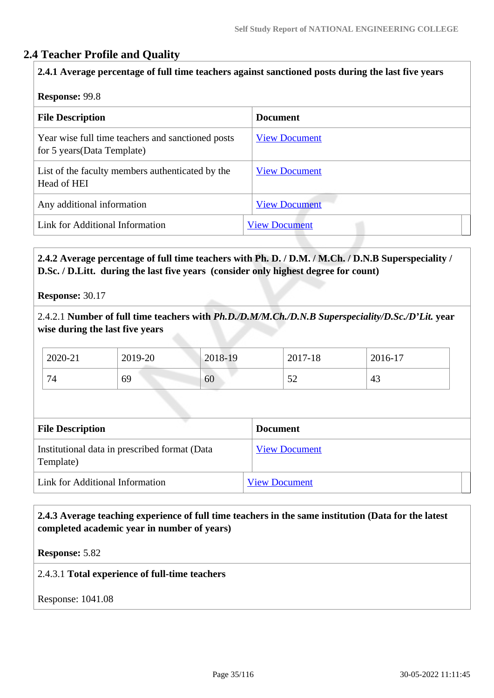## **2.4 Teacher Profile and Quality**

#### **2.4.1 Average percentage of full time teachers against sanctioned posts during the last five years**

#### **Response:** 99.8

| <b>File Description</b>                                                          | <b>Document</b>      |
|----------------------------------------------------------------------------------|----------------------|
| Year wise full time teachers and sanctioned posts<br>for 5 years (Data Template) | <b>View Document</b> |
| List of the faculty members authenticated by the<br>Head of HEI                  | <b>View Document</b> |
| Any additional information                                                       | <b>View Document</b> |
| Link for Additional Information                                                  | <b>View Document</b> |

### **2.4.2 Average percentage of full time teachers with Ph. D. / D.M. / M.Ch. / D.N.B Superspeciality / D.Sc. / D.Litt. during the last five years (consider only highest degree for count)**

**Response:** 30.17

2.4.2.1 **Number of full time teachers with** *Ph.D./D.M/M.Ch./D.N.B Superspeciality/D.Sc./D'Lit.* **year wise during the last five years**

| 2020-21 | 2019-20 | 2018-19 | 2017-18 | 2016-17 |
|---------|---------|---------|---------|---------|
| 74      | 69      | 60      | ے ر     | 43      |

| <b>File Description</b>                                    | <b>Document</b>      |
|------------------------------------------------------------|----------------------|
| Institutional data in prescribed format (Data<br>Template) | <b>View Document</b> |
| Link for Additional Information                            | <b>View Document</b> |

#### **2.4.3 Average teaching experience of full time teachers in the same institution (Data for the latest completed academic year in number of years)**

**Response:** 5.82

2.4.3.1 **Total experience of full-time teachers**

Response: 1041.08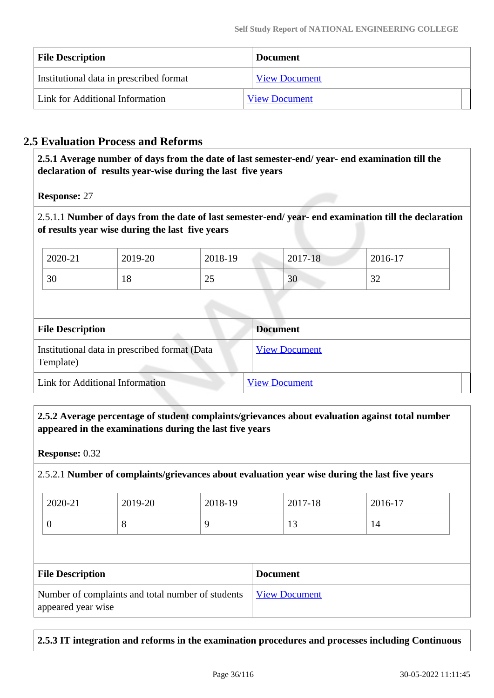| <b>File Description</b>                 | <b>Document</b>      |
|-----------------------------------------|----------------------|
| Institutional data in prescribed format | <b>View Document</b> |
| Link for Additional Information         | <b>View Document</b> |

## **2.5 Evaluation Process and Reforms**

 **2.5.1 Average number of days from the date of last semester-end/ year- end examination till the declaration of results year-wise during the last five years**

**Response:** 27

2.5.1.1 **Number of days from the date of last semester-end/ year- end examination till the declaration of results year wise during the last five years** 

| 2020-21 | 2019-20 | 2018-19        | 2017-18                        | 2016-17       |
|---------|---------|----------------|--------------------------------|---------------|
| 30      | 18      | $\Omega$<br>رے | $\overline{c}$<br>$30^{\circ}$ | $\cap$<br>ے د |

| <b>File Description</b>                                    | <b>Document</b>      |
|------------------------------------------------------------|----------------------|
| Institutional data in prescribed format (Data<br>Template) | <b>View Document</b> |
| Link for Additional Information                            | <b>View Document</b> |

 **2.5.2 Average percentage of student complaints/grievances about evaluation against total number appeared in the examinations during the last five years**

**Response:** 0.32

#### 2.5.2.1 **Number of complaints/grievances about evaluation year wise during the last five years**

| 2020-21 | 2019-20 | 2018-19 | 2017-18 | 2016-17 |
|---------|---------|---------|---------|---------|
|         | v       |         | ΙJ      | 14      |

| <b>File Description</b>                                                 | <b>Document</b> |
|-------------------------------------------------------------------------|-----------------|
| Number of complaints and total number of students<br>appeared year wise | View Document   |

**2.5.3 IT integration and reforms in the examination procedures and processes including Continuous**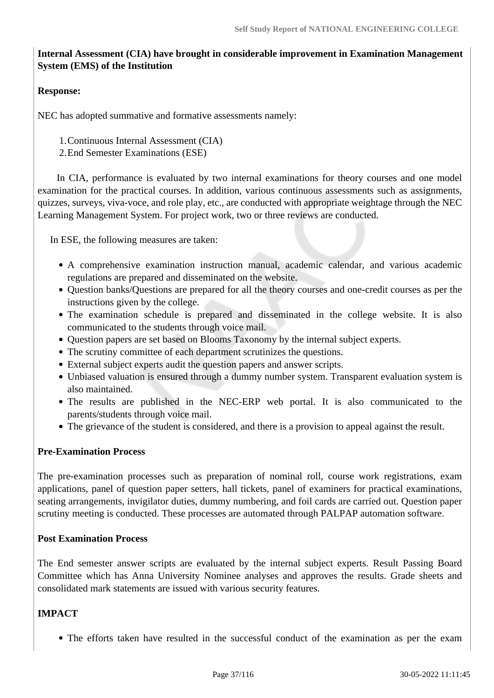### **Internal Assessment (CIA) have brought in considerable improvement in Examination Management System (EMS) of the Institution**

#### **Response:**

NEC has adopted summative and formative assessments namely:

1.Continuous Internal Assessment (CIA)

2.End Semester Examinations (ESE)

 In CIA, performance is evaluated by two internal examinations for theory courses and one model examination for the practical courses. In addition, various continuous assessments such as assignments, quizzes, surveys, viva-voce, and role play, etc., are conducted with appropriate weightage through the NEC Learning Management System. For project work, two or three reviews are conducted.

In ESE, the following measures are taken:

- A comprehensive examination instruction manual, academic calendar, and various academic regulations are prepared and disseminated on the website.
- Question banks/Questions are prepared for all the theory courses and one-credit courses as per the instructions given by the college.
- The examination schedule is prepared and disseminated in the college website. It is also communicated to the students through voice mail.
- Question papers are set based on Blooms Taxonomy by the internal subject experts.
- The scrutiny committee of each department scrutinizes the questions.
- External subject experts audit the question papers and answer scripts.
- Unbiased valuation is ensured through a dummy number system. Transparent evaluation system is also maintained.
- The results are published in the NEC-ERP web portal. It is also communicated to the parents/students through voice mail.
- The grievance of the student is considered, and there is a provision to appeal against the result.

#### **Pre-Examination Process**

The pre-examination processes such as preparation of nominal roll, course work registrations, exam applications, panel of question paper setters, hall tickets, panel of examiners for practical examinations, seating arrangements, invigilator duties, dummy numbering, and foil cards are carried out. Question paper scrutiny meeting is conducted. These processes are automated through PALPAP automation software.

#### **Post Examination Process**

The End semester answer scripts are evaluated by the internal subject experts. Result Passing Board Committee which has Anna University Nominee analyses and approves the results. Grade sheets and consolidated mark statements are issued with various security features.

### **IMPACT**

The efforts taken have resulted in the successful conduct of the examination as per the exam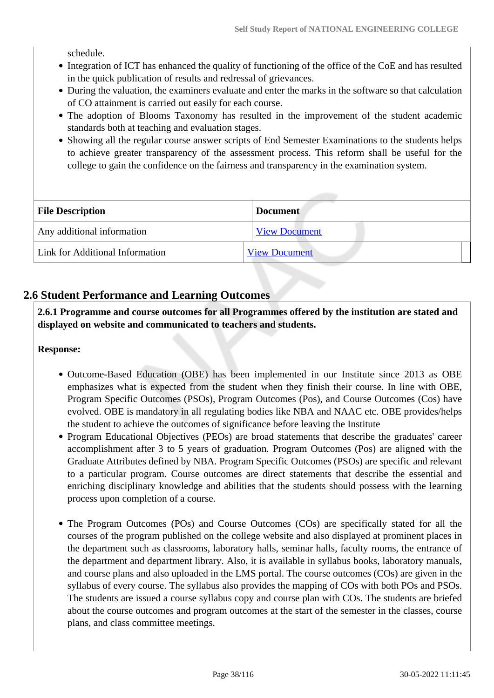schedule.

- Integration of ICT has enhanced the quality of functioning of the office of the CoE and has resulted in the quick publication of results and redressal of grievances.
- During the valuation, the examiners evaluate and enter the marks in the software so that calculation of CO attainment is carried out easily for each course.
- The adoption of Blooms Taxonomy has resulted in the improvement of the student academic standards both at teaching and evaluation stages.
- Showing all the regular course answer scripts of End Semester Examinations to the students helps to achieve greater transparency of the assessment process. This reform shall be useful for the college to gain the confidence on the fairness and transparency in the examination system.

| <b>File Description</b>         | <b>Document</b>      |
|---------------------------------|----------------------|
| Any additional information      | <b>View Document</b> |
| Link for Additional Information | <b>View Document</b> |

## **2.6 Student Performance and Learning Outcomes**

 **2.6.1 Programme and course outcomes for all Programmes offered by the institution are stated and displayed on website and communicated to teachers and students.**

**Response:** 

- Outcome-Based Education (OBE) has been implemented in our Institute since 2013 as OBE emphasizes what is expected from the student when they finish their course. In line with OBE, Program Specific Outcomes (PSOs), Program Outcomes (Pos), and Course Outcomes (Cos) have evolved. OBE is mandatory in all regulating bodies like NBA and NAAC etc. OBE provides/helps the student to achieve the outcomes of significance before leaving the Institute
- Program Educational Objectives (PEOs) are broad statements that describe the graduates' career accomplishment after 3 to 5 years of graduation. Program Outcomes (Pos) are aligned with the Graduate Attributes defined by NBA. Program Specific Outcomes (PSOs) are specific and relevant to a particular program. Course outcomes are direct statements that describe the essential and enriching disciplinary knowledge and abilities that the students should possess with the learning process upon completion of a course.
- The Program Outcomes (POs) and Course Outcomes (COs) are specifically stated for all the courses of the program published on the college website and also displayed at prominent places in the department such as classrooms, laboratory halls, seminar halls, faculty rooms, the entrance of the department and department library. Also, it is available in syllabus books, laboratory manuals, and course plans and also uploaded in the LMS portal. The course outcomes (COs) are given in the syllabus of every course. The syllabus also provides the mapping of COs with both POs and PSOs. The students are issued a course syllabus copy and course plan with COs. The students are briefed about the course outcomes and program outcomes at the start of the semester in the classes, course plans, and class committee meetings.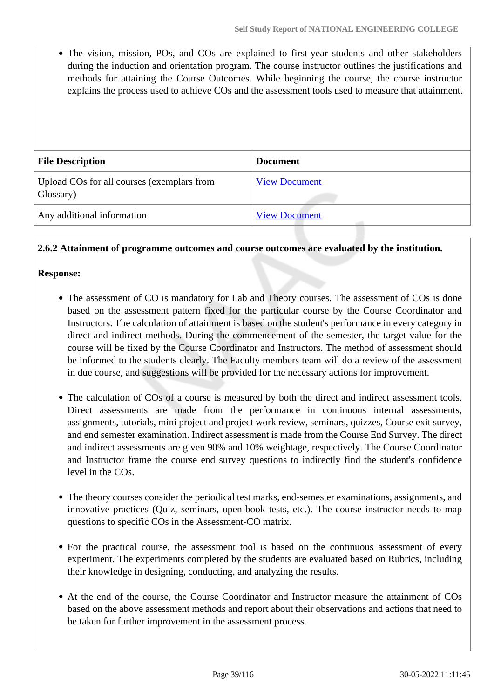• The vision, mission, POs, and COs are explained to first-year students and other stakeholders during the induction and orientation program. The course instructor outlines the justifications and methods for attaining the Course Outcomes. While beginning the course, the course instructor explains the process used to achieve COs and the assessment tools used to measure that attainment.

| <b>File Description</b>                                 | <b>Document</b>      |
|---------------------------------------------------------|----------------------|
| Upload COs for all courses (exemplars from<br>Glossary) | <b>View Document</b> |
| Any additional information                              | <b>View Document</b> |

**2.6.2 Attainment of programme outcomes and course outcomes are evaluated by the institution.**

#### **Response:**

- The assessment of CO is mandatory for Lab and Theory courses. The assessment of COs is done based on the assessment pattern fixed for the particular course by the Course Coordinator and Instructors. The calculation of attainment is based on the student's performance in every category in direct and indirect methods. During the commencement of the semester, the target value for the course will be fixed by the Course Coordinator and Instructors. The method of assessment should be informed to the students clearly. The Faculty members team will do a review of the assessment in due course, and suggestions will be provided for the necessary actions for improvement.
- The calculation of COs of a course is measured by both the direct and indirect assessment tools. Direct assessments are made from the performance in continuous internal assessments, assignments, tutorials, mini project and project work review, seminars, quizzes, Course exit survey, and end semester examination. Indirect assessment is made from the Course End Survey. The direct and indirect assessments are given 90% and 10% weightage, respectively. The Course Coordinator and Instructor frame the course end survey questions to indirectly find the student's confidence level in the COs.
- The theory courses consider the periodical test marks, end-semester examinations, assignments, and innovative practices (Quiz, seminars, open-book tests, etc.). The course instructor needs to map questions to specific COs in the Assessment-CO matrix.
- For the practical course, the assessment tool is based on the continuous assessment of every experiment. The experiments completed by the students are evaluated based on Rubrics, including their knowledge in designing, conducting, and analyzing the results.
- At the end of the course, the Course Coordinator and Instructor measure the attainment of COs based on the above assessment methods and report about their observations and actions that need to be taken for further improvement in the assessment process.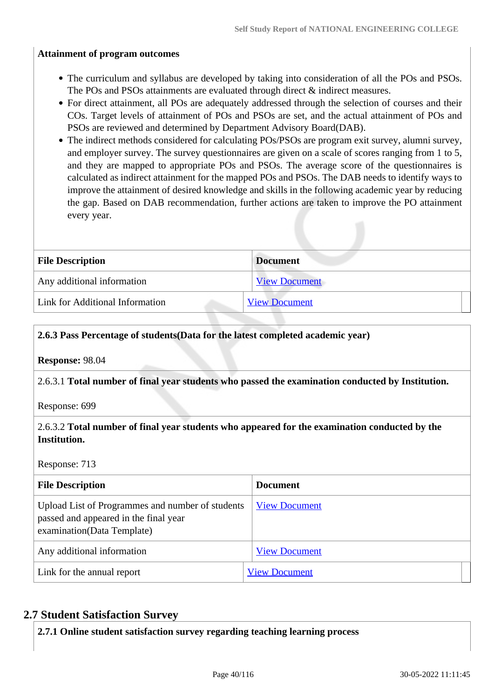#### **Attainment of program outcomes**

- The curriculum and syllabus are developed by taking into consideration of all the POs and PSOs. The POs and PSOs attainments are evaluated through direct  $\&$  indirect measures.
- For direct attainment, all POs are adequately addressed through the selection of courses and their COs. Target levels of attainment of POs and PSOs are set, and the actual attainment of POs and PSOs are reviewed and determined by Department Advisory Board(DAB).
- The indirect methods considered for calculating POs/PSOs are program exit survey, alumni survey, and employer survey. The survey questionnaires are given on a scale of scores ranging from 1 to 5, and they are mapped to appropriate POs and PSOs. The average score of the questionnaires is calculated as indirect attainment for the mapped POs and PSOs. The DAB needs to identify ways to improve the attainment of desired knowledge and skills in the following academic year by reducing the gap. Based on DAB recommendation, further actions are taken to improve the PO attainment every year.

| <b>File Description</b>         | <b>Document</b>      |
|---------------------------------|----------------------|
| Any additional information      | <b>View Document</b> |
| Link for Additional Information | <b>View Document</b> |

#### **2.6.3 Pass Percentage of students(Data for the latest completed academic year)**

**Response:** 98.04

#### 2.6.3.1 **Total number of final year students who passed the examination conducted by Institution.**

Response: 699

### 2.6.3.2 **Total number of final year students who appeared for the examination conducted by the Institution.**

Response: 713

| <b>File Description</b>                                                                                                  | <b>Document</b>      |
|--------------------------------------------------------------------------------------------------------------------------|----------------------|
| Upload List of Programmes and number of students<br>passed and appeared in the final year<br>examination (Data Template) | <b>View Document</b> |
| Any additional information                                                                                               | <b>View Document</b> |
| Link for the annual report                                                                                               | <b>View Document</b> |

### **2.7 Student Satisfaction Survey**

**2.7.1 Online student satisfaction survey regarding teaching learning process**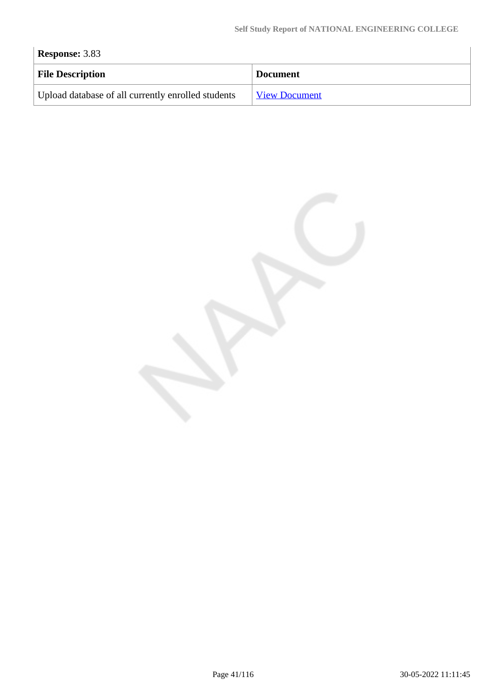| <b>Response: 3.83</b>                              |                      |
|----------------------------------------------------|----------------------|
| <b>File Description</b>                            | <b>Document</b>      |
| Upload database of all currently enrolled students | <b>View Document</b> |

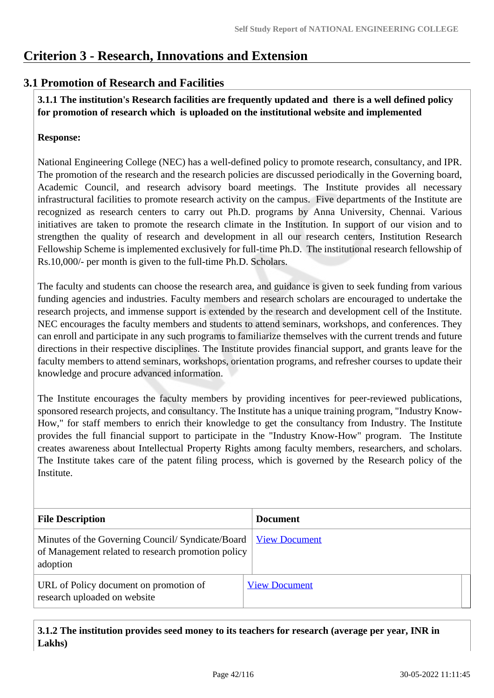# **Criterion 3 - Research, Innovations and Extension**

## **3.1 Promotion of Research and Facilities**

 **3.1.1 The institution's Research facilities are frequently updated and there is a well defined policy for promotion of research which is uploaded on the institutional website and implemented**

### **Response:**

National Engineering College (NEC) has a well-defined policy to promote research, consultancy, and IPR. The promotion of the research and the research policies are discussed periodically in the Governing board, Academic Council, and research advisory board meetings. The Institute provides all necessary infrastructural facilities to promote research activity on the campus. Five departments of the Institute are recognized as research centers to carry out Ph.D. programs by Anna University, Chennai. Various initiatives are taken to promote the research climate in the Institution. In support of our vision and to strengthen the quality of research and development in all our research centers, Institution Research Fellowship Scheme is implemented exclusively for full-time Ph.D. The institutional research fellowship of Rs.10,000/- per month is given to the full-time Ph.D. Scholars.

The faculty and students can choose the research area, and guidance is given to seek funding from various funding agencies and industries. Faculty members and research scholars are encouraged to undertake the research projects, and immense support is extended by the research and development cell of the Institute. NEC encourages the faculty members and students to attend seminars, workshops, and conferences. They can enroll and participate in any such programs to familiarize themselves with the current trends and future directions in their respective disciplines. The Institute provides financial support, and grants leave for the faculty members to attend seminars, workshops, orientation programs, and refresher courses to update their knowledge and procure advanced information.

The Institute encourages the faculty members by providing incentives for peer-reviewed publications, sponsored research projects, and consultancy. The Institute has a unique training program, "Industry Know-How," for staff members to enrich their knowledge to get the consultancy from Industry. The Institute provides the full financial support to participate in the "Industry Know-How" program. The Institute creates awareness about Intellectual Property Rights among faculty members, researchers, and scholars. The Institute takes care of the patent filing process, which is governed by the Research policy of the **Institute** 

| <b>File Description</b>                                                                                             | <b>Document</b>      |
|---------------------------------------------------------------------------------------------------------------------|----------------------|
| Minutes of the Governing Council/ Syndicate/Board<br>of Management related to research promotion policy<br>adoption | <b>View Document</b> |
| URL of Policy document on promotion of<br>research uploaded on website                                              | <b>View Document</b> |

 **3.1.2 The institution provides seed money to its teachers for research (average per year, INR in Lakhs)**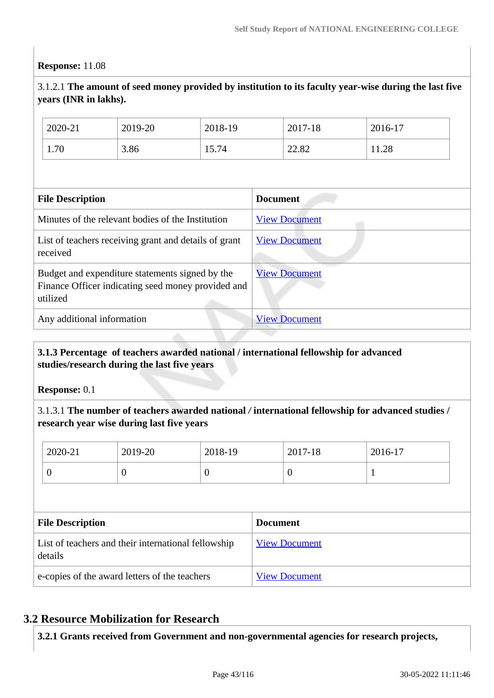#### **Response:** 11.08

### 3.1.2.1 **The amount of seed money provided by institution to its faculty year-wise during the last five years (INR in lakhs).**

| File Decembrian |         | <b>Dommont</b> |         |         |
|-----------------|---------|----------------|---------|---------|
|                 |         |                |         |         |
| 1.70            | 3.86    | 15.74          | 22.82   | 11.28   |
| 2020-21         | 2019-20 | 2018-19        | 2017-18 | 2016-17 |

| <b>File Description</b>                                                                                           | <b>Document</b>      |
|-------------------------------------------------------------------------------------------------------------------|----------------------|
| Minutes of the relevant bodies of the Institution                                                                 | <b>View Document</b> |
| List of teachers receiving grant and details of grant<br>received                                                 | <b>View Document</b> |
| Budget and expenditure statements signed by the<br>Finance Officer indicating seed money provided and<br>utilized | <b>View Document</b> |
| Any additional information                                                                                        | <b>View Document</b> |

### **3.1.3 Percentage of teachers awarded national / international fellowship for advanced studies/research during the last five years**

**Response:** 0.1

3.1.3.1 **The number of teachers awarded national** */* **international fellowship for advanced studies / research year wise during last five years**

|                                                                | 2020-21        | 2019-20  | 2018-19              |  | 2017-18          | 2016-17 |
|----------------------------------------------------------------|----------------|----------|----------------------|--|------------------|---------|
|                                                                | $\overline{0}$ | $\theta$ | $\overline{0}$       |  | $\boldsymbol{0}$ |         |
|                                                                |                |          |                      |  |                  |         |
| <b>File Description</b>                                        |                |          | <b>Document</b>      |  |                  |         |
| List of teachers and their international fellowship<br>details |                |          | <b>View Document</b> |  |                  |         |
|                                                                |                |          |                      |  |                  |         |

### **3.2 Resource Mobilization for Research**

**3.2.1 Grants received from Government and non-governmental agencies for research projects,**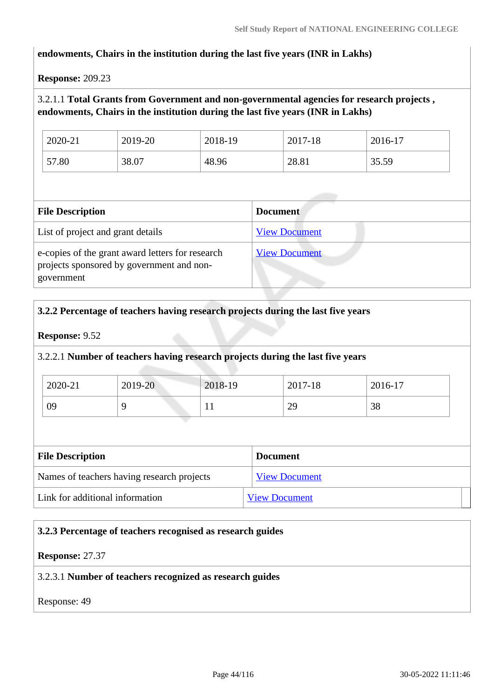#### **endowments, Chairs in the institution during the last five years (INR in Lakhs)**

#### **Response:** 209.23

### 3.2.1.1 **Total Grants from Government and non-governmental agencies for research projects , endowments, Chairs in the institution during the last five years (INR in Lakhs)**

| 2020-21 | 2019-20 | 2018-19 | 2017-18 | 2016-17 |
|---------|---------|---------|---------|---------|
| 57.80   | 38.07   | 48.96   | 28.81   | 35.59   |

| <b>File Description</b>                                                                                     | <b>Document</b>      |
|-------------------------------------------------------------------------------------------------------------|----------------------|
| List of project and grant details                                                                           | <b>View Document</b> |
| e-copies of the grant award letters for research<br>projects sponsored by government and non-<br>government | <b>View Document</b> |

#### **3.2.2 Percentage of teachers having research projects during the last five years**

### **Response:** 9.52

#### 3.2.2.1 **Number of teachers having research projects during the last five years**

| 2020-21 | 2019-20 | 2018-19 | 2017-18 | 2016-17 |
|---------|---------|---------|---------|---------|
| 09      |         | T T     | 29      | 38      |

| <b>File Description</b>                    | <b>Document</b>      |
|--------------------------------------------|----------------------|
| Names of teachers having research projects | <b>View Document</b> |
| Link for additional information            | <b>View Document</b> |

#### **3.2.3 Percentage of teachers recognised as research guides**

#### **Response:** 27.37

#### 3.2.3.1 **Number of teachers recognized as research guides**

Response: 49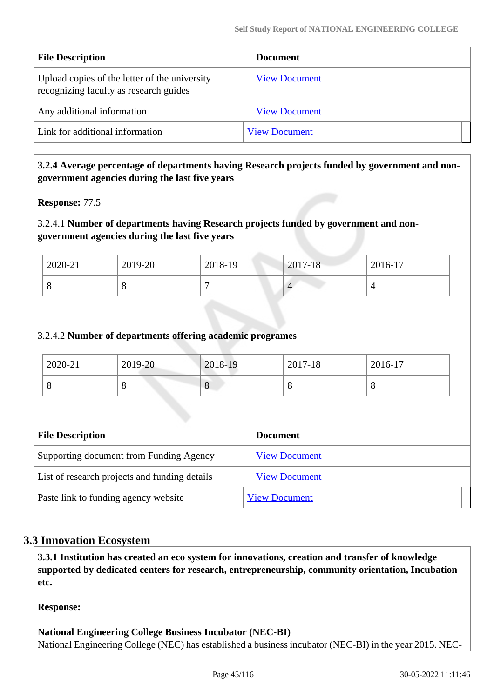| <b>File Description</b>                                                                 | <b>Document</b>      |
|-----------------------------------------------------------------------------------------|----------------------|
| Upload copies of the letter of the university<br>recognizing faculty as research guides | <b>View Document</b> |
| Any additional information                                                              | <b>View Document</b> |
| Link for additional information                                                         | <b>View Document</b> |

### **3.2.4 Average percentage of departments having Research projects funded by government and nongovernment agencies during the last five years**

**Response:** 77.5

### 3.2.4.1 **Number of departments having Research projects funded by government and nongovernment agencies during the last five years**

| 2020-21 | 2019-20 | 2018-19 | $2017 - 18$ | 2016-17 |
|---------|---------|---------|-------------|---------|
|         | О       |         |             |         |

### 3.2.4.2 **Number of departments offering academic programes**

| 2020-21 | 2019-20 | 2018-19 | 2017-18 | 2016-17 |
|---------|---------|---------|---------|---------|
|         | ◡       | $\circ$ | u       |         |

| <b>File Description</b>                       | <b>Document</b>      |
|-----------------------------------------------|----------------------|
| Supporting document from Funding Agency       | <b>View Document</b> |
| List of research projects and funding details | <b>View Document</b> |
| Paste link to funding agency website          | <b>View Document</b> |

### **3.3 Innovation Ecosystem**

 **3.3.1 Institution has created an eco system for innovations, creation and transfer of knowledge supported by dedicated centers for research, entrepreneurship, community orientation, Incubation etc.**

**Response:** 

### **National Engineering College Business Incubator (NEC-BI)**

National Engineering College (NEC) has established a business incubator (NEC-BI) in the year 2015. NEC-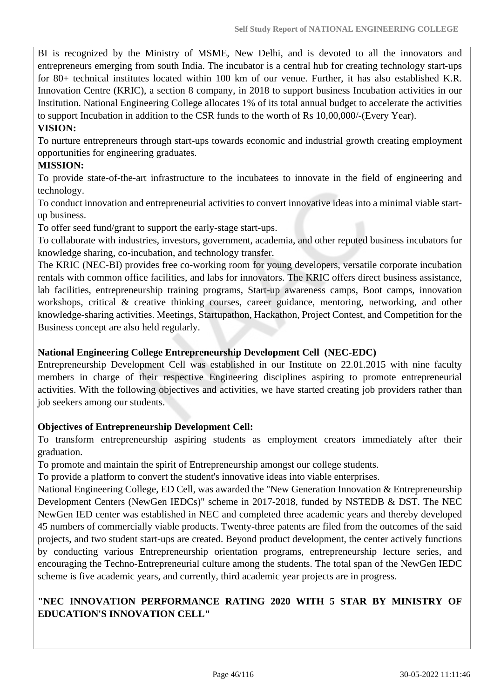BI is recognized by the Ministry of MSME, New Delhi, and is devoted to all the innovators and entrepreneurs emerging from south India. The incubator is a central hub for creating technology start-ups for 80+ technical institutes located within 100 km of our venue. Further, it has also established K.R. Innovation Centre (KRIC), a section 8 company, in 2018 to support business Incubation activities in our Institution. National Engineering College allocates 1% of its total annual budget to accelerate the activities to support Incubation in addition to the CSR funds to the worth of Rs 10,00,000/-(Every Year).

#### **VISION:**

To nurture entrepreneurs through start-ups towards economic and industrial growth creating employment opportunities for engineering graduates.

### **MISSION:**

To provide state-of-the-art infrastructure to the incubatees to innovate in the field of engineering and technology.

To conduct innovation and entrepreneurial activities to convert innovative ideas into a minimal viable startup business.

To offer seed fund/grant to support the early-stage start-ups.

To collaborate with industries, investors, government, academia, and other reputed business incubators for knowledge sharing, co-incubation, and technology transfer.

The KRIC (NEC-BI) provides free co-working room for young developers, versatile corporate incubation rentals with common office facilities, and labs for innovators. The KRIC offers direct business assistance, lab facilities, entrepreneurship training programs, Start-up awareness camps, Boot camps, innovation workshops, critical & creative thinking courses, career guidance, mentoring, networking, and other knowledge-sharing activities. Meetings, Startupathon, Hackathon, Project Contest, and Competition for the Business concept are also held regularly.

### **National Engineering College Entrepreneurship Development Cell (NEC-EDC)**

Entrepreneurship Development Cell was established in our Institute on 22.01.2015 with nine faculty members in charge of their respective Engineering disciplines aspiring to promote entrepreneurial activities. With the following objectives and activities, we have started creating job providers rather than job seekers among our students.

### **Objectives of Entrepreneurship Development Cell:**

To transform entrepreneurship aspiring students as employment creators immediately after their graduation.

To promote and maintain the spirit of Entrepreneurship amongst our college students.

To provide a platform to convert the student's innovative ideas into viable enterprises.

National Engineering College, ED Cell, was awarded the "New Generation Innovation & Entrepreneurship Development Centers (NewGen IEDCs)" scheme in 2017-2018, funded by NSTEDB & DST. The NEC NewGen IED center was established in NEC and completed three academic years and thereby developed 45 numbers of commercially viable products. Twenty-three patents are filed from the outcomes of the said projects, and two student start-ups are created. Beyond product development, the center actively functions by conducting various Entrepreneurship orientation programs, entrepreneurship lecture series, and encouraging the Techno-Entrepreneurial culture among the students. The total span of the NewGen IEDC scheme is five academic years, and currently, third academic year projects are in progress.

### **"NEC INNOVATION PERFORMANCE RATING 2020 WITH 5 STAR BY MINISTRY OF EDUCATION'S INNOVATION CELL"**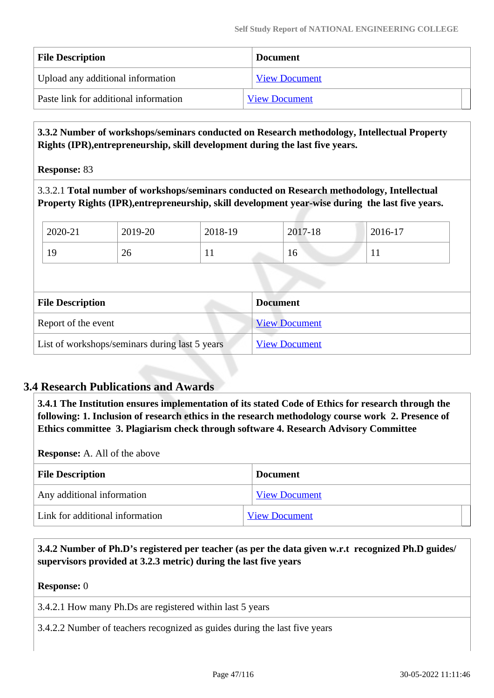| <b>File Description</b>               | <b>Document</b>      |
|---------------------------------------|----------------------|
| Upload any additional information     | <b>View Document</b> |
| Paste link for additional information | <b>View Document</b> |

 **3.3.2 Number of workshops/seminars conducted on Research methodology, Intellectual Property Rights (IPR),entrepreneurship, skill development during the last five years.**

**Response:** 83

3.3.2.1 **Total number of workshops/seminars conducted on Research methodology, Intellectual Property Rights (IPR),entrepreneurship, skill development year-wise during the last five years.**

| 2020-21                                        | 2019-20                                    | 2018-19 | 2017-18              | 2016-17 |  |
|------------------------------------------------|--------------------------------------------|---------|----------------------|---------|--|
| 19                                             | 26                                         | 11      | 16                   | 11      |  |
|                                                |                                            |         |                      |         |  |
|                                                | <b>File Description</b><br><b>Document</b> |         |                      |         |  |
| Report of the event                            |                                            |         | <b>View Document</b> |         |  |
| List of workshops/seminars during last 5 years |                                            |         | <b>View Document</b> |         |  |

## **3.4 Research Publications and Awards**

 **3.4.1 The Institution ensures implementation of its stated Code of Ethics for research through the following: 1. Inclusion of research ethics in the research methodology course work 2. Presence of Ethics committee 3. Plagiarism check through software 4. Research Advisory Committee**

**Response:** A. All of the above

| <b>File Description</b>         | <b>Document</b>      |
|---------------------------------|----------------------|
| Any additional information      | <b>View Document</b> |
| Link for additional information | <b>View Document</b> |

### **3.4.2 Number of Ph.D's registered per teacher (as per the data given w.r.t recognized Ph.D guides/ supervisors provided at 3.2.3 metric) during the last five years**

**Response:** 0

3.4.2.1 How many Ph.Ds are registered within last 5 years

3.4.2.2 Number of teachers recognized as guides during the last five years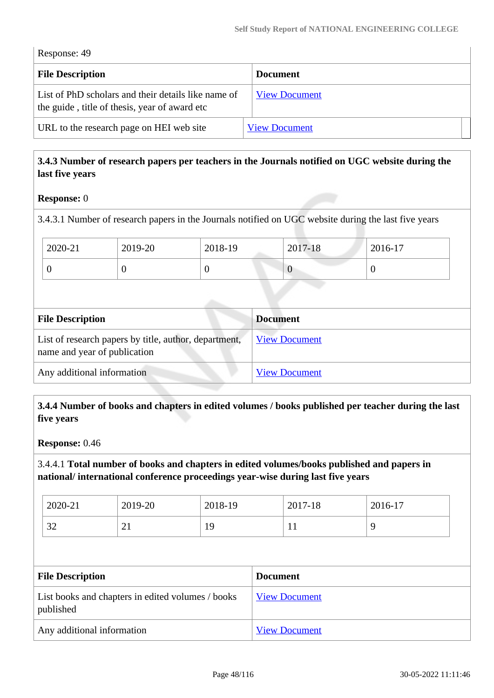Response: 49

| <b>File Description</b>                                                                              | <b>Document</b>      |  |
|------------------------------------------------------------------------------------------------------|----------------------|--|
| List of PhD scholars and their details like name of<br>the guide, title of thesis, year of award etc | <b>View Document</b> |  |
| URL to the research page on HEI web site                                                             | <b>View Document</b> |  |

### **3.4.3 Number of research papers per teachers in the Journals notified on UGC website during the last five years**

#### **Response:** 0

3.4.3.1 Number of research papers in the Journals notified on UGC website during the last five years

| 2020-21 | 2019-20 | 2018-19 | 2017-18 | 2016-17 |
|---------|---------|---------|---------|---------|
|         |         |         | v       | v       |

| <b>File Description</b>                                                               | <b>Document</b>      |
|---------------------------------------------------------------------------------------|----------------------|
| List of research papers by title, author, department,<br>name and year of publication | <b>View Document</b> |
| Any additional information                                                            | <b>View Document</b> |

### **3.4.4 Number of books and chapters in edited volumes / books published per teacher during the last five years**

**Response:** 0.46

3.4.4.1 **Total number of books and chapters in edited volumes/books published and papers in national/ international conference proceedings year-wise during last five years**

| 2020-21       | 2019-20 | 2018-19       | 2017-18 | 2016-17 |
|---------------|---------|---------------|---------|---------|
| $\cap$<br>ے ر | ◠<br>∠⊥ | Q<br><b>T</b> | . .     |         |

| <b>File Description</b>                                        | <b>Document</b>      |
|----------------------------------------------------------------|----------------------|
| List books and chapters in edited volumes / books<br>published | <b>View Document</b> |
| Any additional information                                     | <b>View Document</b> |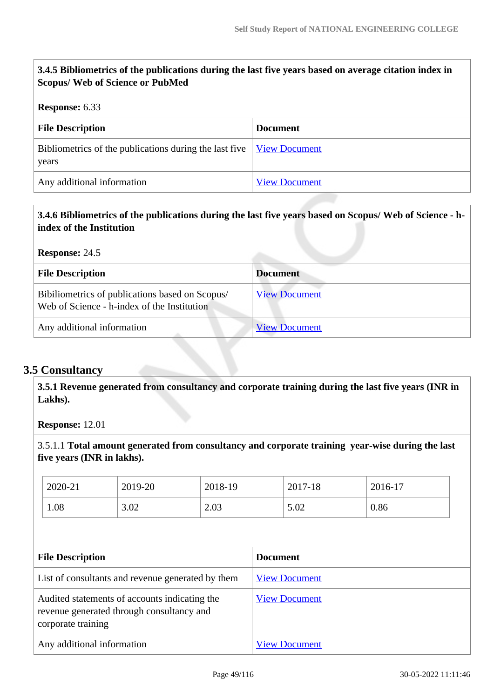## **3.4.5 Bibliometrics of the publications during the last five years based on average citation index in Scopus/ Web of Science or PubMed**

#### **Response:** 6.33

| <b>File Description</b>                                                                                                                      | <b>Document</b>      |
|----------------------------------------------------------------------------------------------------------------------------------------------|----------------------|
| Bibliometrics of the publications during the last five $\frac{V_{\text{icw}}}{V_{\text{icw}}}\frac{V_{\text{icw}}}{V_{\text{icw}}}$<br>years |                      |
| Any additional information                                                                                                                   | <b>View Document</b> |

## **3.4.6 Bibliometrics of the publications during the last five years based on Scopus/ Web of Science - hindex of the Institution**

**Response:** 24.5

| <b>File Description</b>                                                                        | <b>Document</b>      |
|------------------------------------------------------------------------------------------------|----------------------|
| Bibiliometrics of publications based on Scopus/<br>Web of Science - h-index of the Institution | <b>View Document</b> |
| Any additional information                                                                     | <b>View Document</b> |

### **3.5 Consultancy**

 **3.5.1 Revenue generated from consultancy and corporate training during the last five years (INR in Lakhs).**

**Response:** 12.01

3.5.1.1 **Total amount generated from consultancy and corporate training year-wise during the last five years (INR in lakhs).**

|                                                                                                                  | 2020-21 | 2019-20              | 2018-19              |                      | 2017-18 | 2016-17 |  |
|------------------------------------------------------------------------------------------------------------------|---------|----------------------|----------------------|----------------------|---------|---------|--|
|                                                                                                                  | 1.08    | 3.02                 | 2.03                 |                      | 5.02    | 0.86    |  |
|                                                                                                                  |         |                      |                      |                      |         |         |  |
|                                                                                                                  |         |                      |                      |                      |         |         |  |
| <b>File Description</b>                                                                                          |         |                      | <b>Document</b>      |                      |         |         |  |
| List of consultants and revenue generated by them                                                                |         | <b>View Document</b> |                      |                      |         |         |  |
| Audited statements of accounts indicating the<br>revenue generated through consultancy and<br>corporate training |         |                      | <b>View Document</b> |                      |         |         |  |
| Any additional information                                                                                       |         |                      |                      | <b>View Document</b> |         |         |  |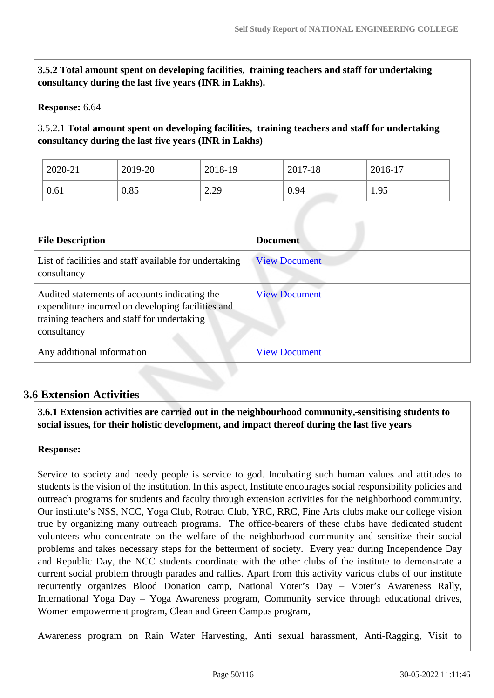**3.5.2 Total amount spent on developing facilities, training teachers and staff for undertaking consultancy during the last five years (INR in Lakhs).**

#### **Response:** 6.64

### 3.5.2.1 **Total amount spent on developing facilities, training teachers and staff for undertaking consultancy during the last five years (INR in Lakhs)**

| 2020-21 | 2019-20 | 2018-19 | 2017-18 | 2016-17 |
|---------|---------|---------|---------|---------|
| 0.61    | 0.85    | 2.29    | 0.94    | 1.95    |

| <b>File Description</b>                                                                                                                                          | <b>Document</b>      |
|------------------------------------------------------------------------------------------------------------------------------------------------------------------|----------------------|
| List of facilities and staff available for undertaking<br>consultancy                                                                                            | <b>View Document</b> |
| Audited statements of accounts indicating the<br>expenditure incurred on developing facilities and<br>training teachers and staff for undertaking<br>consultancy | <b>View Document</b> |
| Any additional information                                                                                                                                       | <b>View Document</b> |

### **3.6 Extension Activities**

 **3.6.1 Extension activities are carried out in the neighbourhood community, sensitising students to social issues, for their holistic development, and impact thereof during the last five years**

### **Response:**

Service to society and needy people is service to god. Incubating such human values and attitudes to students is the vision of the institution. In this aspect, Institute encourages social responsibility policies and outreach programs for students and faculty through extension activities for the neighborhood community. Our institute's NSS, NCC, Yoga Club, Rotract Club, YRC, RRC, Fine Arts clubs make our college vision true by organizing many outreach programs. The office-bearers of these clubs have dedicated student volunteers who concentrate on the welfare of the neighborhood community and sensitize their social problems and takes necessary steps for the betterment of society. Every year during Independence Day and Republic Day, the NCC students coordinate with the other clubs of the institute to demonstrate a current social problem through parades and rallies. Apart from this activity various clubs of our institute recurrently organizes Blood Donation camp, National Voter's Day – Voter's Awareness Rally, International Yoga Day – Yoga Awareness program, Community service through educational drives, Women empowerment program, Clean and Green Campus program,

Awareness program on Rain Water Harvesting, Anti sexual harassment, Anti-Ragging, Visit to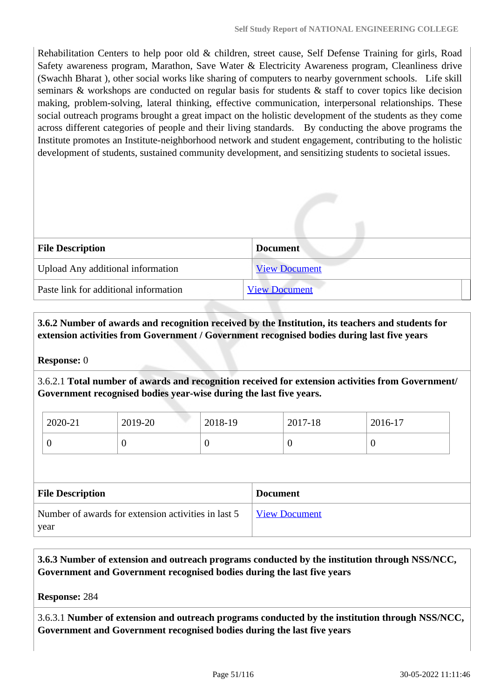Rehabilitation Centers to help poor old & children, street cause, Self Defense Training for girls, Road Safety awareness program, Marathon, Save Water & Electricity Awareness program, Cleanliness drive (Swachh Bharat ), other social works like sharing of computers to nearby government schools. Life skill seminars & workshops are conducted on regular basis for students & staff to cover topics like decision making, problem-solving, lateral thinking, effective communication, interpersonal relationships. These social outreach programs brought a great impact on the holistic development of the students as they come across different categories of people and their living standards. By conducting the above programs the Institute promotes an Institute-neighborhood network and student engagement, contributing to the holistic development of students, sustained community development, and sensitizing students to societal issues.

| <b>File Description</b>               | <b>Document</b>      |
|---------------------------------------|----------------------|
| Upload Any additional information     | <b>View Document</b> |
| Paste link for additional information | <b>View Document</b> |

 **3.6.2 Number of awards and recognition received by the Institution, its teachers and students for extension activities from Government / Government recognised bodies during last five years**

### **Response:** 0

3.6.2.1 **Total number of awards and recognition received for extension activities from Government/ Government recognised bodies year-wise during the last five years.**

| 2020-21 | 2019-20 | 2018-19 | 2017-18 | 2016-17 |
|---------|---------|---------|---------|---------|
|         |         | ν       |         | ິ       |

| <b>File Description</b>                             | <b>Document</b>      |
|-----------------------------------------------------|----------------------|
| Number of awards for extension activities in last 5 | <b>View Document</b> |
| year                                                |                      |

 **3.6.3 Number of extension and outreach programs conducted by the institution through NSS/NCC, Government and Government recognised bodies during the last five years**

**Response:** 284

3.6.3.1 **Number of extension and outreach programs conducted by the institution through NSS/NCC, Government and Government recognised bodies during the last five years**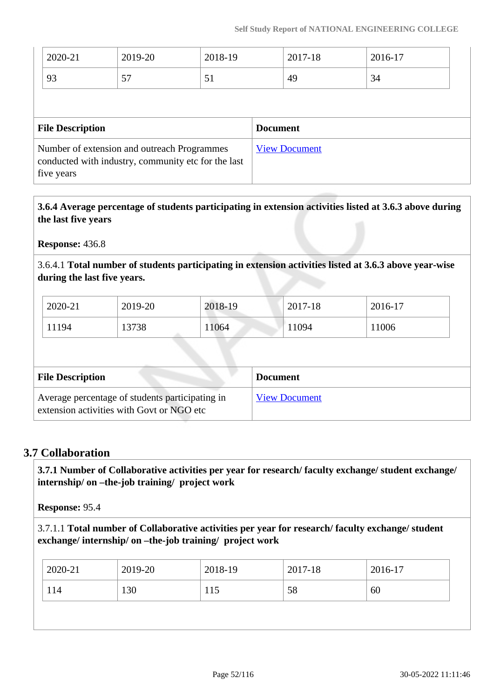| 2020-21                                                                                                          | 2019-20 | 2018-19 |                 | 2017-18 | 2016-17 |
|------------------------------------------------------------------------------------------------------------------|---------|---------|-----------------|---------|---------|
| 93                                                                                                               | 57      | 51      |                 | 49      | 34      |
|                                                                                                                  |         |         |                 |         |         |
| <b>File Description</b>                                                                                          |         |         | <b>Document</b> |         |         |
| Number of extension and outreach Programmes<br>conducted with industry, community etc for the last<br>five years |         |         |                 |         |         |

 **3.6.4 Average percentage of students participating in extension activities listed at 3.6.3 above during the last five years**

**Response:** 436.8

3.6.4.1 **Total number of students participating in extension activities listed at 3.6.3 above year-wise during the last five years.**

| 2020-21 | 2019-20 | 2018-19 | 2017-18 | 2016-17 |
|---------|---------|---------|---------|---------|
| 11194   | 13738   | 11064   | 11094   | 11006   |

| <b>File Description</b>                                                                      | <b>Document</b>      |
|----------------------------------------------------------------------------------------------|----------------------|
| Average percentage of students participating in<br>extension activities with Govt or NGO etc | <b>View Document</b> |

### **3.7 Collaboration**

 **3.7.1 Number of Collaborative activities per year for research/ faculty exchange/ student exchange/ internship/ on –the-job training/ project work** 

**Response:** 95.4

3.7.1.1 **Total number of Collaborative activities per year for research/ faculty exchange/ student exchange/ internship/ on –the-job training/ project work** 

| 130<br>114<br>58<br>115<br>60 |  |
|-------------------------------|--|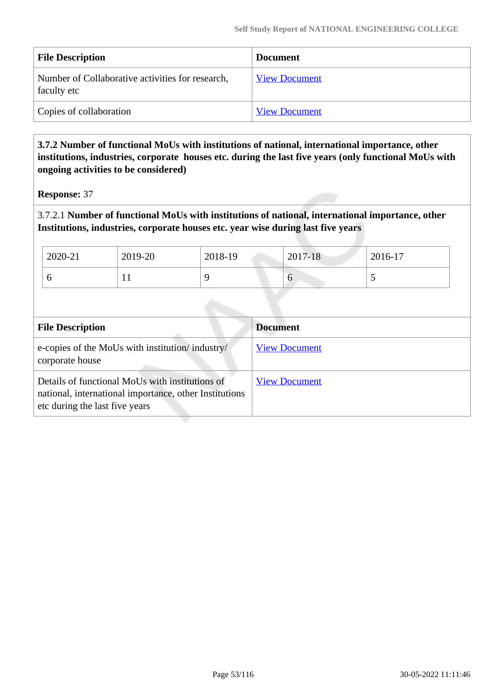| <b>File Description</b>                                         | <b>Document</b>      |
|-----------------------------------------------------------------|----------------------|
| Number of Collaborative activities for research,<br>faculty etc | <b>View Document</b> |
| Copies of collaboration                                         | <b>View Document</b> |

### **3.7.2 Number of functional MoUs with institutions of national, international importance, other institutions, industries, corporate houses etc. during the last five years (only functional MoUs with ongoing activities to be considered)**

**Response:** 37

3.7.2.1 **Number of functional MoUs with institutions of national, international importance, other Institutions, industries, corporate houses etc. year wise during last five years** 

| 2020-21 | 2019-20 | 2018-19 | 2017-18 | 2016-17 |
|---------|---------|---------|---------|---------|
| O       | 1 L     |         | ິ       | ັ       |

| <b>File Description</b>                                                                                                                     | <b>Document</b>      |  |
|---------------------------------------------------------------------------------------------------------------------------------------------|----------------------|--|
| e-copies of the MoUs with institution/industry/<br>corporate house                                                                          | <b>View Document</b> |  |
| Details of functional MoUs with institutions of<br>national, international importance, other Institutions<br>etc during the last five years | <b>View Document</b> |  |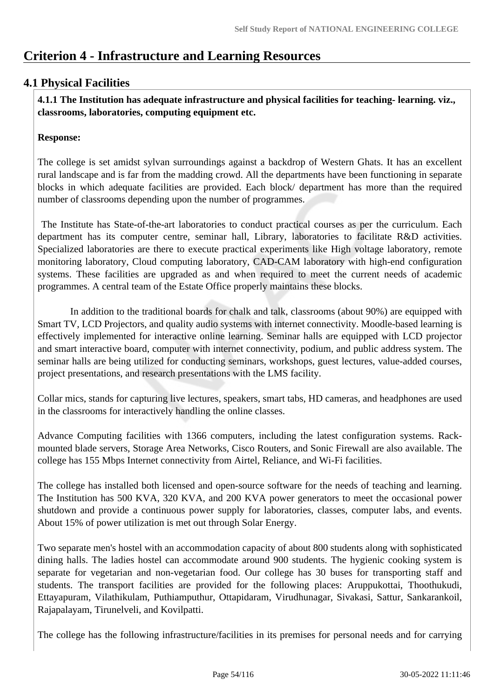# **Criterion 4 - Infrastructure and Learning Resources**

## **4.1 Physical Facilities**

 **4.1.1 The Institution has adequate infrastructure and physical facilities for teaching- learning. viz., classrooms, laboratories, computing equipment etc.** 

### **Response:**

The college is set amidst sylvan surroundings against a backdrop of Western Ghats. It has an excellent rural landscape and is far from the madding crowd. All the departments have been functioning in separate blocks in which adequate facilities are provided. Each block/ department has more than the required number of classrooms depending upon the number of programmes.

 The Institute has State-of-the-art laboratories to conduct practical courses as per the curriculum. Each department has its computer centre, seminar hall, Library, laboratories to facilitate R&D activities. Specialized laboratories are there to execute practical experiments like High voltage laboratory, remote monitoring laboratory, Cloud computing laboratory, CAD-CAM laboratory with high-end configuration systems. These facilities are upgraded as and when required to meet the current needs of academic programmes. A central team of the Estate Office properly maintains these blocks.

 In addition to the traditional boards for chalk and talk, classrooms (about 90%) are equipped with Smart TV, LCD Projectors, and quality audio systems with internet connectivity. Moodle-based learning is effectively implemented for interactive online learning. Seminar halls are equipped with LCD projector and smart interactive board, computer with internet connectivity, podium, and public address system. The seminar halls are being utilized for conducting seminars, workshops, guest lectures, value-added courses, project presentations, and research presentations with the LMS facility.

Collar mics, stands for capturing live lectures, speakers, smart tabs, HD cameras, and headphones are used in the classrooms for interactively handling the online classes.

Advance Computing facilities with 1366 computers, including the latest configuration systems. Rackmounted blade servers, Storage Area Networks, Cisco Routers, and Sonic Firewall are also available. The college has 155 Mbps Internet connectivity from Airtel, Reliance, and Wi-Fi facilities.

The college has installed both licensed and open-source software for the needs of teaching and learning. The Institution has 500 KVA, 320 KVA, and 200 KVA power generators to meet the occasional power shutdown and provide a continuous power supply for laboratories, classes, computer labs, and events. About 15% of power utilization is met out through Solar Energy.

Two separate men's hostel with an accommodation capacity of about 800 students along with sophisticated dining halls. The ladies hostel can accommodate around 900 students. The hygienic cooking system is separate for vegetarian and non-vegetarian food. Our college has 30 buses for transporting staff and students. The transport facilities are provided for the following places: Aruppukottai, Thoothukudi, Ettayapuram, Vilathikulam, Puthiamputhur, Ottapidaram, Virudhunagar, Sivakasi, Sattur, Sankarankoil, Rajapalayam, Tirunelveli, and Kovilpatti.

The college has the following infrastructure/facilities in its premises for personal needs and for carrying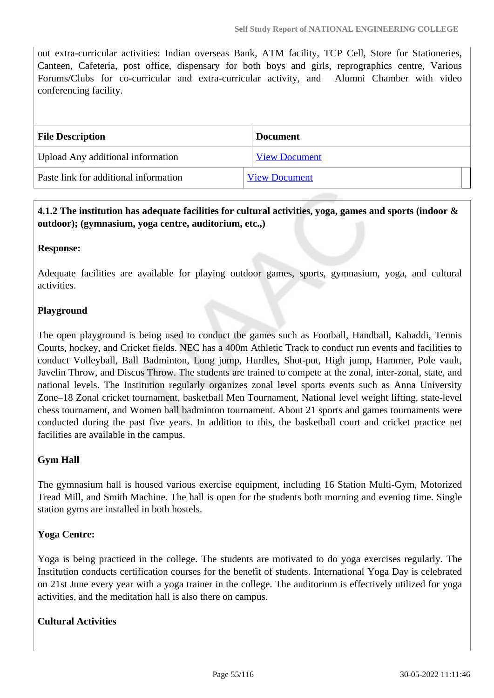out extra-curricular activities: Indian overseas Bank, ATM facility, TCP Cell, Store for Stationeries, Canteen, Cafeteria, post office, dispensary for both boys and girls, reprographics centre, Various Forums/Clubs for co-curricular and extra-curricular activity, and Alumni Chamber with video conferencing facility.

| <b>File Description</b>               | <b>Document</b>      |
|---------------------------------------|----------------------|
| Upload Any additional information     | <b>View Document</b> |
| Paste link for additional information | <b>View Document</b> |

## **4.1.2 The institution has adequate facilities for cultural activities, yoga, games and sports (indoor & outdoor); (gymnasium, yoga centre, auditorium, etc.,)**

#### **Response:**

Adequate facilities are available for playing outdoor games, sports, gymnasium, yoga, and cultural activities.

### **Playground**

The open playground is being used to conduct the games such as Football, Handball, Kabaddi, Tennis Courts, hockey, and Cricket fields. NEC has a 400m Athletic Track to conduct run events and facilities to conduct Volleyball, Ball Badminton, Long jump, Hurdles, Shot-put, High jump, Hammer, Pole vault, Javelin Throw, and Discus Throw. The students are trained to compete at the zonal, inter-zonal, state, and national levels. The Institution regularly organizes zonal level sports events such as Anna University Zone–18 Zonal cricket tournament, basketball Men Tournament, National level weight lifting, state-level chess tournament, and Women ball badminton tournament. About 21 sports and games tournaments were conducted during the past five years. In addition to this, the basketball court and cricket practice net facilities are available in the campus.

### **Gym Hall**

The gymnasium hall is housed various exercise equipment, including 16 Station Multi-Gym, Motorized Tread Mill, and Smith Machine. The hall is open for the students both morning and evening time. Single station gyms are installed in both hostels.

### **Yoga Centre:**

Yoga is being practiced in the college. The students are motivated to do yoga exercises regularly. The Institution conducts certification courses for the benefit of students. International Yoga Day is celebrated on 21st June every year with a yoga trainer in the college. The auditorium is effectively utilized for yoga activities, and the meditation hall is also there on campus.

#### **Cultural Activities**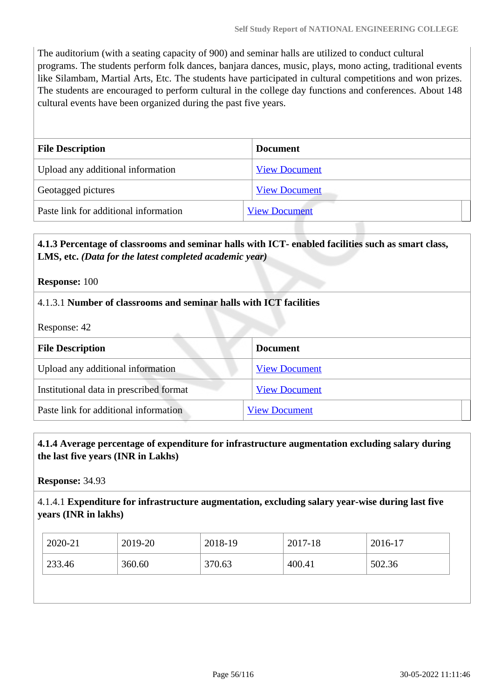The auditorium (with a seating capacity of 900) and seminar halls are utilized to conduct cultural programs. The students perform folk dances, banjara dances, music, plays, mono acting, traditional events like Silambam, Martial Arts, Etc. The students have participated in cultural competitions and won prizes. The students are encouraged to perform cultural in the college day functions and conferences. About 148 cultural events have been organized during the past five years.

| <b>File Description</b>               | <b>Document</b>      |
|---------------------------------------|----------------------|
| Upload any additional information     | <b>View Document</b> |
| Geotagged pictures                    | <b>View Document</b> |
| Paste link for additional information | <b>View Document</b> |

### **4.1.3 Percentage of classrooms and seminar halls with ICT- enabled facilities such as smart class, LMS, etc.** *(Data for the latest completed academic year)*

**Response:** 100

### 4.1.3.1 **Number of classrooms and seminar halls with ICT facilities**

Response: 42

| <b>File Description</b>                 | <b>Document</b>      |  |
|-----------------------------------------|----------------------|--|
| Upload any additional information       | <b>View Document</b> |  |
| Institutional data in prescribed format | <b>View Document</b> |  |
| Paste link for additional information   | <b>View Document</b> |  |

### **4.1.4 Average percentage of expenditure for infrastructure augmentation excluding salary during the last five years (INR in Lakhs)**

**Response:** 34.93

#### 4.1.4.1 **Expenditure for infrastructure augmentation, excluding salary year-wise during last five years (INR in lakhs)**

| 2020-21 | 2019-20 | 2018-19 | 2017-18 | 2016-17 |
|---------|---------|---------|---------|---------|
| 233.46  | 360.60  | 370.63  | 400.41  | 502.36  |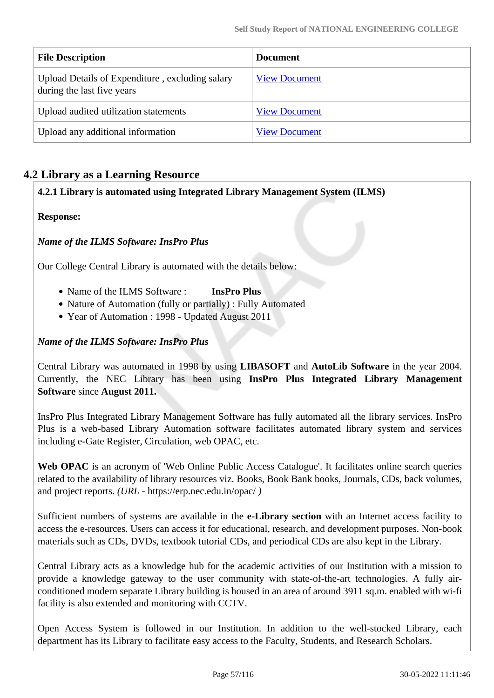| <b>File Description</b>                                                       | <b>Document</b>      |
|-------------------------------------------------------------------------------|----------------------|
| Upload Details of Expenditure, excluding salary<br>during the last five years | <b>View Document</b> |
| Upload audited utilization statements                                         | <b>View Document</b> |
| Upload any additional information                                             | <b>View Document</b> |

## **4.2 Library as a Learning Resource**

### **4.2.1 Library is automated using Integrated Library Management System (ILMS)**

### **Response:**

### *Name of the ILMS Software: InsPro Plus*

Our College Central Library is automated with the details below:

- Name of the ILMS Software : **InsPro Plus**
- Nature of Automation (fully or partially) : Fully Automated
- Year of Automation : 1998 Updated August 2011

### *Name of the ILMS Software: InsPro Plus*

Central Library was automated in 1998 by using **LIBASOFT** and **AutoLib Software** in the year 2004. Currently, the NEC Library has been using **InsPro Plus Integrated Library Management Software** since **August 2011.**

InsPro Plus Integrated Library Management Software has fully automated all the library services. InsPro Plus is a web-based Library Automation software facilitates automated library system and services including e-Gate Register, Circulation, web OPAC, etc.

Web OPAC is an acronym of 'Web Online Public Access Catalogue'. It facilitates online search queries related to the availability of library resources viz. Books, Book Bank books, Journals, CDs, back volumes, and project reports. *(URL -* https://erp.nec.edu.in/opac/ *)*

Sufficient numbers of systems are available in the **e-Library section** with an Internet access facility to access the e-resources. Users can access it for educational, research, and development purposes. Non-book materials such as CDs, DVDs, textbook tutorial CDs, and periodical CDs are also kept in the Library.

Central Library acts as a knowledge hub for the academic activities of our Institution with a mission to provide a knowledge gateway to the user community with state-of-the-art technologies. A fully airconditioned modern separate Library building is housed in an area of around 3911 sq.m. enabled with wi-fi facility is also extended and monitoring with CCTV.

Open Access System is followed in our Institution. In addition to the well-stocked Library, each department has its Library to facilitate easy access to the Faculty, Students, and Research Scholars.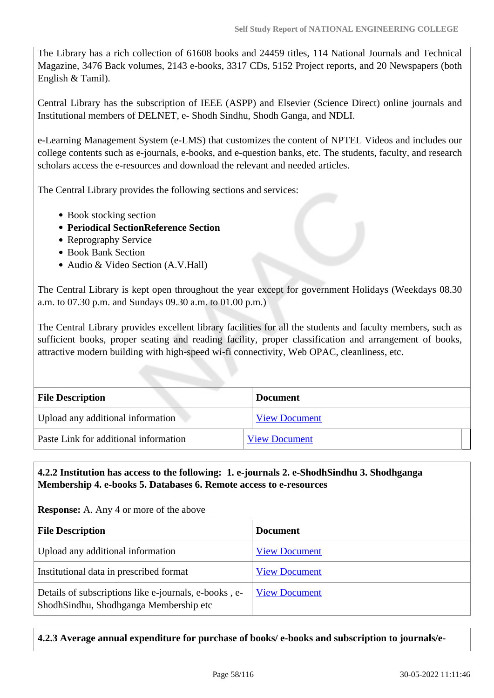The Library has a rich collection of 61608 books and 24459 titles, 114 National Journals and Technical Magazine, 3476 Back volumes, 2143 e-books, 3317 CDs, 5152 Project reports, and 20 Newspapers (both English & Tamil).

Central Library has the subscription of IEEE (ASPP) and Elsevier (Science Direct) online journals and Institutional members of DELNET, e- Shodh Sindhu, Shodh Ganga, and NDLI.

e-Learning Management System (e-LMS) that customizes the content of NPTEL Videos and includes our college contents such as e-journals, e-books, and e-question banks, etc. The students, faculty, and research scholars access the e-resources and download the relevant and needed articles.

The Central Library provides the following sections and services:

- Book stocking section
- **Periodical SectionReference Section**
- Reprography Service
- Book Bank Section
- Audio & Video Section (A.V.Hall)

The Central Library is kept open throughout the year except for government Holidays (Weekdays 08.30 a.m. to 07.30 p.m. and Sundays 09.30 a.m. to 01.00 p.m.)

The Central Library provides excellent library facilities for all the students and faculty members, such as sufficient books, proper seating and reading facility, proper classification and arrangement of books, attractive modern building with high-speed wi-fi connectivity, Web OPAC, cleanliness, etc.

| <b>File Description</b>               | <b>Document</b>      |  |
|---------------------------------------|----------------------|--|
| Upload any additional information     | <b>View Document</b> |  |
| Paste Link for additional information | <b>View Document</b> |  |

### **4.2.2 Institution has access to the following: 1. e-journals 2. e-ShodhSindhu 3. Shodhganga Membership 4. e-books 5. Databases 6. Remote access to e-resources**

**Response:** A. Any 4 or more of the above

| <b>File Description</b>                                                                         | <b>Document</b>      |
|-------------------------------------------------------------------------------------------------|----------------------|
| Upload any additional information                                                               | <b>View Document</b> |
| Institutional data in prescribed format                                                         | <b>View Document</b> |
| Details of subscriptions like e-journals, e-books, e-<br>ShodhSindhu, Shodhganga Membership etc | <b>View Document</b> |

### **4.2.3 Average annual expenditure for purchase of books/ e-books and subscription to journals/e-**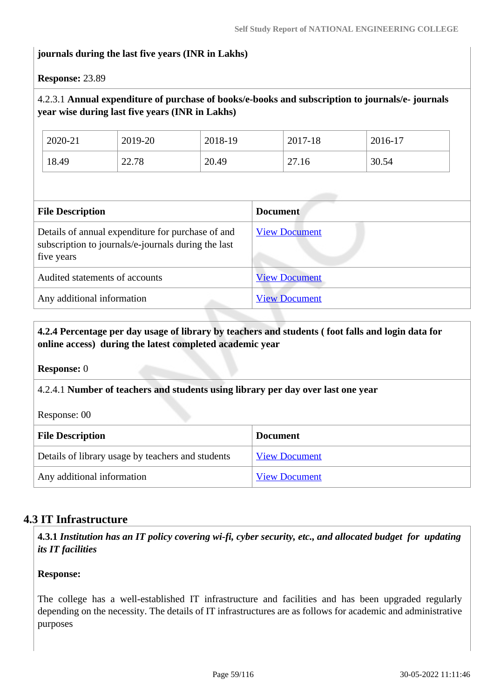### **journals during the last five years (INR in Lakhs)**

**Response:** 23.89

### 4.2.3.1 **Annual expenditure of purchase of books/e-books and subscription to journals/e- journals year wise during last five years (INR in Lakhs)**

| 2020-21 | 2019-20 | 2018-19 | 2017-18 | 2016-17 |
|---------|---------|---------|---------|---------|
| 18.49   | 22.78   | 20.49   | 27.16   | 30.54   |

| <b>File Description</b>                                                                                                | <b>Document</b>      |
|------------------------------------------------------------------------------------------------------------------------|----------------------|
| Details of annual expenditure for purchase of and<br>subscription to journals/e-journals during the last<br>five years | <b>View Document</b> |
| Audited statements of accounts                                                                                         | <b>View Document</b> |
| Any additional information                                                                                             | <b>View Document</b> |

### **4.2.4 Percentage per day usage of library by teachers and students ( foot falls and login data for online access) during the latest completed academic year**

**Response:** 0

### 4.2.4.1 **Number of teachers and students using library per day over last one year**

Response: 00

| <b>File Description</b>                           | <b>Document</b>      |  |
|---------------------------------------------------|----------------------|--|
| Details of library usage by teachers and students | <b>View Document</b> |  |
| Any additional information                        | <b>View Document</b> |  |

### **4.3 IT Infrastructure**

 **4.3.1** *Institution has an IT policy covering wi-fi, cyber security, etc., and allocated budget for updating its IT facilities* 

#### **Response:**

The college has a well-established IT infrastructure and facilities and has been upgraded regularly depending on the necessity. The details of IT infrastructures are as follows for academic and administrative purposes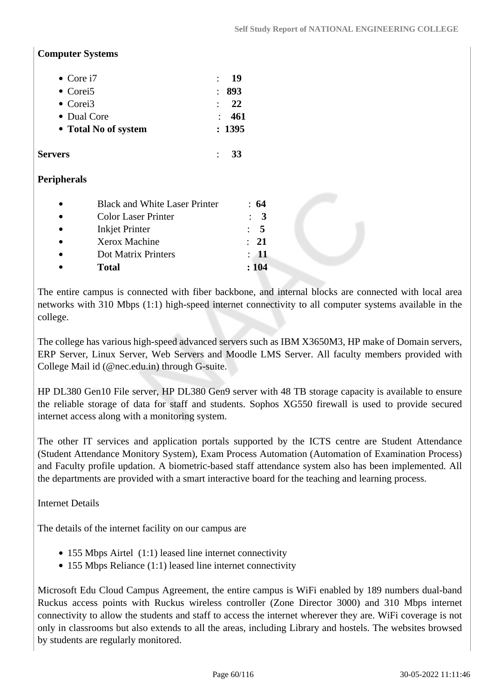#### **Computer Systems**

| • Core $i7$          | - 19       |
|----------------------|------------|
| • Corei <sub>5</sub> | : 893      |
| • Corei <sub>3</sub> | $\cdot$ 22 |
| • Dual Core          | : 461      |
| • Total No of system | : 1395     |

#### **Servers** : **33**

### **Peripherals**

| $\bullet$ | <b>Black and White Laser Printer</b> | : 64            |
|-----------|--------------------------------------|-----------------|
| $\bullet$ | <b>Color Laser Printer</b>           | $\therefore$ 3  |
| $\bullet$ | <b>Inkjet Printer</b>                | $\cdot$ 5       |
| $\bullet$ | Xerox Machine                        | $\cdot$ 21      |
| $\bullet$ | Dot Matrix Printers                  | $\therefore$ 11 |
| $\bullet$ | <b>Total</b>                         | :104            |

The entire campus is connected with fiber backbone, and internal blocks are connected with local area networks with 310 Mbps (1:1) high-speed internet connectivity to all computer systems available in the college.

The college has various high-speed advanced servers such as IBM X3650M3, HP make of Domain servers, ERP Server, Linux Server, Web Servers and Moodle LMS Server. All faculty members provided with College Mail id (@nec.edu.in) through G-suite.

HP DL380 Gen10 File server, HP DL380 Gen9 server with 48 TB storage capacity is available to ensure the reliable storage of data for staff and students. Sophos XG550 firewall is used to provide secured internet access along with a monitoring system.

The other IT services and application portals supported by the ICTS centre are Student Attendance (Student Attendance Monitory System), Exam Process Automation (Automation of Examination Process) and Faculty profile updation. A biometric-based staff attendance system also has been implemented. All the departments are provided with a smart interactive board for the teaching and learning process.

Internet Details

The details of the internet facility on our campus are

- 155 Mbps Airtel (1:1) leased line internet connectivity
- 155 Mbps Reliance (1:1) leased line internet connectivity

Microsoft Edu Cloud Campus Agreement, the entire campus is WiFi enabled by 189 numbers dual-band Ruckus access points with Ruckus wireless controller (Zone Director 3000) and 310 Mbps internet connectivity to allow the students and staff to access the internet wherever they are. WiFi coverage is not only in classrooms but also extends to all the areas, including Library and hostels. The websites browsed by students are regularly monitored.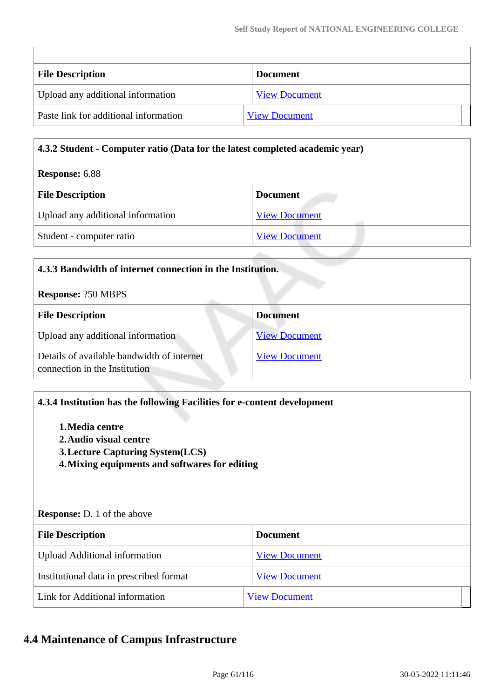| <b>File Description</b>               | <b>Document</b>      |  |
|---------------------------------------|----------------------|--|
| Upload any additional information     | <b>View Document</b> |  |
| Paste link for additional information | <b>View Document</b> |  |

#### **4.3.2 Student - Computer ratio (Data for the latest completed academic year)**

#### **Response:** 6.88

 $\overline{\phantom{a}}$ 

| <b>File Description</b>           | <b>Document</b>      |
|-----------------------------------|----------------------|
| Upload any additional information | <b>View Document</b> |
| Student - computer ratio          | <b>View Document</b> |

| 4.3.3 Bandwidth of internet connection in the Institution.                  |                      |  |
|-----------------------------------------------------------------------------|----------------------|--|
| <b>Response: ?50 MBPS</b>                                                   |                      |  |
| <b>File Description</b>                                                     | <b>Document</b>      |  |
| Upload any additional information                                           | <b>View Document</b> |  |
| Details of available bandwidth of internet<br>connection in the Institution | <b>View Document</b> |  |

### **4.3.4 Institution has the following Facilities for e-content development**

- **1.Media centre 2.Audio visual centre**
- **3.Lecture Capturing System(LCS)**
- **4.Mixing equipments and softwares for editing**

#### **Response:** D. 1 of the above

| <b>File Description</b>                 | <b>Document</b>      |  |
|-----------------------------------------|----------------------|--|
| <b>Upload Additional information</b>    | <b>View Document</b> |  |
| Institutional data in prescribed format | <b>View Document</b> |  |
| Link for Additional information         | <b>View Document</b> |  |

## **4.4 Maintenance of Campus Infrastructure**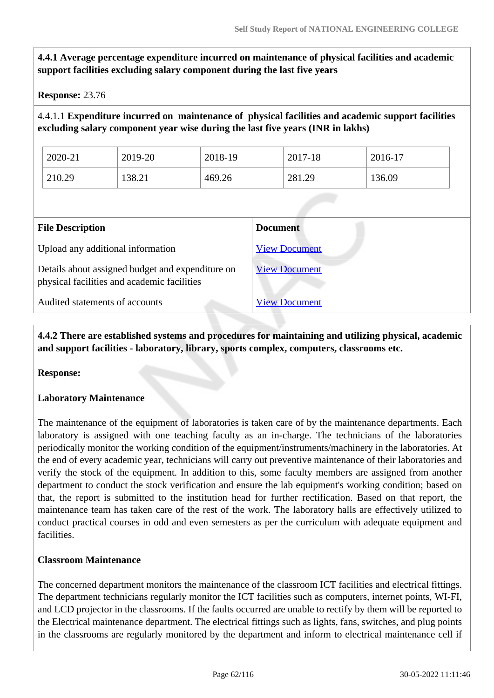**4.4.1 Average percentage expenditure incurred on maintenance of physical facilities and academic support facilities excluding salary component during the last five years**

**Response:** 23.76

4.4.1.1 **Expenditure incurred on maintenance of physical facilities and academic support facilities excluding salary component year wise during the last five years (INR in lakhs)** 

| 2020-21 | 2019-20 | 2018-19 | 2017-18 | 2016-17 |
|---------|---------|---------|---------|---------|
| 210.29  | 138.21  | 469.26  | 281.29  | 136.09  |

| <b>File Description</b>                                                                         | <b>Document</b>      |
|-------------------------------------------------------------------------------------------------|----------------------|
| Upload any additional information                                                               | <b>View Document</b> |
| Details about assigned budget and expenditure on<br>physical facilities and academic facilities | <b>View Document</b> |
| Audited statements of accounts                                                                  | <b>View Document</b> |

 **4.4.2 There are established systems and procedures for maintaining and utilizing physical, academic and support facilities - laboratory, library, sports complex, computers, classrooms etc.**

**Response:** 

### **Laboratory Maintenance**

The maintenance of the equipment of laboratories is taken care of by the maintenance departments. Each laboratory is assigned with one teaching faculty as an in-charge. The technicians of the laboratories periodically monitor the working condition of the equipment/instruments/machinery in the laboratories. At the end of every academic year, technicians will carry out preventive maintenance of their laboratories and verify the stock of the equipment. In addition to this, some faculty members are assigned from another department to conduct the stock verification and ensure the lab equipment's working condition; based on that, the report is submitted to the institution head for further rectification. Based on that report, the maintenance team has taken care of the rest of the work. The laboratory halls are effectively utilized to conduct practical courses in odd and even semesters as per the curriculum with adequate equipment and facilities.

### **Classroom Maintenance**

The concerned department monitors the maintenance of the classroom ICT facilities and electrical fittings. The department technicians regularly monitor the ICT facilities such as computers, internet points, WI-FI, and LCD projector in the classrooms. If the faults occurred are unable to rectify by them will be reported to the Electrical maintenance department. The electrical fittings such as lights, fans, switches, and plug points in the classrooms are regularly monitored by the department and inform to electrical maintenance cell if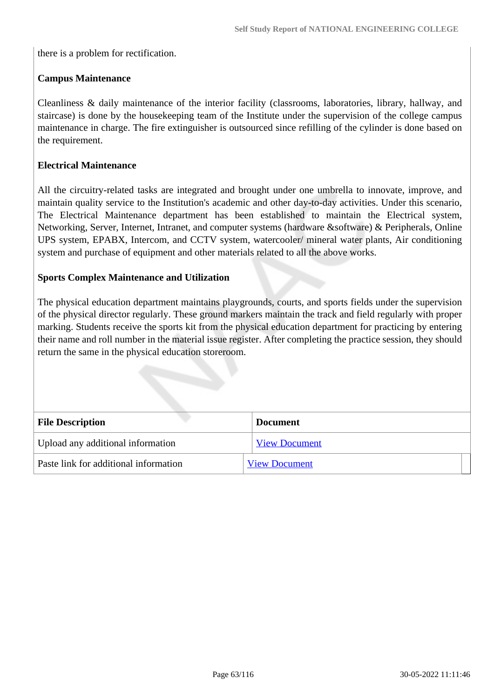there is a problem for rectification.

### **Campus Maintenance**

Cleanliness & daily maintenance of the interior facility (classrooms, laboratories, library, hallway, and staircase) is done by the housekeeping team of the Institute under the supervision of the college campus maintenance in charge. The fire extinguisher is outsourced since refilling of the cylinder is done based on the requirement.

#### **Electrical Maintenance**

All the circuitry-related tasks are integrated and brought under one umbrella to innovate, improve, and maintain quality service to the Institution's academic and other day-to-day activities. Under this scenario, The Electrical Maintenance department has been established to maintain the Electrical system, Networking, Server, Internet, Intranet, and computer systems (hardware &software) & Peripherals, Online UPS system, EPABX, Intercom, and CCTV system, watercooler/ mineral water plants, Air conditioning system and purchase of equipment and other materials related to all the above works.

#### **Sports Complex Maintenance and Utilization**

The physical education department maintains playgrounds, courts, and sports fields under the supervision of the physical director regularly. These ground markers maintain the track and field regularly with proper marking. Students receive the sports kit from the physical education department for practicing by entering their name and roll number in the material issue register. After completing the practice session, they should return the same in the physical education storeroom.

| <b>File Description</b>               | <b>Document</b>      |  |
|---------------------------------------|----------------------|--|
| Upload any additional information     | <b>View Document</b> |  |
| Paste link for additional information | <b>View Document</b> |  |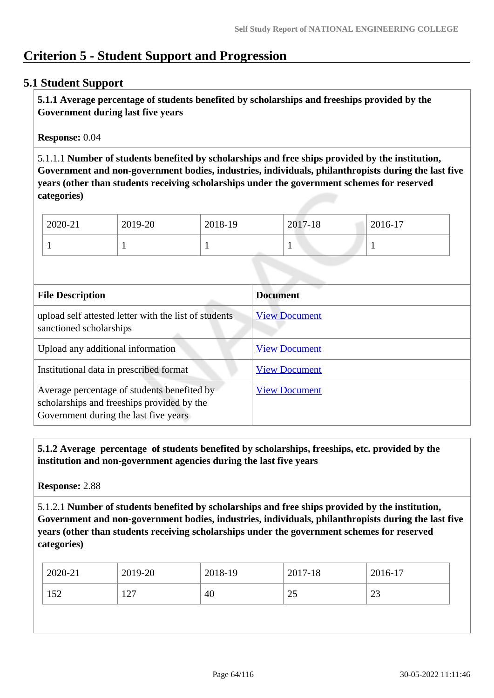# **Criterion 5 - Student Support and Progression**

### **5.1 Student Support**

 **5.1.1 Average percentage of students benefited by scholarships and freeships provided by the Government during last five years** 

**Response:** 0.04

5.1.1.1 **Number of students benefited by scholarships and free ships provided by the institution, Government and non-government bodies, industries, individuals, philanthropists during the last five years (other than students receiving scholarships under the government schemes for reserved categories)** 

| 2020-21 | 2019-20 | 2018-19 | 2017-18 | 2016-17 |
|---------|---------|---------|---------|---------|
|         |         |         | л.<br>- |         |

| <b>File Description</b>                                                                                                            | <b>Document</b>      |
|------------------------------------------------------------------------------------------------------------------------------------|----------------------|
| upload self attested letter with the list of students<br>sanctioned scholarships                                                   | <b>View Document</b> |
| Upload any additional information                                                                                                  | <b>View Document</b> |
| Institutional data in prescribed format                                                                                            | <b>View Document</b> |
| Average percentage of students benefited by<br>scholarships and freeships provided by the<br>Government during the last five years | <b>View Document</b> |

 **5.1.2 Average percentage of students benefited by scholarships, freeships, etc. provided by the institution and non-government agencies during the last five years**

**Response:** 2.88

5.1.2.1 **Number of students benefited by scholarships and free ships provided by the institution, Government and non-government bodies, industries, individuals, philanthropists during the last five years (other than students receiving scholarships under the government schemes for reserved categories)** 

| 2019-20<br>2020-21 | 2018-19 | 2017-18 | 2016-17 |
|--------------------|---------|---------|---------|
| 152<br>127         | 40      | ر ے     | 23      |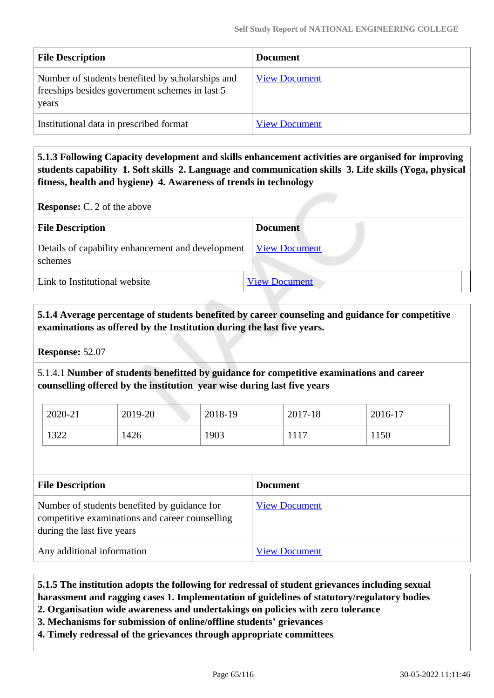| <b>File Description</b>                                                                                      | <b>Document</b>      |
|--------------------------------------------------------------------------------------------------------------|----------------------|
| Number of students benefited by scholarships and<br>free ships besides government schemes in last 5<br>years | <b>View Document</b> |
| Institutional data in prescribed format                                                                      | <b>View Document</b> |

 **5.1.3 Following Capacity development and skills enhancement activities are organised for improving students capability 1. Soft skills 2. Language and communication skills 3. Life skills (Yoga, physical fitness, health and hygiene) 4. Awareness of trends in technology**

**Response:** C. 2 of the above

| <b>File Description</b>                                      | <b>Document</b>      |
|--------------------------------------------------------------|----------------------|
| Details of capability enhancement and development<br>schemes | <b>View Document</b> |
| Link to Institutional website                                | <b>View Document</b> |

### **5.1.4 Average percentage of students benefited by career counseling and guidance for competitive examinations as offered by the Institution during the last five years.**

**Response:** 52.07

5.1.4.1 **Number of students benefitted by guidance for competitive examinations and career counselling offered by the institution year wise during last five years**

| 2020-21      | 2019-20 | 2018-19 | 2017-18 | 2016-17 |
|--------------|---------|---------|---------|---------|
| 1322<br>1322 | 1426    | 1903    | 1117    | 1150    |

| <b>File Description</b>                                                                                                       | <b>Document</b>      |
|-------------------------------------------------------------------------------------------------------------------------------|----------------------|
| Number of students benefited by guidance for<br>competitive examinations and career counselling<br>during the last five years | <b>View Document</b> |
| Any additional information                                                                                                    | <b>View Document</b> |

## **5.1.5 The institution adopts the following for redressal of student grievances including sexual harassment and ragging cases 1. Implementation of guidelines of statutory/regulatory bodies**

**2. Organisation wide awareness and undertakings on policies with zero tolerance**

**3. Mechanisms for submission of online/offline students' grievances**

**4. Timely redressal of the grievances through appropriate committees**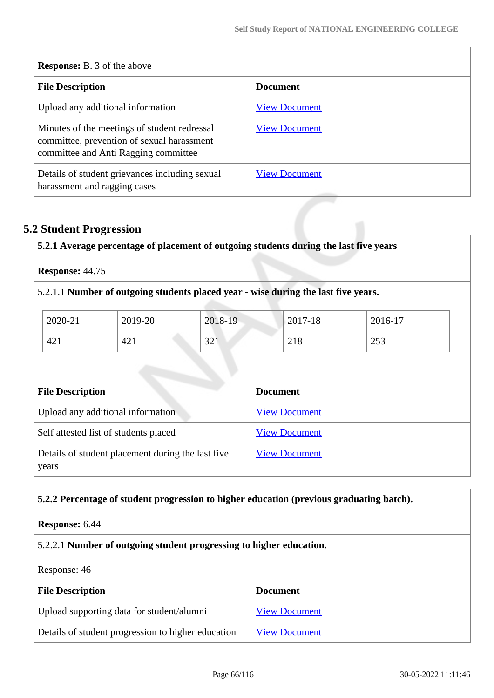| <b>Response:</b> B. 3 of the above                                                                                                 |                      |  |  |
|------------------------------------------------------------------------------------------------------------------------------------|----------------------|--|--|
| <b>File Description</b>                                                                                                            | <b>Document</b>      |  |  |
| Upload any additional information                                                                                                  | <b>View Document</b> |  |  |
| Minutes of the meetings of student redressal<br>committee, prevention of sexual harassment<br>committee and Anti Ragging committee | <b>View Document</b> |  |  |
| Details of student grievances including sexual<br>harassment and ragging cases                                                     | <b>View Document</b> |  |  |

# **5.2 Student Progression**

 $\begin{array}{c} \hline \end{array}$ 

|         |         | 5.2.1.1 Number of outgoing students placed year - wise during the last five years. |             |         |
|---------|---------|------------------------------------------------------------------------------------|-------------|---------|
|         |         |                                                                                    |             |         |
| 2020-21 | 2019-20 | 2018-19                                                                            | $2017 - 18$ | 2016-17 |
| 421     | 421     | 321                                                                                | 218         | 253     |

| Upload any additional information                          | <b>View Document</b> |
|------------------------------------------------------------|----------------------|
| Self attested list of students placed                      | <b>View Document</b> |
| Details of student placement during the last five<br>years | <b>View Document</b> |

## **5.2.2 Percentage of student progression to higher education (previous graduating batch).**

## **Response:** 6.44

## 5.2.2.1 **Number of outgoing student progressing to higher education.**

Response: 46

| <b>File Description</b>                            | <b>Document</b>      |
|----------------------------------------------------|----------------------|
| Upload supporting data for student/alumni          | <b>View Document</b> |
| Details of student progression to higher education | <b>View Document</b> |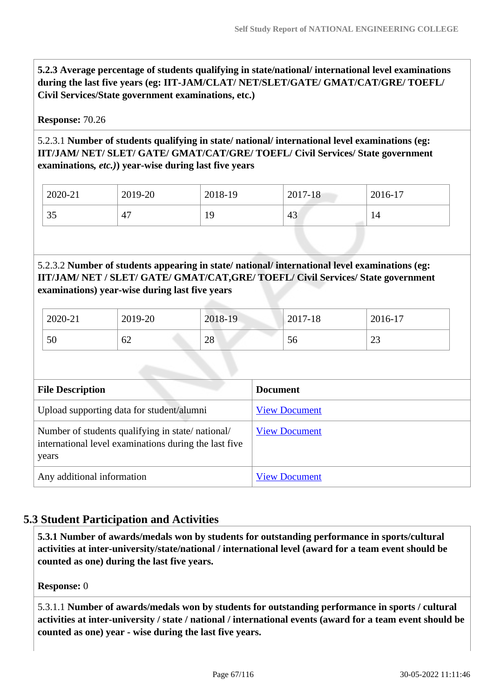**5.2.3 Average percentage of students qualifying in state/national/ international level examinations during the last five years (eg: IIT-JAM/CLAT/ NET/SLET/GATE/ GMAT/CAT/GRE/ TOEFL/ Civil Services/State government examinations, etc.)**

#### **Response:** 70.26

### 5.2.3.1 **Number of students qualifying in state/ national/ international level examinations (eg: IIT/JAM/ NET/ SLET/ GATE/ GMAT/CAT/GRE/ TOEFL/ Civil Services/ State government examinations***, etc.)***) year-wise during last five years**

| 2020-21                  | 2019-20        | 2018-19 | 2017-18   | 2016-17 |
|--------------------------|----------------|---------|-----------|---------|
| $\overline{\phantom{a}}$ | $\overline{ }$ | $\sim$  | $\Lambda$ | 14      |
| ЭJ                       | 4.             | . .     | 45        |         |

### 5.2.3.2 **Number of students appearing in state/ national/ international level examinations (eg: IIT/JAM/ NET / SLET/ GATE/ GMAT/CAT,GRE/ TOEFL/ Civil Services/ State government examinations) year-wise during last five years**

| 2020-21 | 2019-20 | 2018-19 | 2017-18 | 2016-17      |
|---------|---------|---------|---------|--------------|
| 50      | 62      | 28      | 56      | $\cap$<br>ر∠ |

| <b>File Description</b>                                                                                            | <b>Document</b>      |
|--------------------------------------------------------------------------------------------------------------------|----------------------|
| Upload supporting data for student/alumni                                                                          | <b>View Document</b> |
| Number of students qualifying in state/national/<br>international level examinations during the last five<br>years | <b>View Document</b> |
| Any additional information                                                                                         | <b>View Document</b> |

## **5.3 Student Participation and Activities**

 **5.3.1 Number of awards/medals won by students for outstanding performance in sports/cultural activities at inter-university/state/national / international level (award for a team event should be counted as one) during the last five years.**

**Response:** 0

5.3.1.1 **Number of awards/medals won by students for outstanding performance in sports / cultural activities at inter-university / state / national / international events (award for a team event should be counted as one) year - wise during the last five years.**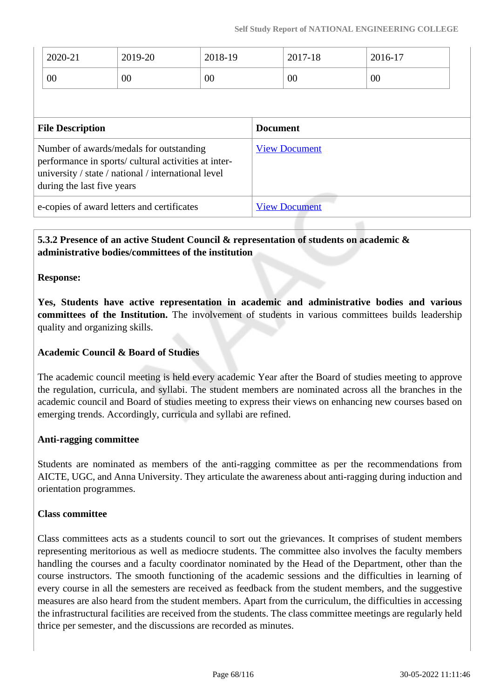|                                                                                                                                                                                      | 2020-21<br>00 | 2019-20<br>00 | 2018-19<br>00        |                      | 2017-18<br>00 |  | 2016-17<br>00 |  |
|--------------------------------------------------------------------------------------------------------------------------------------------------------------------------------------|---------------|---------------|----------------------|----------------------|---------------|--|---------------|--|
| <b>File Description</b>                                                                                                                                                              |               |               | <b>Document</b>      |                      |               |  |               |  |
| Number of awards/medals for outstanding<br>performance in sports/ cultural activities at inter-<br>university / state / national / international level<br>during the last five years |               |               | <b>View Document</b> |                      |               |  |               |  |
| e-copies of award letters and certificates                                                                                                                                           |               |               |                      | <b>View Document</b> |               |  |               |  |

## **5.3.2 Presence of an active Student Council & representation of students on academic & administrative bodies/committees of the institution**

### **Response:**

**Yes, Students have active representation in academic and administrative bodies and various committees of the Institution.** The involvement of students in various committees builds leadership quality and organizing skills.

### **Academic Council & Board of Studies**

The academic council meeting is held every academic Year after the Board of studies meeting to approve the regulation, curricula, and syllabi. The student members are nominated across all the branches in the academic council and Board of studies meeting to express their views on enhancing new courses based on emerging trends. Accordingly, curricula and syllabi are refined.

#### **Anti-ragging committee**

Students are nominated as members of the anti-ragging committee as per the recommendations from AICTE, UGC, and Anna University. They articulate the awareness about anti-ragging during induction and orientation programmes.

#### **Class committee**

Class committees acts as a students council to sort out the grievances. It comprises of student members representing meritorious as well as mediocre students. The committee also involves the faculty members handling the courses and a faculty coordinator nominated by the Head of the Department, other than the course instructors. The smooth functioning of the academic sessions and the difficulties in learning of every course in all the semesters are received as feedback from the student members, and the suggestive measures are also heard from the student members. Apart from the curriculum, the difficulties in accessing the infrastructural facilities are received from the students. The class committee meetings are regularly held thrice per semester, and the discussions are recorded as minutes.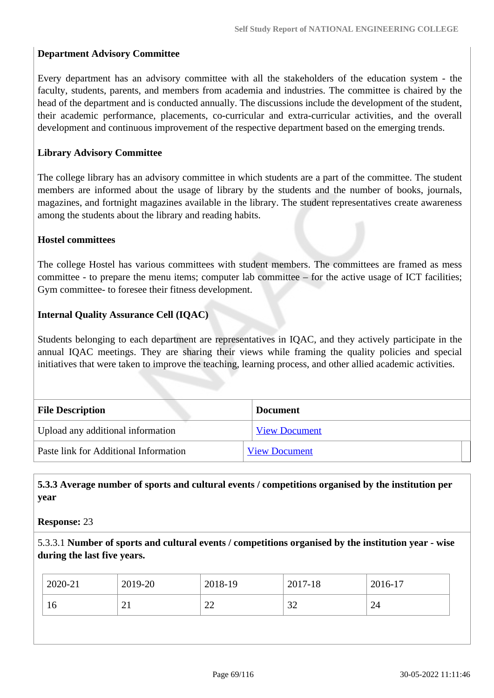### **Department Advisory Committee**

Every department has an advisory committee with all the stakeholders of the education system - the faculty, students, parents, and members from academia and industries. The committee is chaired by the head of the department and is conducted annually. The discussions include the development of the student, their academic performance, placements, co-curricular and extra-curricular activities, and the overall development and continuous improvement of the respective department based on the emerging trends.

### **Library Advisory Committee**

The college library has an advisory committee in which students are a part of the committee. The student members are informed about the usage of library by the students and the number of books, journals, magazines, and fortnight magazines available in the library. The student representatives create awareness among the students about the library and reading habits.

#### **Hostel committees**

The college Hostel has various committees with student members. The committees are framed as mess committee - to prepare the menu items; computer lab committee – for the active usage of ICT facilities; Gym committee- to foresee their fitness development.

#### **Internal Quality Assurance Cell (IQAC)**

Students belonging to each department are representatives in IQAC, and they actively participate in the annual IQAC meetings. They are sharing their views while framing the quality policies and special initiatives that were taken to improve the teaching, learning process, and other allied academic activities.

| <b>File Description</b>               | <b>Document</b>      |
|---------------------------------------|----------------------|
| Upload any additional information     | <b>View Document</b> |
| Paste link for Additional Information | <b>View Document</b> |

### **5.3.3 Average number of sports and cultural events / competitions organised by the institution per year**

**Response:** 23

5.3.3.1 **Number of sports and cultural events / competitions organised by the institution year - wise during the last five years.**

| 2020-21 | 2019-20 | 2018-19      | $2017 - 18$   | 2016-17 |
|---------|---------|--------------|---------------|---------|
| 16      | ∠⊥      | $\cap$<br>∠∠ | $\cap$<br>ے ب | 24      |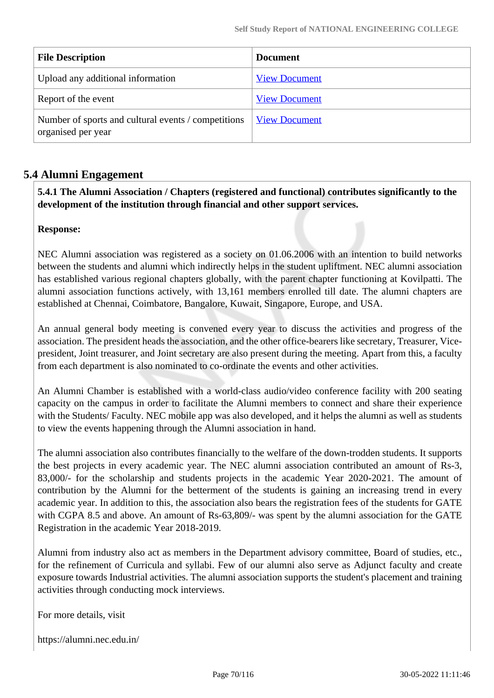| <b>File Description</b>                                                   | <b>Document</b>      |
|---------------------------------------------------------------------------|----------------------|
| Upload any additional information                                         | <b>View Document</b> |
| Report of the event                                                       | <b>View Document</b> |
| Number of sports and cultural events / competitions<br>organised per year | <b>View Document</b> |

## **5.4 Alumni Engagement**

### **5.4.1 The Alumni Association / Chapters (registered and functional) contributes significantly to the development of the institution through financial and other support services.**

### **Response:**

NEC Alumni association was registered as a society on 01.06.2006 with an intention to build networks between the students and alumni which indirectly helps in the student upliftment. NEC alumni association has established various regional chapters globally, with the parent chapter functioning at Kovilpatti. The alumni association functions actively, with 13,161 members enrolled till date. The alumni chapters are established at Chennai, Coimbatore, Bangalore, Kuwait, Singapore, Europe, and USA.

An annual general body meeting is convened every year to discuss the activities and progress of the association. The president heads the association, and the other office-bearers like secretary, Treasurer, Vicepresident, Joint treasurer, and Joint secretary are also present during the meeting. Apart from this, a faculty from each department is also nominated to co-ordinate the events and other activities.

An Alumni Chamber is established with a world-class audio/video conference facility with 200 seating capacity on the campus in order to facilitate the Alumni members to connect and share their experience with the Students/ Faculty. NEC mobile app was also developed, and it helps the alumni as well as students to view the events happening through the Alumni association in hand.

The alumni association also contributes financially to the welfare of the down-trodden students. It supports the best projects in every academic year. The NEC alumni association contributed an amount of Rs-3, 83,000/- for the scholarship and students projects in the academic Year 2020-2021. The amount of contribution by the Alumni for the betterment of the students is gaining an increasing trend in every academic year. In addition to this, the association also bears the registration fees of the students for GATE with CGPA 8.5 and above. An amount of Rs-63,809/- was spent by the alumni association for the GATE Registration in the academic Year 2018-2019.

Alumni from industry also act as members in the Department advisory committee, Board of studies, etc., for the refinement of Curricula and syllabi. Few of our alumni also serve as Adjunct faculty and create exposure towards Industrial activities. The alumni association supports the student's placement and training activities through conducting mock interviews.

For more details, visit

https://alumni.nec.edu.in/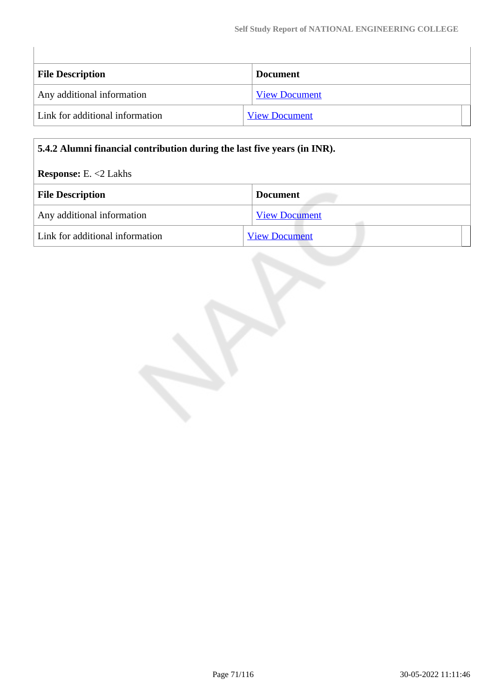| <b>File Description</b>         | <b>Document</b>      |
|---------------------------------|----------------------|
| Any additional information      | <b>View Document</b> |
| Link for additional information | <b>View Document</b> |

### **5.4.2 Alumni financial contribution during the last five years (in INR).**

### **Response:** E. <2 Lakhs

 $\begin{array}{c} \hline \end{array}$ 

| <b>File Description</b>         | <b>Document</b>      |
|---------------------------------|----------------------|
| Any additional information      | <b>View Document</b> |
| Link for additional information | <b>View Document</b> |

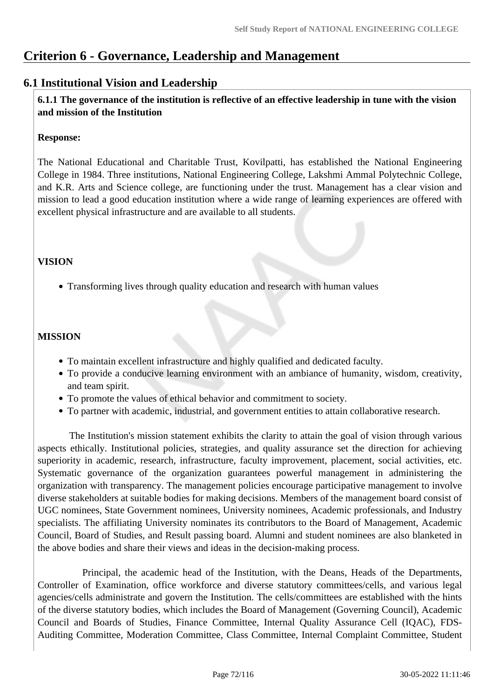# **Criterion 6 - Governance, Leadership and Management**

## **6.1 Institutional Vision and Leadership**

 **6.1.1 The governance of the institution is reflective of an effective leadership in tune with the vision and mission of the Institution**

### **Response:**

The National Educational and Charitable Trust, Kovilpatti, has established the National Engineering College in 1984. Three institutions, National Engineering College, Lakshmi Ammal Polytechnic College, and K.R. Arts and Science college, are functioning under the trust. Management has a clear vision and mission to lead a good education institution where a wide range of learning experiences are offered with excellent physical infrastructure and are available to all students.

## **VISION**

Transforming lives through quality education and research with human values

## **MISSION**

- To maintain excellent infrastructure and highly qualified and dedicated faculty.
- To provide a conducive learning environment with an ambiance of humanity, wisdom, creativity, and team spirit.
- To promote the values of ethical behavior and commitment to society.
- To partner with academic, industrial, and government entities to attain collaborative research.

 The Institution's mission statement exhibits the clarity to attain the goal of vision through various aspects ethically. Institutional policies, strategies, and quality assurance set the direction for achieving superiority in academic, research, infrastructure, faculty improvement, placement, social activities, etc. Systematic governance of the organization guarantees powerful management in administering the organization with transparency. The management policies encourage participative management to involve diverse stakeholders at suitable bodies for making decisions. Members of the management board consist of UGC nominees, State Government nominees, University nominees, Academic professionals, and Industry specialists. The affiliating University nominates its contributors to the Board of Management, Academic Council, Board of Studies, and Result passing board. Alumni and student nominees are also blanketed in the above bodies and share their views and ideas in the decision-making process.

 Principal, the academic head of the Institution, with the Deans, Heads of the Departments, Controller of Examination, office workforce and diverse statutory committees/cells, and various legal agencies/cells administrate and govern the Institution. The cells/committees are established with the hints of the diverse statutory bodies, which includes the Board of Management (Governing Council), Academic Council and Boards of Studies, Finance Committee, Internal Quality Assurance Cell (IQAC), FDS-Auditing Committee, Moderation Committee, Class Committee, Internal Complaint Committee, Student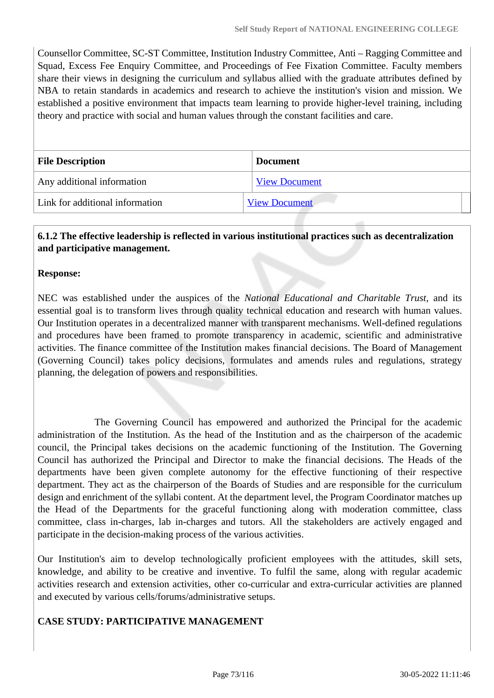Counsellor Committee, SC-ST Committee, Institution Industry Committee, Anti – Ragging Committee and Squad, Excess Fee Enquiry Committee, and Proceedings of Fee Fixation Committee. Faculty members share their views in designing the curriculum and syllabus allied with the graduate attributes defined by NBA to retain standards in academics and research to achieve the institution's vision and mission. We established a positive environment that impacts team learning to provide higher-level training, including theory and practice with social and human values through the constant facilities and care.

| <b>File Description</b>         | <b>Document</b>      |
|---------------------------------|----------------------|
| Any additional information      | <b>View Document</b> |
| Link for additional information | <b>View Document</b> |

## **6.1.2 The effective leadership is reflected in various institutional practices such as decentralization and participative management.**

#### **Response:**

NEC was established under the auspices of the *National Educational and Charitable Trust,* and its essential goal is to transform lives through quality technical education and research with human values. Our Institution operates in a decentralized manner with transparent mechanisms. Well-defined regulations and procedures have been framed to promote transparency in academic, scientific and administrative activities. The finance committee of the Institution makes financial decisions. The Board of Management (Governing Council) takes policy decisions, formulates and amends rules and regulations, strategy planning, the delegation of powers and responsibilities.

 The Governing Council has empowered and authorized the Principal for the academic administration of the Institution. As the head of the Institution and as the chairperson of the academic council, the Principal takes decisions on the academic functioning of the Institution. The Governing Council has authorized the Principal and Director to make the financial decisions. The Heads of the departments have been given complete autonomy for the effective functioning of their respective department. They act as the chairperson of the Boards of Studies and are responsible for the curriculum design and enrichment of the syllabi content. At the department level, the Program Coordinator matches up the Head of the Departments for the graceful functioning along with moderation committee, class committee, class in-charges, lab in-charges and tutors. All the stakeholders are actively engaged and participate in the decision-making process of the various activities.

Our Institution's aim to develop technologically proficient employees with the attitudes, skill sets, knowledge, and ability to be creative and inventive. To fulfil the same, along with regular academic activities research and extension activities, other co-curricular and extra-curricular activities are planned and executed by various cells/forums/administrative setups.

#### **CASE STUDY: PARTICIPATIVE MANAGEMENT**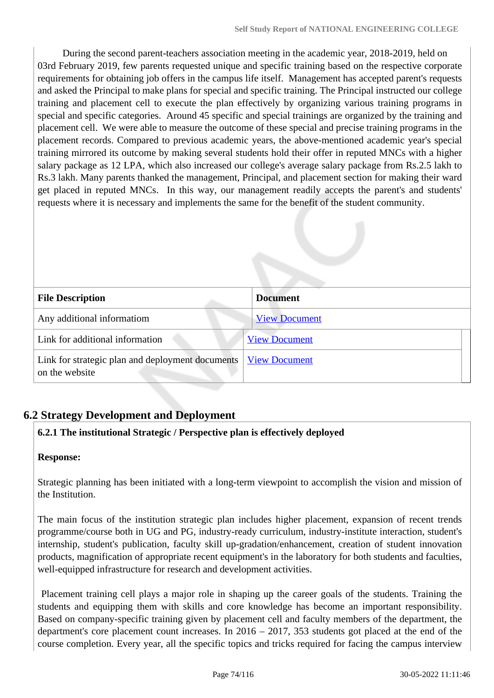During the second parent-teachers association meeting in the academic year, 2018-2019, held on 03rd February 2019, few parents requested unique and specific training based on the respective corporate requirements for obtaining job offers in the campus life itself. Management has accepted parent's requests and asked the Principal to make plans for special and specific training. The Principal instructed our college training and placement cell to execute the plan effectively by organizing various training programs in special and specific categories. Around 45 specific and special trainings are organized by the training and placement cell. We were able to measure the outcome of these special and precise training programs in the placement records. Compared to previous academic years, the above-mentioned academic year's special training mirrored its outcome by making several students hold their offer in reputed MNCs with a higher salary package as 12 LPA, which also increased our college's average salary package from Rs.2.5 lakh to Rs.3 lakh. Many parents thanked the management, Principal, and placement section for making their ward get placed in reputed MNCs. In this way, our management readily accepts the parent's and students' requests where it is necessary and implements the same for the benefit of the student community.

| <b>File Description</b>                                            | <b>Document</b>      |
|--------------------------------------------------------------------|----------------------|
| Any additional informatiom                                         | <b>View Document</b> |
| Link for additional information                                    | <b>View Document</b> |
| Link for strategic plan and deployment documents<br>on the website | <b>View Document</b> |

## **6.2 Strategy Development and Deployment**

## **6.2.1 The institutional Strategic / Perspective plan is effectively deployed**

#### **Response:**

Strategic planning has been initiated with a long-term viewpoint to accomplish the vision and mission of the Institution.

The main focus of the institution strategic plan includes higher placement, expansion of recent trends programme/course both in UG and PG, industry-ready curriculum, industry-institute interaction, student's internship, student's publication, faculty skill up-gradation/enhancement, creation of student innovation products, magnification of appropriate recent equipment's in the laboratory for both students and faculties, well-equipped infrastructure for research and development activities.

 Placement training cell plays a major role in shaping up the career goals of the students. Training the students and equipping them with skills and core knowledge has become an important responsibility. Based on company-specific training given by placement cell and faculty members of the department, the department's core placement count increases. In 2016 – 2017, 353 students got placed at the end of the course completion. Every year, all the specific topics and tricks required for facing the campus interview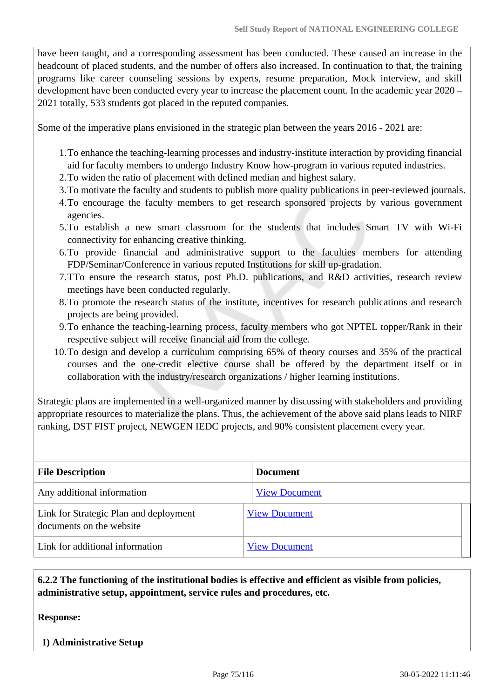have been taught, and a corresponding assessment has been conducted. These caused an increase in the headcount of placed students, and the number of offers also increased. In continuation to that, the training programs like career counseling sessions by experts, resume preparation, Mock interview, and skill development have been conducted every year to increase the placement count. In the academic year 2020 – 2021 totally, 533 students got placed in the reputed companies.

Some of the imperative plans envisioned in the strategic plan between the years 2016 - 2021 are:

- 1.To enhance the teaching-learning processes and industry-institute interaction by providing financial aid for faculty members to undergo Industry Know how-program in various reputed industries.
- 2.To widen the ratio of placement with defined median and highest salary.
- 3.To motivate the faculty and students to publish more quality publications in peer-reviewed journals.
- 4.To encourage the faculty members to get research sponsored projects by various government agencies.
- 5.To establish a new smart classroom for the students that includes Smart TV with Wi-Fi connectivity for enhancing creative thinking.
- 6.To provide financial and administrative support to the faculties members for attending FDP/Seminar/Conference in various reputed Institutions for skill up-gradation.
- 7.TTo ensure the research status, post Ph.D. publications, and R&D activities, research review meetings have been conducted regularly.
- 8.To promote the research status of the institute, incentives for research publications and research projects are being provided.
- 9.To enhance the teaching-learning process, faculty members who got NPTEL topper/Rank in their respective subject will receive financial aid from the college.
- 10.To design and develop a curriculum comprising 65% of theory courses and 35% of the practical courses and the one-credit elective course shall be offered by the department itself or in collaboration with the industry/research organizations / higher learning institutions.

Strategic plans are implemented in a well-organized manner by discussing with stakeholders and providing appropriate resources to materialize the plans. Thus, the achievement of the above said plans leads to NIRF ranking, DST FIST project, NEWGEN IEDC projects, and 90% consistent placement every year.

| <b>File Description</b>                                            | <b>Document</b>      |
|--------------------------------------------------------------------|----------------------|
| Any additional information                                         | <b>View Document</b> |
| Link for Strategic Plan and deployment<br>documents on the website | <b>View Document</b> |
| Link for additional information                                    | <b>View Document</b> |

#### **6.2.2 The functioning of the institutional bodies is effective and efficient as visible from policies, administrative setup, appointment, service rules and procedures, etc.**

**Response:** 

 **I) Administrative Setup**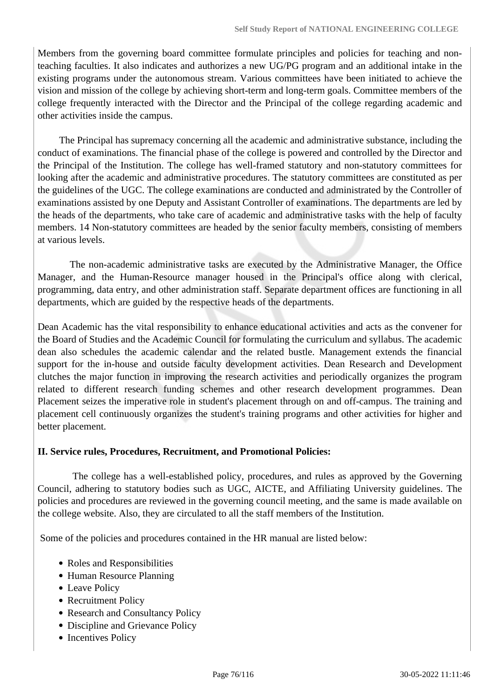Members from the governing board committee formulate principles and policies for teaching and nonteaching faculties. It also indicates and authorizes a new UG/PG program and an additional intake in the existing programs under the autonomous stream. Various committees have been initiated to achieve the vision and mission of the college by achieving short-term and long-term goals. Committee members of the college frequently interacted with the Director and the Principal of the college regarding academic and other activities inside the campus.

 The Principal has supremacy concerning all the academic and administrative substance, including the conduct of examinations. The financial phase of the college is powered and controlled by the Director and the Principal of the Institution. The college has well-framed statutory and non-statutory committees for looking after the academic and administrative procedures. The statutory committees are constituted as per the guidelines of the UGC. The college examinations are conducted and administrated by the Controller of examinations assisted by one Deputy and Assistant Controller of examinations. The departments are led by the heads of the departments, who take care of academic and administrative tasks with the help of faculty members. 14 Non-statutory committees are headed by the senior faculty members, consisting of members at various levels.

 The non-academic administrative tasks are executed by the Administrative Manager, the Office Manager, and the Human-Resource manager housed in the Principal's office along with clerical, programming, data entry, and other administration staff. Separate department offices are functioning in all departments, which are guided by the respective heads of the departments.

Dean Academic has the vital responsibility to enhance educational activities and acts as the convener for the Board of Studies and the Academic Council for formulating the curriculum and syllabus. The academic dean also schedules the academic calendar and the related bustle. Management extends the financial support for the in-house and outside faculty development activities. Dean Research and Development clutches the major function in improving the research activities and periodically organizes the program related to different research funding schemes and other research development programmes. Dean Placement seizes the imperative role in student's placement through on and off-campus. The training and placement cell continuously organizes the student's training programs and other activities for higher and better placement.

#### **II. Service rules, Procedures, Recruitment, and Promotional Policies:**

 The college has a well-established policy, procedures, and rules as approved by the Governing Council, adhering to statutory bodies such as UGC, AICTE, and Affiliating University guidelines. The policies and procedures are reviewed in the governing council meeting, and the same is made available on the college website. Also, they are circulated to all the staff members of the Institution.

Some of the policies and procedures contained in the HR manual are listed below:

- Roles and Responsibilities
- Human Resource Planning
- Leave Policy
- Recruitment Policy
- Research and Consultancy Policy
- Discipline and Grievance Policy
- Incentives Policy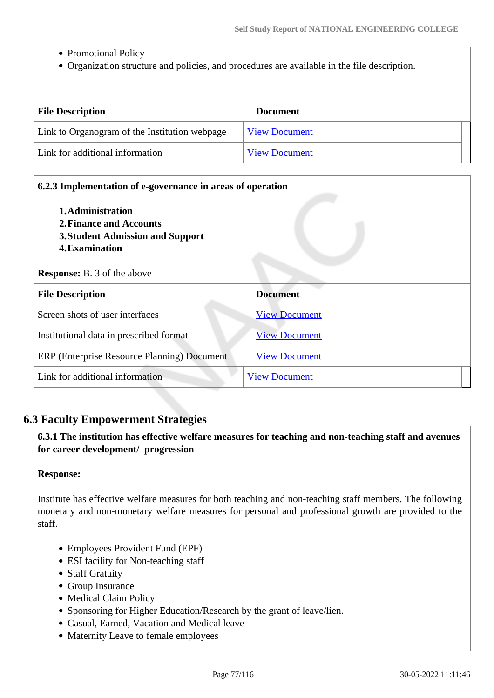- Promotional Policy
- Organization structure and policies, and procedures are available in the file description.

| <b>File Description</b>                       | <b>Document</b>      |
|-----------------------------------------------|----------------------|
| Link to Organogram of the Institution webpage | <b>View Document</b> |
| Link for additional information               | <b>View Document</b> |

| 6.2.3 Implementation of e-governance in areas of operation<br>1. Administration<br>2. Finance and Accounts<br>3. Student Admission and Support<br>4. Examination<br><b>Response:</b> B. 3 of the above |                      |
|--------------------------------------------------------------------------------------------------------------------------------------------------------------------------------------------------------|----------------------|
| <b>File Description</b>                                                                                                                                                                                | <b>Document</b>      |
| Screen shots of user interfaces                                                                                                                                                                        | <b>View Document</b> |
| Institutional data in prescribed format                                                                                                                                                                | <b>View Document</b> |
| ERP (Enterprise Resource Planning) Document                                                                                                                                                            | <b>View Document</b> |
| Link for additional information                                                                                                                                                                        | <b>View Document</b> |

## **6.3 Faculty Empowerment Strategies**

 **6.3.1 The institution has effective welfare measures for teaching and non-teaching staff and avenues for career development/ progression** 

#### **Response:**

Institute has effective welfare measures for both teaching and non-teaching staff members. The following monetary and non-monetary welfare measures for personal and professional growth are provided to the staff.

- Employees Provident Fund (EPF)
- ESI facility for Non-teaching staff
- Staff Gratuity
- Group Insurance
- Medical Claim Policy
- Sponsoring for Higher Education/Research by the grant of leave/lien.
- Casual, Earned, Vacation and Medical leave
- Maternity Leave to female employees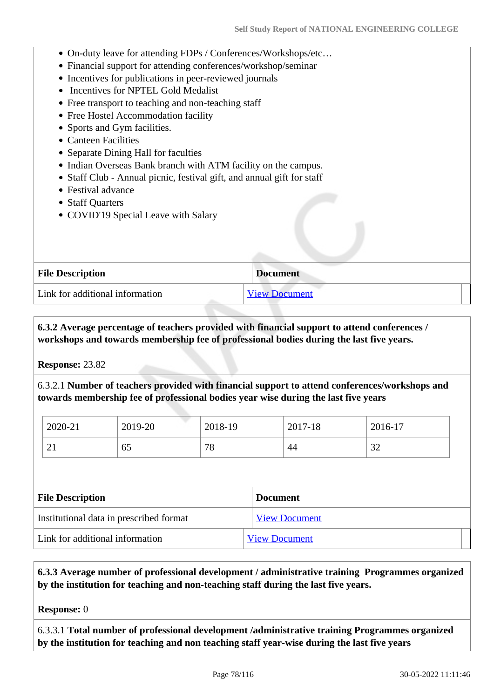- On-duty leave for attending FDPs / Conferences/Workshops/etc…
- Financial support for attending conferences/workshop/seminar
- Incentives for publications in peer-reviewed journals
- Incentives for NPTEL Gold Medalist
- Free transport to teaching and non-teaching staff
- Free Hostel Accommodation facility
- Sports and Gym facilities.
- Canteen Facilities
- Separate Dining Hall for faculties
- Indian Overseas Bank branch with ATM facility on the campus.
- Staff Club Annual picnic, festival gift, and annual gift for staff
- Festival advance
- Staff Quarters
- COVID'19 Special Leave with Salary

| <b>File Description</b>         | <b>Document</b>      |
|---------------------------------|----------------------|
| Link for additional information | <b>View Document</b> |

 **6.3.2 Average percentage of teachers provided with financial support to attend conferences / workshops and towards membership fee of professional bodies during the last five years.**

**Response:** 23.82

6.3.2.1 **Number of teachers provided with financial support to attend conferences/workshops and towards membership fee of professional bodies year wise during the last five years**

| 2020-21  | 2019-20 | 2018-19 | 2017-18 | 2016-17                 |
|----------|---------|---------|---------|-------------------------|
| $\sim$ 1 | 65      | 70<br>O | 44      | $\mathbin{\sim}$<br>ے د |

| <b>File Description</b>                 | <b>Document</b>      |
|-----------------------------------------|----------------------|
| Institutional data in prescribed format | <b>View Document</b> |
| Link for additional information         | <b>View Document</b> |

 **6.3.3 Average number of professional development / administrative training Programmes organized by the institution for teaching and non-teaching staff during the last five years.**

**Response:** 0

6.3.3.1 **Total number of professional development /administrative training Programmes organized by the institution for teaching and non teaching staff year-wise during the last five years**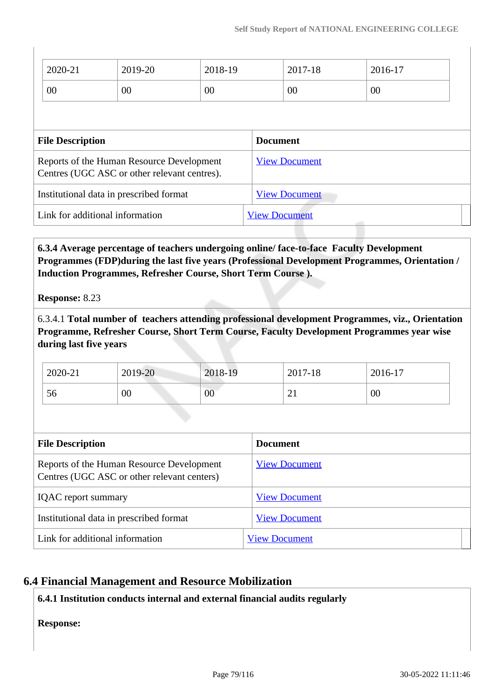|                                                                                           | 2020-21 | 2019-20              | 2018-19              |         | 2017-18 | 2016-17 |  |
|-------------------------------------------------------------------------------------------|---------|----------------------|----------------------|---------|---------|---------|--|
|                                                                                           | 00      | 00                   | 00                   |         | 00      | 00      |  |
|                                                                                           |         |                      |                      |         |         |         |  |
| <b>File Description</b>                                                                   |         |                      | <b>Document</b>      |         |         |         |  |
| Reports of the Human Resource Development<br>Centres (UGC ASC or other relevant centres). |         |                      | <b>View Document</b> |         |         |         |  |
| Institutional data in prescribed format                                                   |         |                      | <b>View Document</b> |         |         |         |  |
| Link for additional information                                                           |         | <b>View Document</b> |                      | التنبير |         |         |  |

 **6.3.4 Average percentage of teachers undergoing online/ face-to-face Faculty Development Programmes (FDP)during the last five years (Professional Development Programmes, Orientation / Induction Programmes, Refresher Course, Short Term Course ).**

**Response:** 8.23

6.3.4.1 **Total number of teachers attending professional development Programmes, viz., Orientation Programme, Refresher Course, Short Term Course, Faculty Development Programmes year wise during last five years**

| 2020-21   | 2019-20         | 2018-19        | 2017-18 | 2016-17 |
|-----------|-----------------|----------------|---------|---------|
| - -<br>Эb | $\overline{00}$ | 0 <sub>0</sub> | ∠⊥      | 00      |

| <b>File Description</b>                                                                  | <b>Document</b>      |
|------------------------------------------------------------------------------------------|----------------------|
| Reports of the Human Resource Development<br>Centres (UGC ASC or other relevant centers) | <b>View Document</b> |
| <b>IQAC</b> report summary                                                               | <b>View Document</b> |
| Institutional data in prescribed format                                                  | <b>View Document</b> |
| Link for additional information                                                          | <b>View Document</b> |

## **6.4 Financial Management and Resource Mobilization**

## **6.4.1 Institution conducts internal and external financial audits regularly**

**Response:**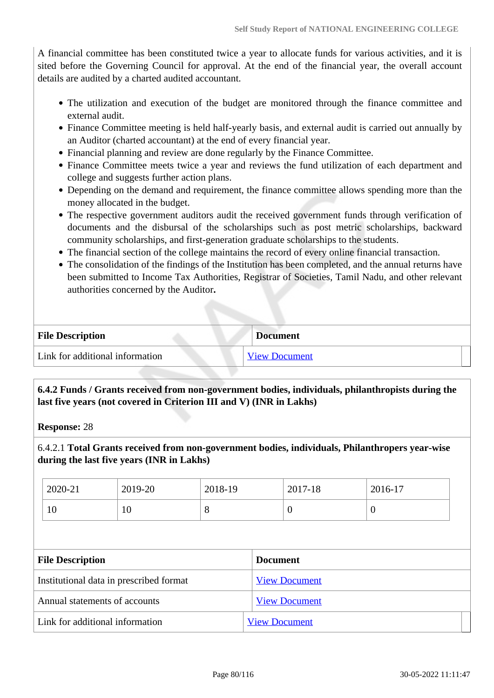A financial committee has been constituted twice a year to allocate funds for various activities, and it is sited before the Governing Council for approval. At the end of the financial year, the overall account details are audited by a charted audited accountant.

- The utilization and execution of the budget are monitored through the finance committee and external audit.
- Finance Committee meeting is held half-yearly basis, and external audit is carried out annually by an Auditor (charted accountant) at the end of every financial year.
- Financial planning and review are done regularly by the Finance Committee.
- Finance Committee meets twice a year and reviews the fund utilization of each department and college and suggests further action plans.
- Depending on the demand and requirement, the finance committee allows spending more than the money allocated in the budget.
- The respective government auditors audit the received government funds through verification of documents and the disbursal of the scholarships such as post metric scholarships, backward community scholarships, and first-generation graduate scholarships to the students.
- The financial section of the college maintains the record of every online financial transaction.
- The consolidation of the findings of the Institution has been completed, and the annual returns have been submitted to Income Tax Authorities, Registrar of Societies, Tamil Nadu, and other relevant authorities concerned by the Auditor**.**

| <b>File Description</b>         | <b>Document</b>      |
|---------------------------------|----------------------|
| Link for additional information | <b>View Document</b> |

## **6.4.2 Funds / Grants received from non-government bodies, individuals, philanthropists during the last five years (not covered in Criterion III and V) (INR in Lakhs)**

**Response:** 28

6.4.2.1 **Total Grants received from non-government bodies, individuals, Philanthropers year-wise during the last five years (INR in Lakhs)**

| 2020-21 | 2019-20 | 2018-19 | 2017-18 | $2016 - 17$ |
|---------|---------|---------|---------|-------------|
| 10      | 10      | $\circ$ |         | v           |

| <b>File Description</b>                 | <b>Document</b>      |
|-----------------------------------------|----------------------|
| Institutional data in prescribed format | <b>View Document</b> |
| Annual statements of accounts           | <b>View Document</b> |
| Link for additional information         | <b>View Document</b> |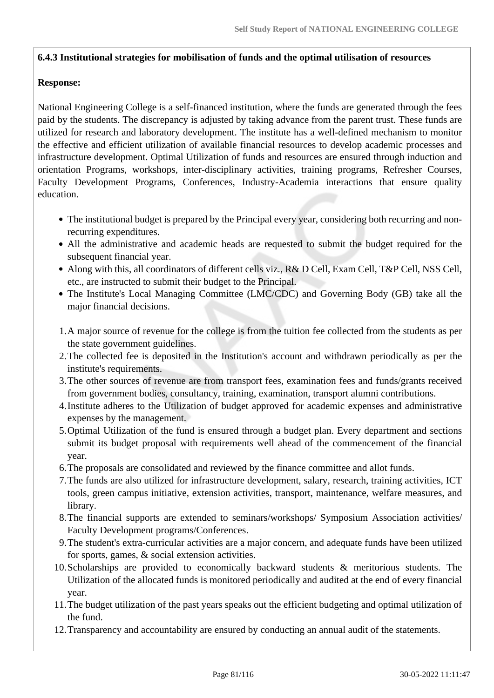## **6.4.3 Institutional strategies for mobilisation of funds and the optimal utilisation of resources**

### **Response:**

National Engineering College is a self-financed institution, where the funds are generated through the fees paid by the students. The discrepancy is adjusted by taking advance from the parent trust. These funds are utilized for research and laboratory development. The institute has a well-defined mechanism to monitor the effective and efficient utilization of available financial resources to develop academic processes and infrastructure development. Optimal Utilization of funds and resources are ensured through induction and orientation Programs, workshops, inter-disciplinary activities, training programs, Refresher Courses, Faculty Development Programs, Conferences, Industry-Academia interactions that ensure quality education.

- The institutional budget is prepared by the Principal every year, considering both recurring and nonrecurring expenditures.
- All the administrative and academic heads are requested to submit the budget required for the subsequent financial year.
- Along with this, all coordinators of different cells viz., R& D Cell, Exam Cell, T&P Cell, NSS Cell, etc., are instructed to submit their budget to the Principal.
- The Institute's Local Managing Committee (LMC/CDC) and Governing Body (GB) take all the major financial decisions.
- 1.A major source of revenue for the college is from the tuition fee collected from the students as per the state government guidelines.
- 2.The collected fee is deposited in the Institution's account and withdrawn periodically as per the institute's requirements.
- 3.The other sources of revenue are from transport fees, examination fees and funds/grants received from government bodies, consultancy, training, examination, transport alumni contributions.
- 4.Institute adheres to the Utilization of budget approved for academic expenses and administrative expenses by the management.
- 5.Optimal Utilization of the fund is ensured through a budget plan. Every department and sections submit its budget proposal with requirements well ahead of the commencement of the financial year.
- 6.The proposals are consolidated and reviewed by the finance committee and allot funds.
- 7.The funds are also utilized for infrastructure development, salary, research, training activities, ICT tools, green campus initiative, extension activities, transport, maintenance, welfare measures, and library.
- 8.The financial supports are extended to seminars/workshops/ Symposium Association activities/ Faculty Development programs/Conferences.
- 9.The student's extra-curricular activities are a major concern, and adequate funds have been utilized for sports, games, & social extension activities.
- 10.Scholarships are provided to economically backward students & meritorious students. The Utilization of the allocated funds is monitored periodically and audited at the end of every financial year.
- 11.The budget utilization of the past years speaks out the efficient budgeting and optimal utilization of the fund.
- 12.Transparency and accountability are ensured by conducting an annual audit of the statements.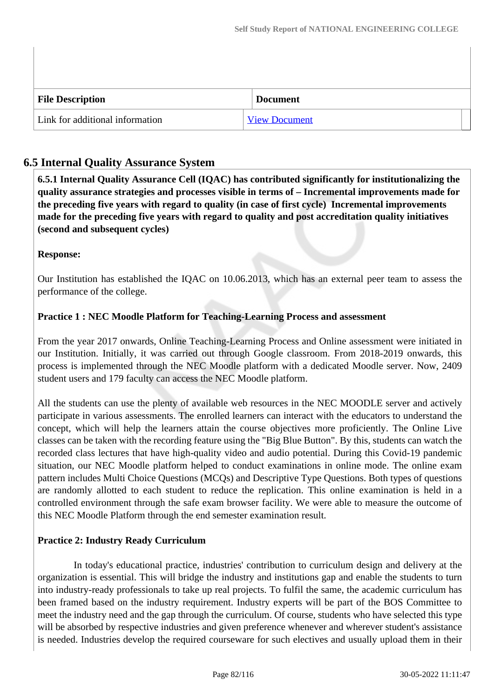| <b>File Description</b>         |  | <b>Document</b>      |  |
|---------------------------------|--|----------------------|--|
| Link for additional information |  | <b>View Document</b> |  |

## **6.5 Internal Quality Assurance System**

 **6.5.1 Internal Quality Assurance Cell (IQAC) has contributed significantly for institutionalizing the quality assurance strategies and processes visible in terms of – Incremental improvements made for the preceding five years with regard to quality (in case of first cycle) Incremental improvements made for the preceding five years with regard to quality and post accreditation quality initiatives (second and subsequent cycles)** 

## **Response:**

Our Institution has established the IQAC on 10.06.2013, which has an external peer team to assess the performance of the college.

## **Practice 1 : NEC Moodle Platform for Teaching-Learning Process and assessment**

From the year 2017 onwards, Online Teaching-Learning Process and Online assessment were initiated in our Institution. Initially, it was carried out through Google classroom. From 2018-2019 onwards, this process is implemented through the NEC Moodle platform with a dedicated Moodle server. Now, 2409 student users and 179 faculty can access the NEC Moodle platform.

All the students can use the plenty of available web resources in the NEC MOODLE server and actively participate in various assessments. The enrolled learners can interact with the educators to understand the concept, which will help the learners attain the course objectives more proficiently. The Online Live classes can be taken with the recording feature using the "Big Blue Button". By this, students can watch the recorded class lectures that have high-quality video and audio potential. During this Covid-19 pandemic situation, our NEC Moodle platform helped to conduct examinations in online mode. The online exam pattern includes Multi Choice Questions (MCQs) and Descriptive Type Questions. Both types of questions are randomly allotted to each student to reduce the replication. This online examination is held in a controlled environment through the safe exam browser facility. We were able to measure the outcome of this NEC Moodle Platform through the end semester examination result.

#### **Practice 2: Industry Ready Curriculum**

 In today's educational practice, industries' contribution to curriculum design and delivery at the organization is essential. This will bridge the industry and institutions gap and enable the students to turn into industry-ready professionals to take up real projects. To fulfil the same, the academic curriculum has been framed based on the industry requirement. Industry experts will be part of the BOS Committee to meet the industry need and the gap through the curriculum. Of course, students who have selected this type will be absorbed by respective industries and given preference whenever and wherever student's assistance is needed. Industries develop the required courseware for such electives and usually upload them in their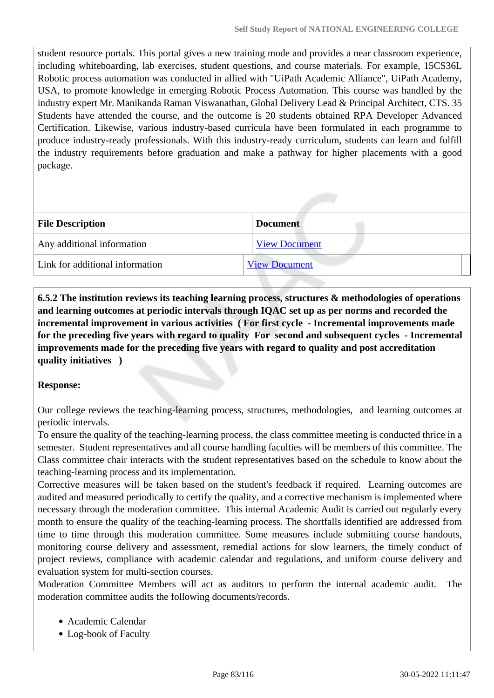student resource portals. This portal gives a new training mode and provides a near classroom experience, including whiteboarding, lab exercises, student questions, and course materials. For example, 15CS36L Robotic process automation was conducted in allied with "UiPath Academic Alliance", UiPath Academy, USA, to promote knowledge in emerging Robotic Process Automation. This course was handled by the industry expert Mr. Manikanda Raman Viswanathan, Global Delivery Lead & Principal Architect, CTS. 35 Students have attended the course, and the outcome is 20 students obtained RPA Developer Advanced Certification. Likewise, various industry-based curricula have been formulated in each programme to produce industry-ready professionals. With this industry-ready curriculum, students can learn and fulfill the industry requirements before graduation and make a pathway for higher placements with a good package.

| <b>File Description</b>         | <b>Document</b>      |
|---------------------------------|----------------------|
| Any additional information      | <b>View Document</b> |
| Link for additional information | <b>View Document</b> |

 **6.5.2 The institution reviews its teaching learning process, structures & methodologies of operations and learning outcomes at periodic intervals through IQAC set up as per norms and recorded the incremental improvement in various activities ( For first cycle - Incremental improvements made for the preceding five years with regard to quality For second and subsequent cycles - Incremental improvements made for the preceding five years with regard to quality and post accreditation quality initiatives )** 

#### **Response:**

Our college reviews the teaching-learning process, structures, methodologies, and learning outcomes at periodic intervals.

To ensure the quality of the teaching-learning process, the class committee meeting is conducted thrice in a semester. Student representatives and all course handling faculties will be members of this committee. The Class committee chair interacts with the student representatives based on the schedule to know about the teaching-learning process and its implementation.

Corrective measures will be taken based on the student's feedback if required. Learning outcomes are audited and measured periodically to certify the quality, and a corrective mechanism is implemented where necessary through the moderation committee. This internal Academic Audit is carried out regularly every month to ensure the quality of the teaching-learning process. The shortfalls identified are addressed from time to time through this moderation committee. Some measures include submitting course handouts, monitoring course delivery and assessment, remedial actions for slow learners, the timely conduct of project reviews, compliance with academic calendar and regulations, and uniform course delivery and evaluation system for multi-section courses.

Moderation Committee Members will act as auditors to perform the internal academic audit. The moderation committee audits the following documents/records.

- Academic Calendar
- Log-book of Faculty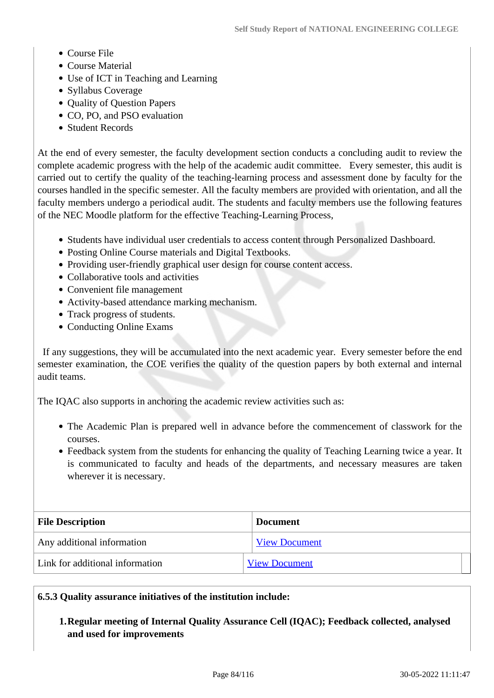- Course File
- Course Material
- Use of ICT in Teaching and Learning
- Syllabus Coverage
- Quality of Question Papers
- CO, PO, and PSO evaluation
- Student Records

At the end of every semester, the faculty development section conducts a concluding audit to review the complete academic progress with the help of the academic audit committee. Every semester, this audit is carried out to certify the quality of the teaching-learning process and assessment done by faculty for the courses handled in the specific semester. All the faculty members are provided with orientation, and all the faculty members undergo a periodical audit. The students and faculty members use the following features of the NEC Moodle platform for the effective Teaching-Learning Process,

- Students have individual user credentials to access content through Personalized Dashboard.
- Posting Online Course materials and Digital Textbooks.
- Providing user-friendly graphical user design for course content access.
- Collaborative tools and activities
- Convenient file management
- Activity-based attendance marking mechanism.
- Track progress of students.
- Conducting Online Exams

 If any suggestions, they will be accumulated into the next academic year. Every semester before the end semester examination, the COE verifies the quality of the question papers by both external and internal audit teams.

The IQAC also supports in anchoring the academic review activities such as:

- The Academic Plan is prepared well in advance before the commencement of classwork for the courses.
- Feedback system from the students for enhancing the quality of Teaching Learning twice a year. It is communicated to faculty and heads of the departments, and necessary measures are taken wherever it is necessary.

| <b>File Description</b>         | <b>Document</b>      |
|---------------------------------|----------------------|
| Any additional information      | <b>View Document</b> |
| Link for additional information | <b>View Document</b> |

#### **6.5.3 Quality assurance initiatives of the institution include:**

#### **1.Regular meeting of Internal Quality Assurance Cell (IQAC); Feedback collected, analysed and used for improvements**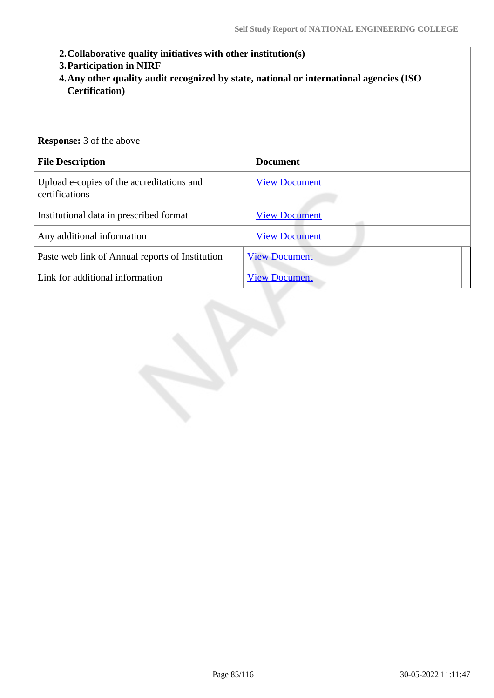- **2.Collaborative quality initiatives with other institution(s)**
- **3.Participation in NIRF**
- **4.Any other quality audit recognized by state, national or international agencies (ISO Certification)**

| <b>Response:</b> 3 of the above                             |                      |  |
|-------------------------------------------------------------|----------------------|--|
| <b>File Description</b>                                     | <b>Document</b>      |  |
| Upload e-copies of the accreditations and<br>certifications | <b>View Document</b> |  |
| Institutional data in prescribed format                     | <b>View Document</b> |  |
| Any additional information                                  | <b>View Document</b> |  |
| Paste web link of Annual reports of Institution             | <b>View Document</b> |  |
| Link for additional information                             | <b>View Document</b> |  |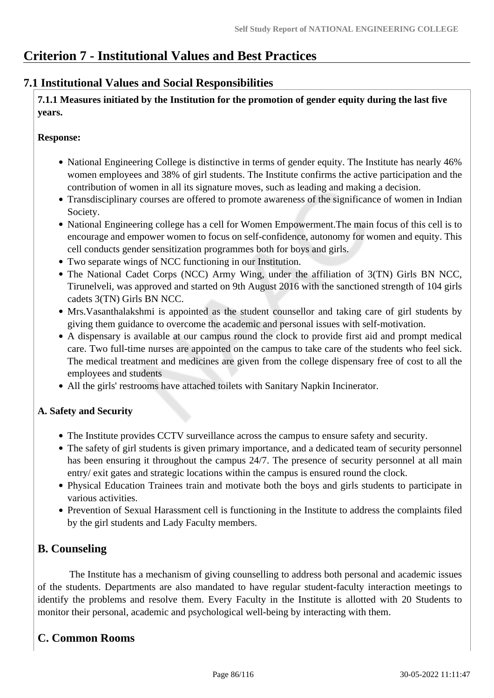## **Criterion 7 - Institutional Values and Best Practices**

## **7.1 Institutional Values and Social Responsibilities**

 **7.1.1 Measures initiated by the Institution for the promotion of gender equity during the last five years.**

## **Response:**

- National Engineering College is distinctive in terms of gender equity. The Institute has nearly 46% women employees and 38% of girl students. The Institute confirms the active participation and the contribution of women in all its signature moves, such as leading and making a decision.
- Transdisciplinary courses are offered to promote awareness of the significance of women in Indian Society.
- National Engineering college has a cell for Women Empowerment. The main focus of this cell is to encourage and empower women to focus on self-confidence, autonomy for women and equity. This cell conducts gender sensitization programmes both for boys and girls.
- Two separate wings of NCC functioning in our Institution.
- The National Cadet Corps (NCC) Army Wing, under the affiliation of 3(TN) Girls BN NCC, Tirunelveli, was approved and started on 9th August 2016 with the sanctioned strength of 104 girls cadets 3(TN) Girls BN NCC.
- Mrs.Vasanthalakshmi is appointed as the student counsellor and taking care of girl students by giving them guidance to overcome the academic and personal issues with self-motivation.
- A dispensary is available at our campus round the clock to provide first aid and prompt medical care. Two full-time nurses are appointed on the campus to take care of the students who feel sick. The medical treatment and medicines are given from the college dispensary free of cost to all the employees and students
- All the girls' restrooms have attached toilets with Sanitary Napkin Incinerator.

## **A. Safety and Security**

- The Institute provides CCTV surveillance across the campus to ensure safety and security.
- The safety of girl students is given primary importance, and a dedicated team of security personnel has been ensuring it throughout the campus 24/7. The presence of security personnel at all main entry/ exit gates and strategic locations within the campus is ensured round the clock.
- Physical Education Trainees train and motivate both the boys and girls students to participate in various activities.
- Prevention of Sexual Harassment cell is functioning in the Institute to address the complaints filed by the girl students and Lady Faculty members.

## **B. Counseling**

 The Institute has a mechanism of giving counselling to address both personal and academic issues of the students. Departments are also mandated to have regular student-faculty interaction meetings to identify the problems and resolve them. Every Faculty in the Institute is allotted with 20 Students to monitor their personal, academic and psychological well-being by interacting with them.

## **C. Common Rooms**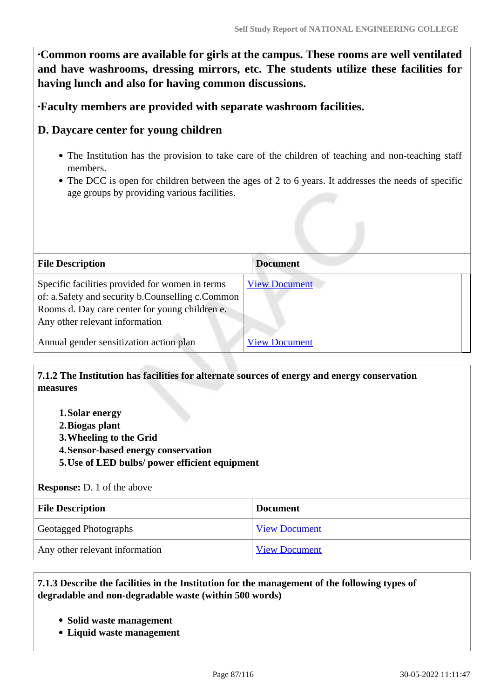**·Common rooms are available for girls at the campus. These rooms are well ventilated and have washrooms, dressing mirrors, etc. The students utilize these facilities for having lunch and also for having common discussions.**

**·Faculty members are provided with separate washroom facilities.**

## **D. Daycare center for young children**

- The Institution has the provision to take care of the children of teaching and non-teaching staff members.
- The DCC is open for children between the ages of 2 to 6 years. It addresses the needs of specific age groups by providing various facilities.

| <b>File Description</b>                                                                                                                                                                 | <b>Document</b>      |  |
|-----------------------------------------------------------------------------------------------------------------------------------------------------------------------------------------|----------------------|--|
| Specific facilities provided for women in terms<br>of: a.Safety and security b.Counselling c.Common<br>Rooms d. Day care center for young children e.<br>Any other relevant information | <b>View Document</b> |  |
| Annual gender sensitization action plan                                                                                                                                                 | <b>View Document</b> |  |

## **7.1.2 The Institution has facilities for alternate sources of energy and energy conservation measures**

- **1.Solar energy**
- **2.Biogas plant**
- **3.Wheeling to the Grid**
- **4.Sensor-based energy conservation**
- **5.Use of LED bulbs/ power efficient equipment**

#### **Response:** D. 1 of the above

| <b>File Description</b>        | <b>Document</b>      |
|--------------------------------|----------------------|
| Geotagged Photographs          | <b>View Document</b> |
| Any other relevant information | <b>View Document</b> |

#### **7.1.3 Describe the facilities in the Institution for the management of the following types of degradable and non-degradable waste (within 500 words)**

- **Solid waste management**
- **Liquid waste management**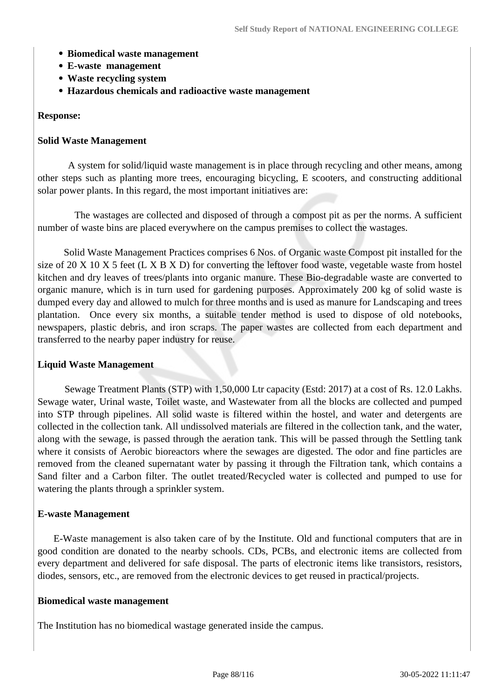- **Biomedical waste management**
- **E-waste management**
- **Waste recycling system**
- **Hazardous chemicals and radioactive waste management**

#### **Response:**

#### **Solid Waste Management**

 A system for solid/liquid waste management is in place through recycling and other means, among other steps such as planting more trees, encouraging bicycling, E scooters, and constructing additional solar power plants. In this regard, the most important initiatives are:

 The wastages are collected and disposed of through a compost pit as per the norms. A sufficient number of waste bins are placed everywhere on the campus premises to collect the wastages.

 Solid Waste Management Practices comprises 6 Nos. of Organic waste Compost pit installed for the size of 20 X 10 X 5 feet (L X B X D) for converting the leftover food waste, vegetable waste from hostel kitchen and dry leaves of trees/plants into organic manure. These Bio-degradable waste are converted to organic manure, which is in turn used for gardening purposes. Approximately 200 kg of solid waste is dumped every day and allowed to mulch for three months and is used as manure for Landscaping and trees plantation. Once every six months, a suitable tender method is used to dispose of old notebooks, newspapers, plastic debris, and iron scraps. The paper wastes are collected from each department and transferred to the nearby paper industry for reuse.

#### **Liquid Waste Management**

 Sewage Treatment Plants (STP) with 1,50,000 Ltr capacity (Estd: 2017) at a cost of Rs. 12.0 Lakhs. Sewage water, Urinal waste, Toilet waste, and Wastewater from all the blocks are collected and pumped into STP through pipelines. All solid waste is filtered within the hostel, and water and detergents are collected in the collection tank. All undissolved materials are filtered in the collection tank, and the water, along with the sewage, is passed through the aeration tank. This will be passed through the Settling tank where it consists of Aerobic bioreactors where the sewages are digested. The odor and fine particles are removed from the cleaned supernatant water by passing it through the Filtration tank, which contains a Sand filter and a Carbon filter. The outlet treated/Recycled water is collected and pumped to use for watering the plants through a sprinkler system.

#### **E-waste Management**

 E-Waste management is also taken care of by the Institute. Old and functional computers that are in good condition are donated to the nearby schools. CDs, PCBs, and electronic items are collected from every department and delivered for safe disposal. The parts of electronic items like transistors, resistors, diodes, sensors, etc., are removed from the electronic devices to get reused in practical/projects.

#### **Biomedical waste management**

The Institution has no biomedical wastage generated inside the campus.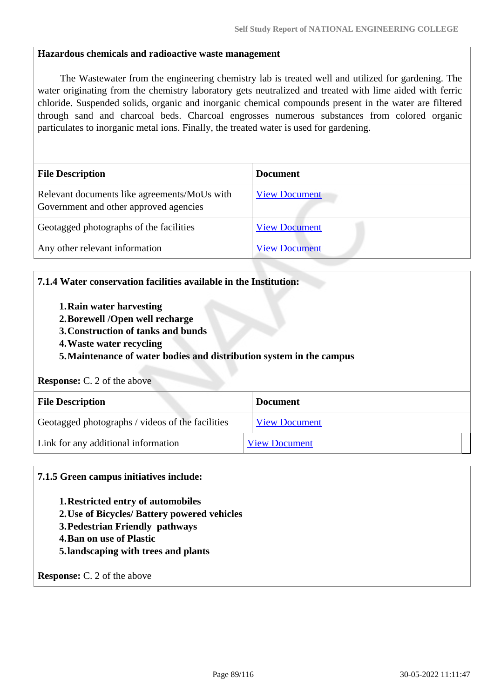#### **Hazardous chemicals and radioactive waste management**

 The Wastewater from the engineering chemistry lab is treated well and utilized for gardening. The water originating from the chemistry laboratory gets neutralized and treated with lime aided with ferric chloride. Suspended solids, organic and inorganic chemical compounds present in the water are filtered through sand and charcoal beds. Charcoal engrosses numerous substances from colored organic particulates to inorganic metal ions. Finally, the treated water is used for gardening.

| <b>File Description</b>                                                                | <b>Document</b>      |
|----------------------------------------------------------------------------------------|----------------------|
| Relevant documents like agreements/MoUs with<br>Government and other approved agencies | <b>View Document</b> |
| Geotagged photographs of the facilities                                                | <b>View Document</b> |
| Any other relevant information                                                         | <b>View Document</b> |

#### **7.1.4 Water conservation facilities available in the Institution:**

- **1.Rain water harvesting**
- **2.Borewell /Open well recharge**
- **3.Construction of tanks and bunds**
- **4.Waste water recycling**

#### **5.Maintenance of water bodies and distribution system in the campus**

#### **Response:** C. 2 of the above

| <b>File Description</b>                          | <b>Document</b>      |
|--------------------------------------------------|----------------------|
| Geotagged photographs / videos of the facilities | <b>View Document</b> |
| Link for any additional information              | <b>View Document</b> |

#### **7.1.5 Green campus initiatives include:**

- **1.Restricted entry of automobiles**
- **2.Use of Bicycles/ Battery powered vehicles**
- **3.Pedestrian Friendly pathways**
- **4.Ban on use of Plastic**
- **5.landscaping with trees and plants**

**Response:** C. 2 of the above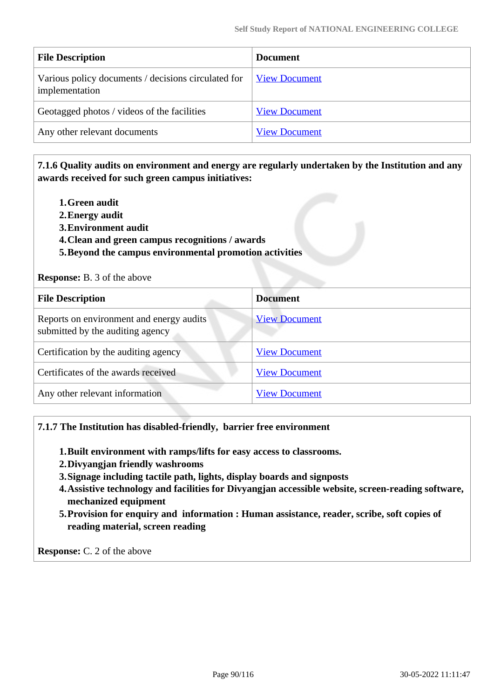| <b>File Description</b>                                               | <b>Document</b>      |
|-----------------------------------------------------------------------|----------------------|
| Various policy documents / decisions circulated for<br>implementation | <b>View Document</b> |
| Geotagged photos / videos of the facilities                           | <b>View Document</b> |
| Any other relevant documents                                          | <b>View Document</b> |

## **7.1.6 Quality audits on environment and energy are regularly undertaken by the Institution and any awards received for such green campus initiatives:**

- **1.Green audit**
- **2.Energy audit**
- **3.Environment audit**
- **4.Clean and green campus recognitions / awards**
- **5.Beyond the campus environmental promotion activities**

#### **Response:** B. 3 of the above

| <b>File Description</b>                                                      | <b>Document</b>      |
|------------------------------------------------------------------------------|----------------------|
| Reports on environment and energy audits<br>submitted by the auditing agency | <b>View Document</b> |
| Certification by the auditing agency                                         | <b>View Document</b> |
| Certificates of the awards received                                          | <b>View Document</b> |
| Any other relevant information                                               | <b>View Document</b> |

#### **7.1.7 The Institution has disabled-friendly, barrier free environment**

- **1.Built environment with ramps/lifts for easy access to classrooms.**
- **2.Divyangjan friendly washrooms**
- **3.Signage including tactile path, lights, display boards and signposts**
- **4.Assistive technology and facilities for Divyangjan accessible website, screen-reading software, mechanized equipment**
- **5.Provision for enquiry and information : Human assistance, reader, scribe, soft copies of reading material, screen reading**

**Response:** C. 2 of the above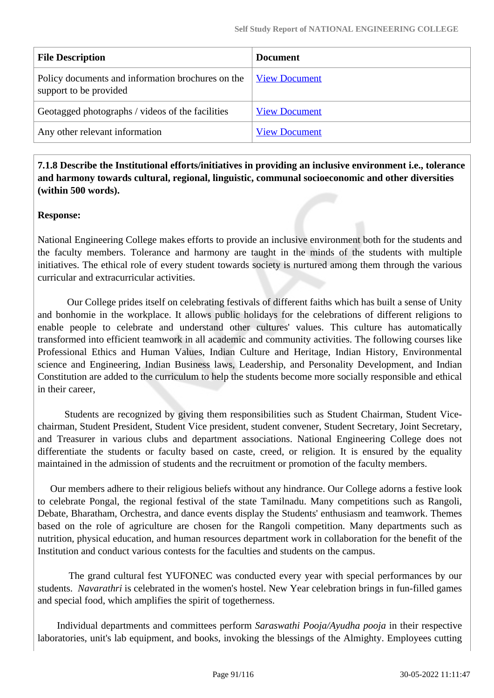| <b>Document</b>      |
|----------------------|
| <b>View Document</b> |
| <b>View Document</b> |
| <b>View Document</b> |
|                      |

 **7.1.8 Describe the Institutional efforts/initiatives in providing an inclusive environment i.e., tolerance and harmony towards cultural, regional, linguistic, communal socioeconomic and other diversities (within 500 words).**

## **Response:**

National Engineering College makes efforts to provide an inclusive environment both for the students and the faculty members. Tolerance and harmony are taught in the minds of the students with multiple initiatives. The ethical role of every student towards society is nurtured among them through the various curricular and extracurricular activities.

 Our College prides itself on celebrating festivals of different faiths which has built a sense of Unity and bonhomie in the workplace. It allows public holidays for the celebrations of different religions to enable people to celebrate and understand other cultures' values. This culture has automatically transformed into efficient teamwork in all academic and community activities. The following courses like Professional Ethics and Human Values, Indian Culture and Heritage, Indian History, Environmental science and Engineering, Indian Business laws, Leadership, and Personality Development, and Indian Constitution are added to the curriculum to help the students become more socially responsible and ethical in their career,

 Students are recognized by giving them responsibilities such as Student Chairman, Student Vicechairman, Student President, Student Vice president, student convener, Student Secretary, Joint Secretary, and Treasurer in various clubs and department associations. National Engineering College does not differentiate the students or faculty based on caste, creed, or religion. It is ensured by the equality maintained in the admission of students and the recruitment or promotion of the faculty members.

 Our members adhere to their religious beliefs without any hindrance. Our College adorns a festive look to celebrate Pongal, the regional festival of the state Tamilnadu. Many competitions such as Rangoli, Debate, Bharatham, Orchestra, and dance events display the Students' enthusiasm and teamwork. Themes based on the role of agriculture are chosen for the Rangoli competition. Many departments such as nutrition, physical education, and human resources department work in collaboration for the benefit of the Institution and conduct various contests for the faculties and students on the campus.

 The grand cultural fest YUFONEC was conducted every year with special performances by our students. *Navarathri* is celebrated in the women's hostel. New Year celebration brings in fun-filled games and special food, which amplifies the spirit of togetherness.

 Individual departments and committees perform *Saraswathi Pooja/Ayudha pooja* in their respective laboratories, unit's lab equipment, and books, invoking the blessings of the Almighty. Employees cutting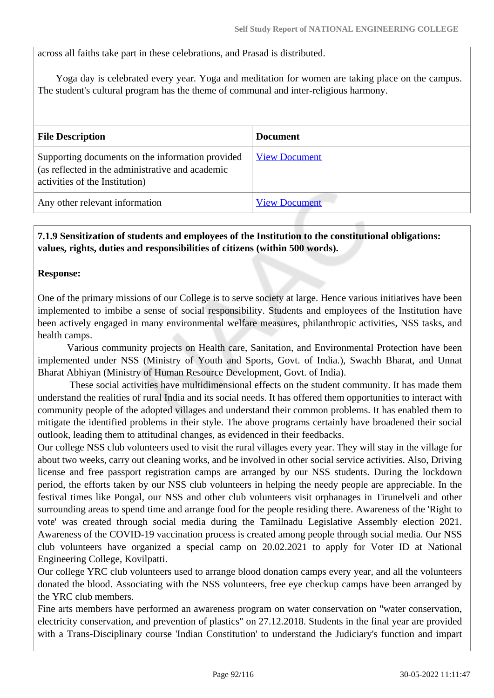across all faiths take part in these celebrations, and Prasad is distributed.

 Yoga day is celebrated every year. Yoga and meditation for women are taking place on the campus. The student's cultural program has the theme of communal and inter-religious harmony.

| <b>File Description</b>                                                                                                                | <b>Document</b>      |
|----------------------------------------------------------------------------------------------------------------------------------------|----------------------|
| Supporting documents on the information provided<br>(as reflected in the administrative and academic<br>activities of the Institution) | <b>View Document</b> |
| Any other relevant information                                                                                                         | <b>View Document</b> |

## **7.1.9 Sensitization of students and employees of the Institution to the constitutional obligations: values, rights, duties and responsibilities of citizens (within 500 words).**

#### **Response:**

One of the primary missions of our College is to serve society at large. Hence various initiatives have been implemented to imbibe a sense of social responsibility. Students and employees of the Institution have been actively engaged in many environmental welfare measures, philanthropic activities, NSS tasks, and health camps.

 Various community projects on Health care, Sanitation, and Environmental Protection have been implemented under NSS (Ministry of Youth and Sports, Govt. of India.), Swachh Bharat, and Unnat Bharat Abhiyan (Ministry of Human Resource Development, Govt. of India).

 These social activities have multidimensional effects on the student community. It has made them understand the realities of rural India and its social needs. It has offered them opportunities to interact with community people of the adopted villages and understand their common problems. It has enabled them to mitigate the identified problems in their style. The above programs certainly have broadened their social outlook, leading them to attitudinal changes, as evidenced in their feedbacks.

Our college NSS club volunteers used to visit the rural villages every year. They will stay in the village for about two weeks, carry out cleaning works, and be involved in other social service activities. Also, Driving license and free passport registration camps are arranged by our NSS students. During the lockdown period, the efforts taken by our NSS club volunteers in helping the needy people are appreciable. In the festival times like Pongal, our NSS and other club volunteers visit orphanages in Tirunelveli and other surrounding areas to spend time and arrange food for the people residing there. Awareness of the 'Right to vote' was created through social media during the Tamilnadu Legislative Assembly election 2021. Awareness of the COVID-19 vaccination process is created among people through social media. Our NSS club volunteers have organized a special camp on 20.02.2021 to apply for Voter ID at National Engineering College, Kovilpatti.

Our college YRC club volunteers used to arrange blood donation camps every year, and all the volunteers donated the blood. Associating with the NSS volunteers, free eye checkup camps have been arranged by the YRC club members.

Fine arts members have performed an awareness program on water conservation on "water conservation, electricity conservation, and prevention of plastics" on 27.12.2018. Students in the final year are provided with a Trans-Disciplinary course 'Indian Constitution' to understand the Judiciary's function and impart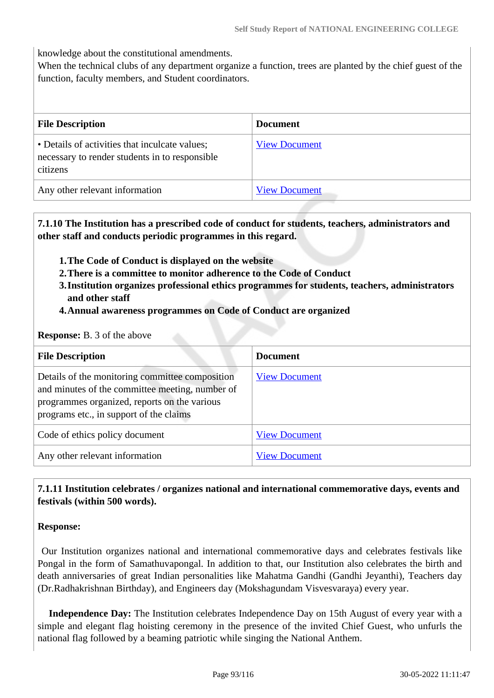knowledge about the constitutional amendments.

When the technical clubs of any department organize a function, trees are planted by the chief guest of the function, faculty members, and Student coordinators.

| <b>File Description</b>                                                                                      | <b>Document</b>      |
|--------------------------------------------------------------------------------------------------------------|----------------------|
| • Details of activities that inculcate values;<br>necessary to render students in to responsible<br>citizens | <b>View Document</b> |
| Any other relevant information                                                                               | <b>View Document</b> |

 **7.1.10 The Institution has a prescribed code of conduct for students, teachers, administrators and other staff and conducts periodic programmes in this regard.** 

- **1.The Code of Conduct is displayed on the website**
- **2.There is a committee to monitor adherence to the Code of Conduct**
- **3.Institution organizes professional ethics programmes for students, teachers, administrators and other staff**
- **4.Annual awareness programmes on Code of Conduct are organized**

**Response:** B. 3 of the above

| <b>File Description</b>                                                                                                                                                                       | <b>Document</b>      |
|-----------------------------------------------------------------------------------------------------------------------------------------------------------------------------------------------|----------------------|
| Details of the monitoring committee composition<br>and minutes of the committee meeting, number of<br>programmes organized, reports on the various<br>programs etc., in support of the claims | <b>View Document</b> |
| Code of ethics policy document                                                                                                                                                                | <b>View Document</b> |
| Any other relevant information                                                                                                                                                                | <b>View Document</b> |

## **7.1.11 Institution celebrates / organizes national and international commemorative days, events and festivals (within 500 words).**

#### **Response:**

 Our Institution organizes national and international commemorative days and celebrates festivals like Pongal in the form of Samathuvapongal. In addition to that, our Institution also celebrates the birth and death anniversaries of great Indian personalities like Mahatma Gandhi (Gandhi Jeyanthi), Teachers day (Dr.Radhakrishnan Birthday), and Engineers day (Mokshagundam Visvesvaraya) every year.

 **Independence Day:** The Institution celebrates Independence Day on 15th August of every year with a simple and elegant flag hoisting ceremony in the presence of the invited Chief Guest, who unfurls the national flag followed by a beaming patriotic while singing the National Anthem.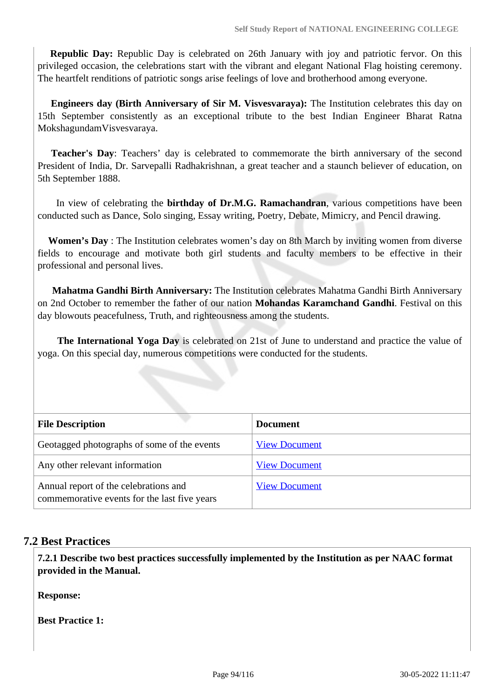**Republic Day:** Republic Day is celebrated on 26th January with joy and patriotic fervor. On this privileged occasion, the celebrations start with the vibrant and elegant National Flag hoisting ceremony. The heartfelt renditions of patriotic songs arise feelings of love and brotherhood among everyone.

 **Engineers day (Birth Anniversary of Sir M. Visvesvaraya):** The Institution celebrates this day on 15th September consistently as an exceptional tribute to the best Indian Engineer Bharat Ratna MokshagundamVisvesvaraya.

 **Teacher's Day**: Teachers' day is celebrated to commemorate the birth anniversary of the second President of India, Dr. Sarvepalli Radhakrishnan, a great teacher and a staunch believer of education, on 5th September 1888.

 In view of celebrating the **birthday of Dr.M.G. Ramachandran**, various competitions have been conducted such as Dance, Solo singing, Essay writing, Poetry, Debate, Mimicry, and Pencil drawing.

 **Women's Day** : The Institution celebrates women's day on 8th March by inviting women from diverse fields to encourage and motivate both girl students and faculty members to be effective in their professional and personal lives.

 **Mahatma Gandhi Birth Anniversary:** The Institution celebrates Mahatma Gandhi Birth Anniversary on 2nd October to remember the father of our nation **Mohandas Karamchand Gandhi**. Festival on this day blowouts peacefulness, Truth, and righteousness among the students.

 **The International Yoga Day** is celebrated on 21st of June to understand and practice the value of yoga. On this special day, numerous competitions were conducted for the students.

| <b>File Description</b>                                                               | <b>Document</b>      |
|---------------------------------------------------------------------------------------|----------------------|
| Geotagged photographs of some of the events                                           | <b>View Document</b> |
| Any other relevant information                                                        | <b>View Document</b> |
| Annual report of the celebrations and<br>commemorative events for the last five years | <b>View Document</b> |

## **7.2 Best Practices**

 **7.2.1 Describe two best practices successfully implemented by the Institution as per NAAC format provided in the Manual.**

**Response:** 

**Best Practice 1:**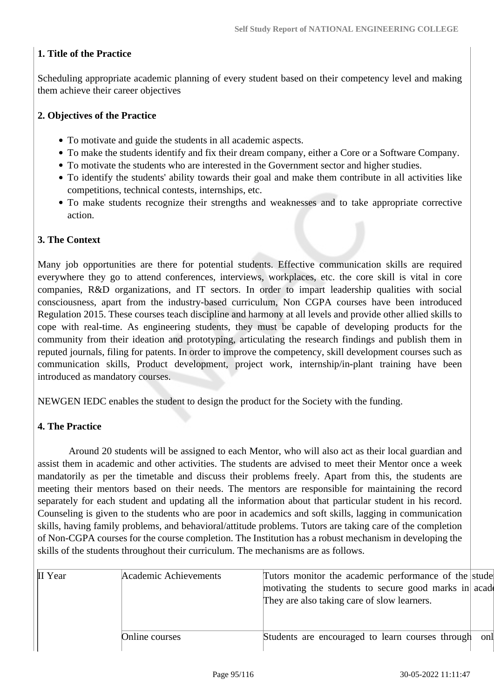## **1. Title of the Practice**

Scheduling appropriate academic planning of every student based on their competency level and making them achieve their career objectives

#### **2. Objectives of the Practice**

- To motivate and guide the students in all academic aspects.
- To make the students identify and fix their dream company, either a Core or a Software Company.
- To motivate the students who are interested in the Government sector and higher studies.
- To identify the students' ability towards their goal and make them contribute in all activities like competitions, technical contests, internships, etc.
- To make students recognize their strengths and weaknesses and to take appropriate corrective action.

#### **3. The Context**

Many job opportunities are there for potential students. Effective communication skills are required everywhere they go to attend conferences, interviews, workplaces, etc. the core skill is vital in core companies, R&D organizations, and IT sectors. In order to impart leadership qualities with social consciousness, apart from the industry-based curriculum, Non CGPA courses have been introduced Regulation 2015. These courses teach discipline and harmony at all levels and provide other allied skills to cope with real-time. As engineering students, they must be capable of developing products for the community from their ideation and prototyping, articulating the research findings and publish them in reputed journals, filing for patents. In order to improve the competency, skill development courses such as communication skills, Product development, project work, internship/in-plant training have been introduced as mandatory courses.

NEWGEN IEDC enables the student to design the product for the Society with the funding.

#### **4. The Practice**

 Around 20 students will be assigned to each Mentor, who will also act as their local guardian and assist them in academic and other activities. The students are advised to meet their Mentor once a week mandatorily as per the timetable and discuss their problems freely. Apart from this, the students are meeting their mentors based on their needs. The mentors are responsible for maintaining the record separately for each student and updating all the information about that particular student in his record. Counseling is given to the students who are poor in academics and soft skills, lagging in communication skills, having family problems, and behavioral/attitude problems. Tutors are taking care of the completion of Non-CGPA courses for the course completion. The Institution has a robust mechanism in developing the skills of the students throughout their curriculum. The mechanisms are as follows.

| II Year | Academic Achievements | Tutors monitor the academic performance of the stude  |     |
|---------|-----------------------|-------------------------------------------------------|-----|
|         |                       | motivating the students to secure good marks in acade |     |
|         |                       | They are also taking care of slow learners.           |     |
|         |                       |                                                       |     |
|         |                       |                                                       |     |
|         | Online courses        | Students are encouraged to learn courses through      | onl |
|         |                       |                                                       |     |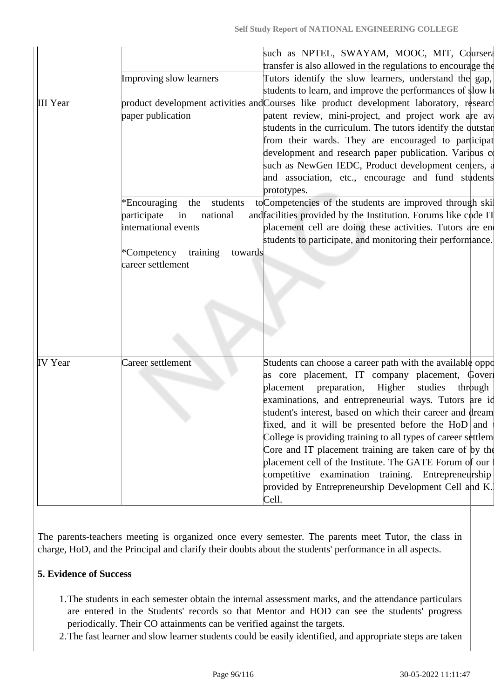|                 |                                                                                                                                          | such as NPTEL, SWAYAM, MOOC, MIT, Coursera<br>transfer is also allowed in the regulations to encourage the                                                                                                                                                                                                                                                                                                                                                                                                                                                                                                                                                    |
|-----------------|------------------------------------------------------------------------------------------------------------------------------------------|---------------------------------------------------------------------------------------------------------------------------------------------------------------------------------------------------------------------------------------------------------------------------------------------------------------------------------------------------------------------------------------------------------------------------------------------------------------------------------------------------------------------------------------------------------------------------------------------------------------------------------------------------------------|
|                 | Improving slow learners                                                                                                                  | Tutors identify the slow learners, understand the gap,<br>students to learn, and improve the performances of slow le                                                                                                                                                                                                                                                                                                                                                                                                                                                                                                                                          |
| <b>III</b> Year | paper publication                                                                                                                        | product development activities and Courses like product development laboratory, researc<br>patent review, mini-project, and project work are av<br>students in the curriculum. The tutors identify the qutstar<br>from their wards. They are encouraged to participat<br>development and research paper publication. Various co<br>such as NewGen IEDC, Product development centers, a<br>and association, etc., encourage and fund students<br>prototypes.                                                                                                                                                                                                   |
|                 | *Encouraging<br>students<br>the<br>participate<br>in<br>national<br>international events<br>*Competency<br>training<br>career settlement | to Competencies of the students are improved through skill<br>and facilities provided by the Institution. Forums like code IT<br>placement cell are doing these activities. Tutors are en<br>students to participate, and monitoring their performance.<br>towards                                                                                                                                                                                                                                                                                                                                                                                            |
| <b>IV</b> Year  | Career settlement                                                                                                                        | Students can choose a career path with the available oppo<br>as core placement, IT company placement, Gover<br>placement preparation, Higher<br>studies<br>through<br>examinations, and entrepreneurial ways. Tutors are id<br>student's interest, based on which their career and dream<br>fixed, and it will be presented before the $HoD $ and<br>College is providing training to all types of career settlem<br>Core and IT placement training are taken care of by the<br>placement cell of the Institute. The GATE Forum of our<br>competitive examination training. Entrepreneurship<br>provided by Entrepreneurship Development Cell and K.<br>Cell. |

The parents-teachers meeting is organized once every semester. The parents meet Tutor, the class in charge, HoD, and the Principal and clarify their doubts about the students' performance in all aspects.

## **5. Evidence of Success**

- 1.The students in each semester obtain the internal assessment marks, and the attendance particulars are entered in the Students' records so that Mentor and HOD can see the students' progress periodically. Their CO attainments can be verified against the targets.
- 2.The fast learner and slow learner students could be easily identified, and appropriate steps are taken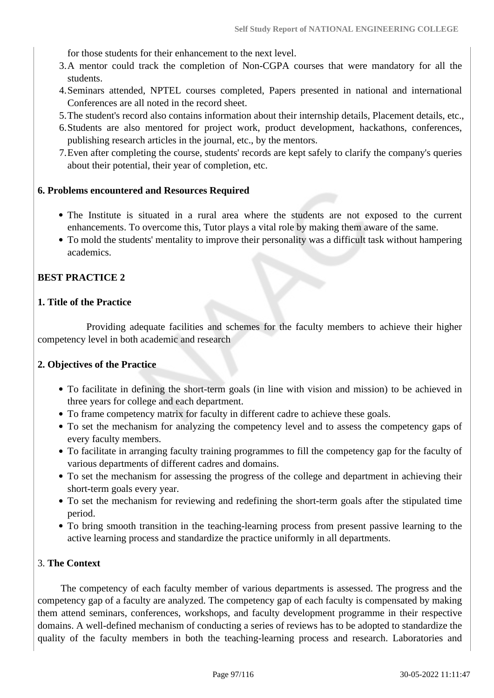for those students for their enhancement to the next level.

- 3.A mentor could track the completion of Non-CGPA courses that were mandatory for all the students.
- 4.Seminars attended, NPTEL courses completed, Papers presented in national and international Conferences are all noted in the record sheet.
- 5.The student's record also contains information about their internship details, Placement details, etc.,
- 6.Students are also mentored for project work, product development, hackathons, conferences, publishing research articles in the journal, etc., by the mentors.
- 7.Even after completing the course, students' records are kept safely to clarify the company's queries about their potential, their year of completion, etc.

#### **6. Problems encountered and Resources Required**

- The Institute is situated in a rural area where the students are not exposed to the current enhancements. To overcome this, Tutor plays a vital role by making them aware of the same.
- To mold the students' mentality to improve their personality was a difficult task without hampering academics.

#### **BEST PRACTICE 2**

#### **1. Title of the Practice**

 Providing adequate facilities and schemes for the faculty members to achieve their higher competency level in both academic and research

#### **2. Objectives of the Practice**

- To facilitate in defining the short-term goals (in line with vision and mission) to be achieved in three years for college and each department.
- To frame competency matrix for faculty in different cadre to achieve these goals.
- To set the mechanism for analyzing the competency level and to assess the competency gaps of every faculty members.
- To facilitate in arranging faculty training programmes to fill the competency gap for the faculty of various departments of different cadres and domains.
- To set the mechanism for assessing the progress of the college and department in achieving their short-term goals every year.
- To set the mechanism for reviewing and redefining the short-term goals after the stipulated time period.
- To bring smooth transition in the teaching-learning process from present passive learning to the active learning process and standardize the practice uniformly in all departments.

#### 3. **The Context**

 The competency of each faculty member of various departments is assessed. The progress and the competency gap of a faculty are analyzed. The competency gap of each faculty is compensated by making them attend seminars, conferences, workshops, and faculty development programme in their respective domains. A well-defined mechanism of conducting a series of reviews has to be adopted to standardize the quality of the faculty members in both the teaching-learning process and research. Laboratories and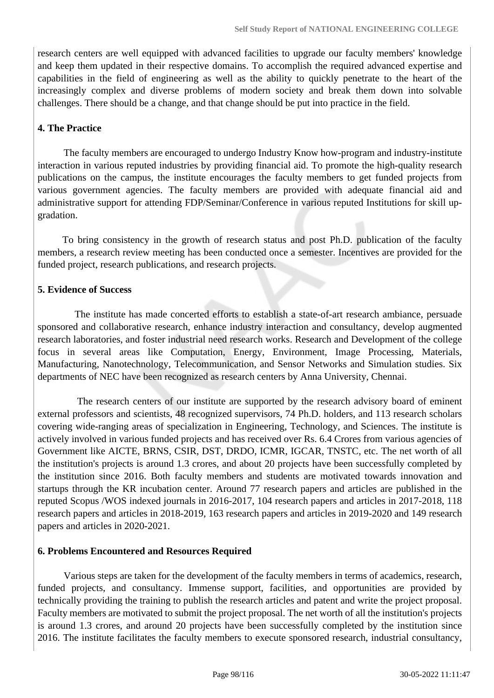research centers are well equipped with advanced facilities to upgrade our faculty members' knowledge and keep them updated in their respective domains. To accomplish the required advanced expertise and capabilities in the field of engineering as well as the ability to quickly penetrate to the heart of the increasingly complex and diverse problems of modern society and break them down into solvable challenges. There should be a change, and that change should be put into practice in the field.

#### **4. The Practice**

 The faculty members are encouraged to undergo Industry Know how-program and industry-institute interaction in various reputed industries by providing financial aid. To promote the high-quality research publications on the campus, the institute encourages the faculty members to get funded projects from various government agencies. The faculty members are provided with adequate financial aid and administrative support for attending FDP/Seminar/Conference in various reputed Institutions for skill upgradation.

 To bring consistency in the growth of research status and post Ph.D. publication of the faculty members, a research review meeting has been conducted once a semester. Incentives are provided for the funded project, research publications, and research projects.

#### **5. Evidence of Success**

 The institute has made concerted efforts to establish a state-of-art research ambiance, persuade sponsored and collaborative research, enhance industry interaction and consultancy, develop augmented research laboratories, and foster industrial need research works. Research and Development of the college focus in several areas like Computation, Energy, Environment, Image Processing, Materials, Manufacturing, Nanotechnology, Telecommunication, and Sensor Networks and Simulation studies. Six departments of NEC have been recognized as research centers by Anna University, Chennai.

 The research centers of our institute are supported by the research advisory board of eminent external professors and scientists, 48 recognized supervisors, 74 Ph.D. holders, and 113 research scholars covering wide-ranging areas of specialization in Engineering, Technology, and Sciences. The institute is actively involved in various funded projects and has received over Rs. 6.4 Crores from various agencies of Government like AICTE, BRNS, CSIR, DST, DRDO, ICMR, IGCAR, TNSTC, etc. The net worth of all the institution's projects is around 1.3 crores, and about 20 projects have been successfully completed by the institution since 2016. Both faculty members and students are motivated towards innovation and startups through the KR incubation center. Around 77 research papers and articles are published in the reputed Scopus /WOS indexed journals in 2016-2017, 104 research papers and articles in 2017-2018, 118 research papers and articles in 2018-2019, 163 research papers and articles in 2019-2020 and 149 research papers and articles in 2020-2021.

#### **6. Problems Encountered and Resources Required**

 Various steps are taken for the development of the faculty members in terms of academics, research, funded projects, and consultancy. Immense support, facilities, and opportunities are provided by technically providing the training to publish the research articles and patent and write the project proposal. Faculty members are motivated to submit the project proposal. The net worth of all the institution's projects is around 1.3 crores, and around 20 projects have been successfully completed by the institution since 2016. The institute facilitates the faculty members to execute sponsored research, industrial consultancy,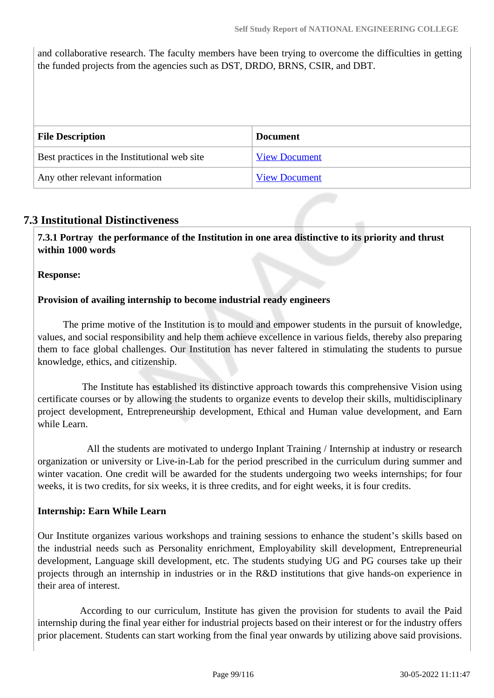and collaborative research. The faculty members have been trying to overcome the difficulties in getting the funded projects from the agencies such as DST, DRDO, BRNS, CSIR, and DBT.

| <b>File Description</b>                      | <b>Document</b>      |
|----------------------------------------------|----------------------|
| Best practices in the Institutional web site | <b>View Document</b> |
| Any other relevant information               | <b>View Document</b> |

## **7.3 Institutional Distinctiveness**

 **7.3.1 Portray the performance of the Institution in one area distinctive to its priority and thrust within 1000 words**

**Response:** 

#### **Provision of availing internship to become industrial ready engineers**

 The prime motive of the Institution is to mould and empower students in the pursuit of knowledge, values, and social responsibility and help them achieve excellence in various fields, thereby also preparing them to face global challenges. Our Institution has never faltered in stimulating the students to pursue knowledge, ethics, and citizenship.

 The Institute has established its distinctive approach towards this comprehensive Vision using certificate courses or by allowing the students to organize events to develop their skills, multidisciplinary project development, Entrepreneurship development, Ethical and Human value development, and Earn while Learn.

 All the students are motivated to undergo Inplant Training / Internship at industry or research organization or university or Live-in-Lab for the period prescribed in the curriculum during summer and winter vacation. One credit will be awarded for the students undergoing two weeks internships; for four weeks, it is two credits, for six weeks, it is three credits, and for eight weeks, it is four credits.

#### **Internship: Earn While Learn**

Our Institute organizes various workshops and training sessions to enhance the student's skills based on the industrial needs such as Personality enrichment, Employability skill development, Entrepreneurial development, Language skill development, etc. The students studying UG and PG courses take up their projects through an internship in industries or in the R&D institutions that give hands-on experience in their area of interest.

 According to our curriculum, Institute has given the provision for students to avail the Paid internship during the final year either for industrial projects based on their interest or for the industry offers prior placement. Students can start working from the final year onwards by utilizing above said provisions.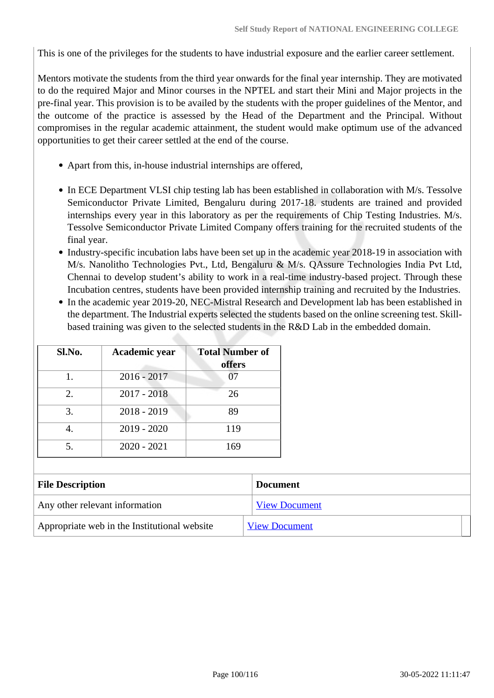This is one of the privileges for the students to have industrial exposure and the earlier career settlement.

Mentors motivate the students from the third year onwards for the final year internship. They are motivated to do the required Major and Minor courses in the NPTEL and start their Mini and Major projects in the pre-final year. This provision is to be availed by the students with the proper guidelines of the Mentor, and the outcome of the practice is assessed by the Head of the Department and the Principal. Without compromises in the regular academic attainment, the student would make optimum use of the advanced opportunities to get their career settled at the end of the course.

- Apart from this, in-house industrial internships are offered,
- In ECE Department VLSI chip testing lab has been established in collaboration with M/s. Tessolve Semiconductor Private Limited, Bengaluru during 2017-18. students are trained and provided internships every year in this laboratory as per the requirements of Chip Testing Industries. M/s. Tessolve Semiconductor Private Limited Company offers training for the recruited students of the final year.
- Industry-specific incubation labs have been set up in the academic year 2018-19 in association with M/s. Nanolitho Technologies Pvt., Ltd, Bengaluru & M/s. QAssure Technologies India Pvt Ltd, Chennai to develop student's ability to work in a real-time industry-based project. Through these Incubation centres, students have been provided internship training and recruited by the Industries.
- In the academic year 2019-20, NEC-Mistral Research and Development lab has been established in the department. The Industrial experts selected the students based on the online screening test. Skillbased training was given to the selected students in the R&D Lab in the embedded domain.

| Sl.No. | Academic year | <b>Total Number of</b><br>offers |
|--------|---------------|----------------------------------|
| 1.     | $2016 - 2017$ | 07                               |
| 2.     | $2017 - 2018$ | 26                               |
| 3.     | $2018 - 2019$ | 89                               |
|        | $2019 - 2020$ | 119                              |
| 5.     | $2020 - 2021$ | 169                              |

| <b>File Description</b>                      | <b>Document</b>      |
|----------------------------------------------|----------------------|
| Any other relevant information               | <b>View Document</b> |
| Appropriate web in the Institutional website | <b>View Document</b> |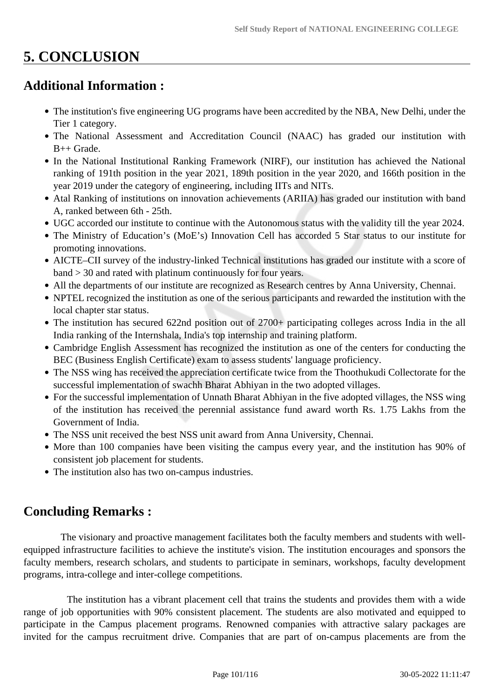# **5. CONCLUSION**

## **Additional Information :**

- The institution's five engineering UG programs have been accredited by the NBA, New Delhi, under the Tier 1 category.
- The National Assessment and Accreditation Council (NAAC) has graded our institution with B++ Grade.
- In the National Institutional Ranking Framework (NIRF), our institution has achieved the National ranking of 191th position in the year 2021, 189th position in the year 2020, and 166th position in the year 2019 under the category of engineering, including IITs and NITs.
- Atal Ranking of institutions on innovation achievements (ARIIA) has graded our institution with band A, ranked between 6th - 25th.
- UGC accorded our institute to continue with the Autonomous status with the validity till the year 2024.
- The Ministry of Education's (MoE's) Innovation Cell has accorded 5 Star status to our institute for promoting innovations.
- AICTE–CII survey of the industry-linked Technical institutions has graded our institute with a score of band > 30 and rated with platinum continuously for four years.
- All the departments of our institute are recognized as Research centres by Anna University, Chennai.
- NPTEL recognized the institution as one of the serious participants and rewarded the institution with the local chapter star status.
- The institution has secured 622nd position out of 2700+ participating colleges across India in the all India ranking of the Internshala, India's top internship and training platform.
- Cambridge English Assessment has recognized the institution as one of the centers for conducting the BEC (Business English Certificate) exam to assess students' language proficiency.
- The NSS wing has received the appreciation certificate twice from the Thoothukudi Collectorate for the successful implementation of swachh Bharat Abhiyan in the two adopted villages.
- For the successful implementation of Unnath Bharat Abhiyan in the five adopted villages, the NSS wing of the institution has received the perennial assistance fund award worth Rs. 1.75 Lakhs from the Government of India.
- The NSS unit received the best NSS unit award from Anna University, Chennai.
- More than 100 companies have been visiting the campus every year, and the institution has 90% of consistent job placement for students.
- The institution also has two on-campus industries.

## **Concluding Remarks :**

 The visionary and proactive management facilitates both the faculty members and students with wellequipped infrastructure facilities to achieve the institute's vision. The institution encourages and sponsors the faculty members, research scholars, and students to participate in seminars, workshops, faculty development programs, intra-college and inter-college competitions.

 The institution has a vibrant placement cell that trains the students and provides them with a wide range of job opportunities with 90% consistent placement. The students are also motivated and equipped to participate in the Campus placement programs. Renowned companies with attractive salary packages are invited for the campus recruitment drive. Companies that are part of on-campus placements are from the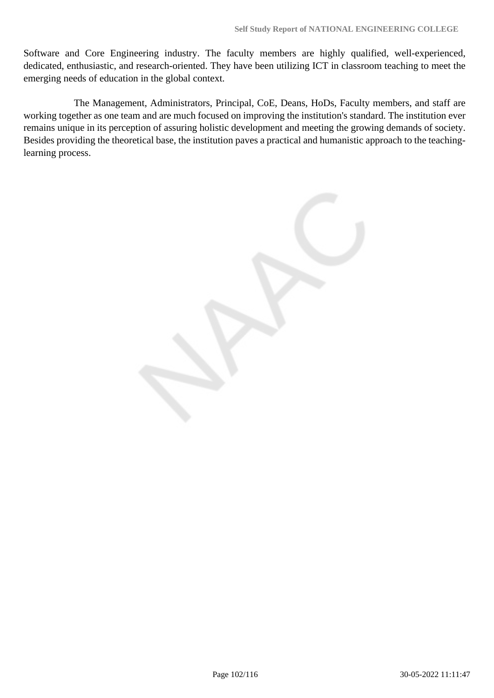Software and Core Engineering industry. The faculty members are highly qualified, well-experienced, dedicated, enthusiastic, and research-oriented. They have been utilizing ICT in classroom teaching to meet the emerging needs of education in the global context.

 The Management, Administrators, Principal, CoE, Deans, HoDs, Faculty members, and staff are working together as one team and are much focused on improving the institution's standard. The institution ever remains unique in its perception of assuring holistic development and meeting the growing demands of society. Besides providing the theoretical base, the institution paves a practical and humanistic approach to the teachinglearning process.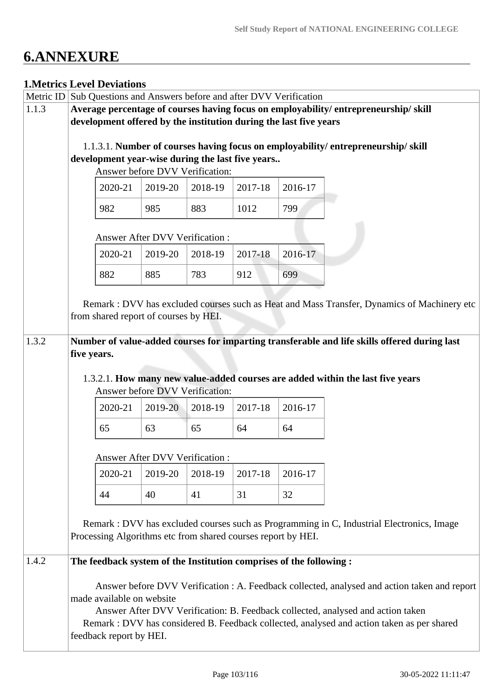# **6.ANNEXURE**

## **1.Metrics Level Deviations**

| Metric ID                                                                           | Sub Questions and Answers before and after DVV Verification                                |                           |                                       |         |                                                                     |         |                                                                                              |  |
|-------------------------------------------------------------------------------------|--------------------------------------------------------------------------------------------|---------------------------|---------------------------------------|---------|---------------------------------------------------------------------|---------|----------------------------------------------------------------------------------------------|--|
| 1.1.3                                                                               | Average percentage of courses having focus on employability/entrepreneurship/skill         |                           |                                       |         |                                                                     |         |                                                                                              |  |
|                                                                                     | development offered by the institution during the last five years                          |                           |                                       |         |                                                                     |         |                                                                                              |  |
|                                                                                     |                                                                                            |                           |                                       |         |                                                                     |         |                                                                                              |  |
|                                                                                     |                                                                                            |                           |                                       |         |                                                                     |         | 1.1.3.1. Number of courses having focus on employability/entrepreneurship/skill              |  |
| development year-wise during the last five years<br>Answer before DVV Verification: |                                                                                            |                           |                                       |         |                                                                     |         |                                                                                              |  |
|                                                                                     |                                                                                            |                           |                                       |         |                                                                     |         |                                                                                              |  |
|                                                                                     |                                                                                            | 2020-21                   | 2019-20                               | 2018-19 | 2017-18                                                             | 2016-17 |                                                                                              |  |
|                                                                                     |                                                                                            | 982                       | 985                                   | 883     | 1012                                                                | 799     |                                                                                              |  |
|                                                                                     |                                                                                            |                           | <b>Answer After DVV Verification:</b> |         |                                                                     |         |                                                                                              |  |
|                                                                                     |                                                                                            | 2020-21                   | 2019-20                               | 2018-19 | 2017-18                                                             | 2016-17 |                                                                                              |  |
|                                                                                     |                                                                                            | 882                       | 885                                   | 783     | 912                                                                 | 699     |                                                                                              |  |
|                                                                                     |                                                                                            |                           |                                       |         |                                                                     |         |                                                                                              |  |
|                                                                                     |                                                                                            |                           | from shared report of courses by HEI. |         |                                                                     |         | Remark: DVV has excluded courses such as Heat and Mass Transfer, Dynamics of Machinery etc   |  |
|                                                                                     |                                                                                            |                           |                                       |         |                                                                     |         |                                                                                              |  |
| 1.3.2                                                                               |                                                                                            |                           |                                       |         |                                                                     |         | Number of value-added courses for imparting transferable and life skills offered during last |  |
|                                                                                     | five years.                                                                                |                           |                                       |         |                                                                     |         |                                                                                              |  |
|                                                                                     |                                                                                            |                           |                                       |         |                                                                     |         |                                                                                              |  |
|                                                                                     |                                                                                            |                           | Answer before DVV Verification:       |         |                                                                     |         | 1.3.2.1. How many new value-added courses are added within the last five years               |  |
|                                                                                     |                                                                                            |                           |                                       |         |                                                                     |         |                                                                                              |  |
|                                                                                     |                                                                                            | 2020-21                   | 2019-20                               | 2018-19 | 2017-18                                                             | 2016-17 |                                                                                              |  |
|                                                                                     |                                                                                            | 65                        | 63                                    | 65      | 64                                                                  | 64      |                                                                                              |  |
|                                                                                     |                                                                                            |                           | <b>Answer After DVV Verification:</b> |         |                                                                     |         |                                                                                              |  |
|                                                                                     |                                                                                            | 2020-21                   | 2019-20                               | 2018-19 | 2017-18                                                             | 2016-17 |                                                                                              |  |
|                                                                                     |                                                                                            | 44                        | 40                                    | 41      | 31                                                                  | 32      |                                                                                              |  |
|                                                                                     |                                                                                            |                           |                                       |         |                                                                     |         |                                                                                              |  |
|                                                                                     |                                                                                            |                           |                                       |         |                                                                     |         | Remark : DVV has excluded courses such as Programming in C, Industrial Electronics, Image    |  |
|                                                                                     |                                                                                            |                           |                                       |         | Processing Algorithms etc from shared courses report by HEI.        |         |                                                                                              |  |
|                                                                                     |                                                                                            |                           |                                       |         |                                                                     |         |                                                                                              |  |
| 1.4.2                                                                               |                                                                                            |                           |                                       |         | The feedback system of the Institution comprises of the following : |         |                                                                                              |  |
|                                                                                     |                                                                                            |                           |                                       |         |                                                                     |         | Answer before DVV Verification : A. Feedback collected, analysed and action taken and report |  |
|                                                                                     |                                                                                            | made available on website |                                       |         |                                                                     |         |                                                                                              |  |
|                                                                                     | Answer After DVV Verification: B. Feedback collected, analysed and action taken            |                           |                                       |         |                                                                     |         |                                                                                              |  |
|                                                                                     | Remark : DVV has considered B. Feedback collected, analysed and action taken as per shared |                           |                                       |         |                                                                     |         |                                                                                              |  |
|                                                                                     |                                                                                            | feedback report by HEI.   |                                       |         |                                                                     |         |                                                                                              |  |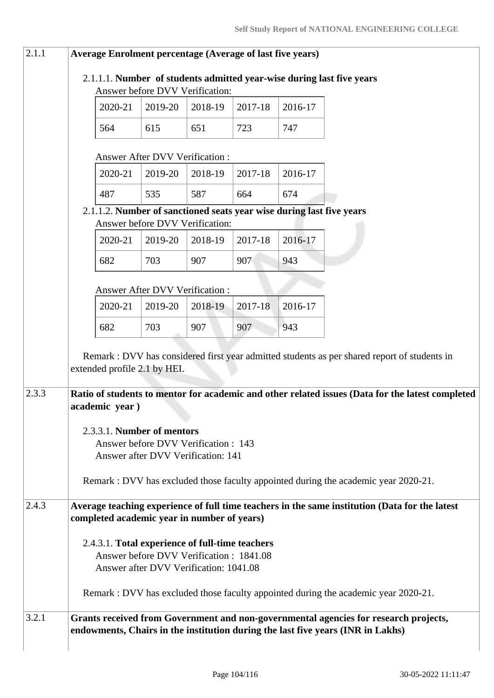| 2.1.1 | <b>Average Enrolment percentage (Average of last five years)</b>                                                                                                        |         |                                                                    |         |         |         |                                                                                                  |
|-------|-------------------------------------------------------------------------------------------------------------------------------------------------------------------------|---------|--------------------------------------------------------------------|---------|---------|---------|--------------------------------------------------------------------------------------------------|
|       | 2.1.1.1. Number of students admitted year-wise during last five years<br>Answer before DVV Verification:                                                                |         |                                                                    |         |         |         |                                                                                                  |
|       |                                                                                                                                                                         | 2020-21 | 2019-20                                                            | 2018-19 | 2017-18 | 2016-17 |                                                                                                  |
|       | 564                                                                                                                                                                     |         | 615                                                                | 651     | 723     | 747     |                                                                                                  |
|       |                                                                                                                                                                         |         |                                                                    |         |         |         |                                                                                                  |
|       |                                                                                                                                                                         |         | Answer After DVV Verification:                                     |         |         |         |                                                                                                  |
|       |                                                                                                                                                                         | 2020-21 | 2019-20                                                            | 2018-19 | 2017-18 | 2016-17 |                                                                                                  |
|       | 487                                                                                                                                                                     |         | 535                                                                | 587     | 664     | 674     | 2.1.1.2. Number of sanctioned seats year wise during last five years                             |
|       |                                                                                                                                                                         |         | Answer before DVV Verification:                                    |         |         |         |                                                                                                  |
|       |                                                                                                                                                                         | 2020-21 | 2019-20                                                            | 2018-19 | 2017-18 | 2016-17 |                                                                                                  |
|       | 682                                                                                                                                                                     |         | 703                                                                | 907     | 907     | 943     |                                                                                                  |
|       |                                                                                                                                                                         |         | <b>Answer After DVV Verification:</b>                              |         |         |         |                                                                                                  |
|       |                                                                                                                                                                         | 2020-21 | 2019-20                                                            | 2018-19 | 2017-18 | 2016-17 |                                                                                                  |
|       | 682                                                                                                                                                                     |         | 703                                                                | 907     | 907     | 943     |                                                                                                  |
|       |                                                                                                                                                                         |         |                                                                    |         |         |         | Remark : DVV has considered first year admitted students as per shared report of students in     |
|       |                                                                                                                                                                         |         | extended profile 2.1 by HEI.                                       |         |         |         |                                                                                                  |
| 2.3.3 |                                                                                                                                                                         |         |                                                                    |         |         |         | Ratio of students to mentor for academic and other related issues (Data for the latest completed |
|       | academic year)                                                                                                                                                          |         |                                                                    |         |         |         |                                                                                                  |
|       |                                                                                                                                                                         |         | 2.3.3.1. Number of mentors<br>Answer before DVV Verification : 143 |         |         |         |                                                                                                  |
|       |                                                                                                                                                                         |         | Answer after DVV Verification: 141                                 |         |         |         |                                                                                                  |
|       |                                                                                                                                                                         |         |                                                                    |         |         |         | Remark : DVV has excluded those faculty appointed during the academic year 2020-21.              |
| 2.4.3 |                                                                                                                                                                         |         |                                                                    |         |         |         | Average teaching experience of full time teachers in the same institution (Data for the latest   |
|       |                                                                                                                                                                         |         | completed academic year in number of years)                        |         |         |         |                                                                                                  |
|       |                                                                                                                                                                         |         | 2.4.3.1. Total experience of full-time teachers                    |         |         |         |                                                                                                  |
|       | Answer before DVV Verification: 1841.08<br>Answer after DVV Verification: 1041.08                                                                                       |         |                                                                    |         |         |         |                                                                                                  |
|       |                                                                                                                                                                         |         |                                                                    |         |         |         |                                                                                                  |
|       |                                                                                                                                                                         |         |                                                                    |         |         |         | Remark : DVV has excluded those faculty appointed during the academic year 2020-21.              |
| 3.2.1 | Grants received from Government and non-governmental agencies for research projects,<br>endowments, Chairs in the institution during the last five years (INR in Lakhs) |         |                                                                    |         |         |         |                                                                                                  |
|       |                                                                                                                                                                         |         |                                                                    |         |         |         |                                                                                                  |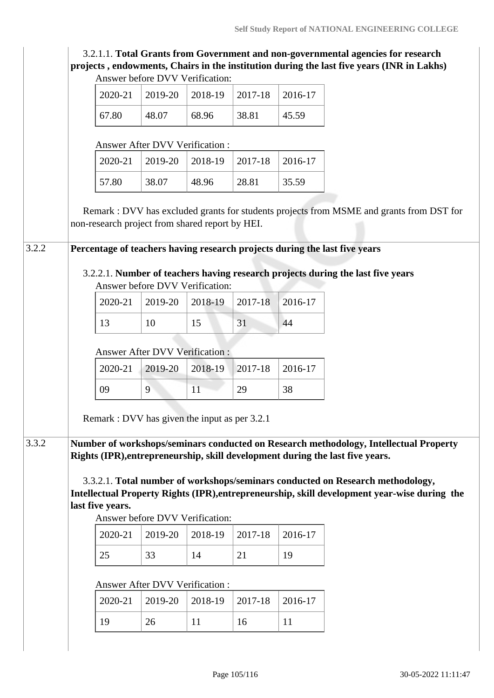| 3.2.1.1. Total Grants from Government and non-governmental agencies for research          |
|-------------------------------------------------------------------------------------------|
| projects, endowments, Chairs in the institution during the last five years (INR in Lakhs) |
| Answer before DVV Verification:                                                           |

|       |       | $2020-21$   2019-20   2018-19   2017-18 |       | 2016-17 |
|-------|-------|-----------------------------------------|-------|---------|
| 67.80 | 48.07 | 68.96                                   | 38.81 | 45.59   |

#### Answer After DVV Verification :

|       |       | $2020-21$   2019-20   2018-19   2017-18   2016-17 |       |       |
|-------|-------|---------------------------------------------------|-------|-------|
| 57.80 | 38.07 | 48.96                                             | 28.81 | 35.59 |

 Remark : DVV has excluded grants for students projects from MSME and grants from DST for non-research project from shared report by HEI.

3.2.2 **Percentage of teachers having research projects during the last five years** 

### 3.2.2.1. **Number of teachers having research projects during the last five years** Answer before DVV Verification:

|             |     | 2020-21   2019-20   2018-19   2017-18   2016-17 |  |
|-------------|-----|-------------------------------------------------|--|
| $1^{\circ}$ | 10. |                                                 |  |

#### Answer After DVV Verification :

|    | 2020-21   2019-20   2018-19   2017-18   2016-17 |    |    |
|----|-------------------------------------------------|----|----|
| 09 |                                                 | 29 | 38 |

Remark : DVV has given the input as per 3.2.1

3.3.2 **Number of workshops/seminars conducted on Research methodology, Intellectual Property Rights (IPR),entrepreneurship, skill development during the last five years.**

> 3.3.2.1. **Total number of workshops/seminars conducted on Research methodology, Intellectual Property Rights (IPR),entrepreneurship, skill development year-wise during the last five years.**

Answer before DVV Verification:

|           |    | $2020-21$   2019-20   2018-19   2017-18   2016-17 |    |
|-----------|----|---------------------------------------------------|----|
| $\bigcap$ | 33 |                                                   | 19 |

## Answer After DVV Verification :

|  | $2020-21$   2019-20   2018-19   2017-18   2016-17 |    |  |
|--|---------------------------------------------------|----|--|
|  | 26                                                | 16 |  |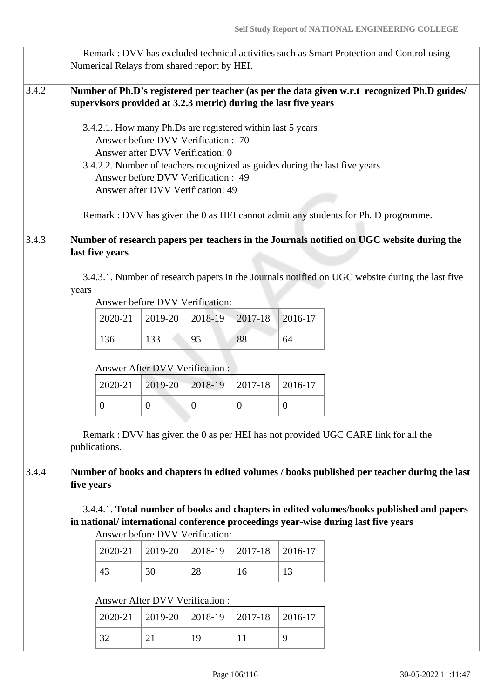|       |            | Numerical Relays from shared report by HEI.                                                                                                                                                                                                                                         |                                                                                                                       |                                            |                                            |                                          | Remark: DVV has excluded technical activities such as Smart Protection and Control using                                                                                                                                                                                           |
|-------|------------|-------------------------------------------------------------------------------------------------------------------------------------------------------------------------------------------------------------------------------------------------------------------------------------|-----------------------------------------------------------------------------------------------------------------------|--------------------------------------------|--------------------------------------------|------------------------------------------|------------------------------------------------------------------------------------------------------------------------------------------------------------------------------------------------------------------------------------------------------------------------------------|
| 3.4.2 |            | supervisors provided at 3.2.3 metric) during the last five years<br>3.4.2.1. How many Ph.Ds are registered within last 5 years<br>Answer before DVV Verification: 70<br>Answer after DVV Verification: 0<br>Answer before DVV Verification: 49<br>Answer after DVV Verification: 49 |                                                                                                                       |                                            |                                            |                                          | Number of Ph.D's registered per teacher (as per the data given w.r.t recognized Ph.D guides/<br>3.4.2.2. Number of teachers recognized as guides during the last five years<br>Remark : DVV has given the 0 as HEI cannot admit any students for Ph. D programme.                  |
| 3.4.3 | years      | last five years<br>2020-21<br>136<br>2020-21<br>$\overline{0}$<br>publications.                                                                                                                                                                                                     | Answer before DVV Verification:<br>2019-20<br>133<br><b>Answer After DVV Verification:</b><br>2019-20<br>$\mathbf{0}$ | 2018-19<br>95<br>2018-19<br>$\overline{0}$ | 2017-18<br>88<br>2017-18<br>$\overline{0}$ | 2016-17<br>64<br>2016-17<br>$\mathbf{0}$ | Number of research papers per teachers in the Journals notified on UGC website during the<br>3.4.3.1. Number of research papers in the Journals notified on UGC website during the last five<br>Remark : DVV has given the 0 as per HEI has not provided UGC CARE link for all the |
| 3.4.4 | five years | 2020-21<br>43<br>2020-21<br>32                                                                                                                                                                                                                                                      | Answer before DVV Verification:<br>2019-20<br>30<br>Answer After DVV Verification :<br>2019-20<br>21                  | 2018-19<br>28<br>2018-19<br>19             | 2017-18<br>16<br>2017-18<br>11             | 2016-17<br>13<br>2016-17<br>9            | Number of books and chapters in edited volumes / books published per teacher during the last<br>3.4.4.1. Total number of books and chapters in edited volumes/books published and papers<br>in national/international conference proceedings year-wise during last five years      |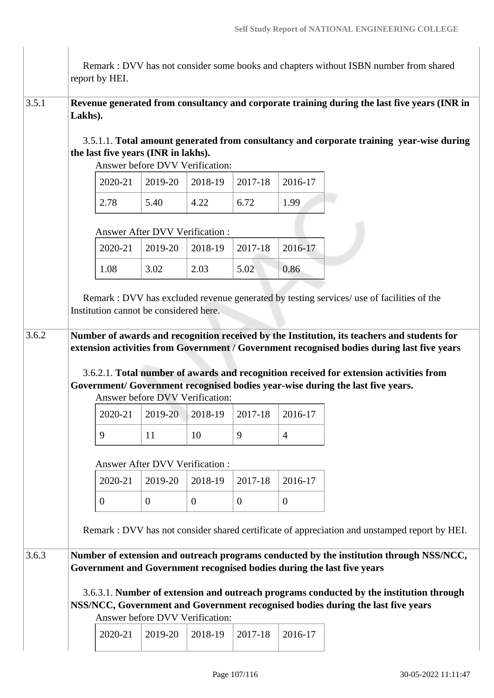|       |         | report by HEI.                                                         |                |                                       |                |                | Remark : DVV has not consider some books and chapters without ISBN number from shared                                                                                                                                                                                                                                                                                 |
|-------|---------|------------------------------------------------------------------------|----------------|---------------------------------------|----------------|----------------|-----------------------------------------------------------------------------------------------------------------------------------------------------------------------------------------------------------------------------------------------------------------------------------------------------------------------------------------------------------------------|
| 3.5.1 | Lakhs). |                                                                        |                |                                       |                |                | Revenue generated from consultancy and corporate training during the last five years (INR in                                                                                                                                                                                                                                                                          |
|       |         | the last five years (INR in lakhs).<br>Answer before DVV Verification: |                |                                       |                |                | 3.5.1.1. Total amount generated from consultancy and corporate training year-wise during                                                                                                                                                                                                                                                                              |
|       |         | 2020-21                                                                | 2019-20        | 2018-19                               | 2017-18        | 2016-17        |                                                                                                                                                                                                                                                                                                                                                                       |
|       |         | 2.78                                                                   | 5.40           | 4.22                                  | 6.72           | 1.99           |                                                                                                                                                                                                                                                                                                                                                                       |
|       |         | <b>Answer After DVV Verification:</b>                                  |                |                                       |                |                |                                                                                                                                                                                                                                                                                                                                                                       |
|       |         | 2020-21                                                                | 2019-20        | 2018-19                               | 2017-18        | 2016-17        |                                                                                                                                                                                                                                                                                                                                                                       |
|       |         | 1.08                                                                   | 3.02           | 2.03                                  | 5.02           | 0.86           |                                                                                                                                                                                                                                                                                                                                                                       |
|       |         | Institution cannot be considered here.                                 |                |                                       |                |                | Remark : DVV has excluded revenue generated by testing services/ use of facilities of the                                                                                                                                                                                                                                                                             |
| 3.6.2 |         | Answer before DVV Verification:                                        |                |                                       |                |                | Number of awards and recognition received by the Institution, its teachers and students for<br>extension activities from Government / Government recognised bodies during last five years<br>3.6.2.1. Total number of awards and recognition received for extension activities from<br>Government/ Government recognised bodies year-wise during the last five years. |
|       |         | 2020-21                                                                |                | $2019-20$   2018-19                   | 2017-18        | 2016-17        |                                                                                                                                                                                                                                                                                                                                                                       |
|       |         | 9                                                                      | 11             | 10                                    | 9              | 4              |                                                                                                                                                                                                                                                                                                                                                                       |
|       |         |                                                                        |                | <b>Answer After DVV Verification:</b> |                |                |                                                                                                                                                                                                                                                                                                                                                                       |
|       |         | 2020-21                                                                | 2019-20        | 2018-19                               | 2017-18        | 2016-17        |                                                                                                                                                                                                                                                                                                                                                                       |
|       |         | $\overline{0}$                                                         | $\overline{0}$ | $\overline{0}$                        | $\overline{0}$ | $\overline{0}$ |                                                                                                                                                                                                                                                                                                                                                                       |
|       |         |                                                                        |                |                                       |                |                | Remark : DVV has not consider shared certificate of appreciation and unstamped report by HEI.                                                                                                                                                                                                                                                                         |
| 3.6.3 |         |                                                                        |                |                                       |                |                | Number of extension and outreach programs conducted by the institution through NSS/NCC,<br>Government and Government recognised bodies during the last five years                                                                                                                                                                                                     |
|       |         |                                                                        |                | Answer before DVV Verification:       |                |                | 3.6.3.1. Number of extension and outreach programs conducted by the institution through<br>NSS/NCC, Government and Government recognised bodies during the last five years                                                                                                                                                                                            |
|       |         | 2020-21                                                                | 2019-20        | 2018-19                               | 2017-18        | 2016-17        |                                                                                                                                                                                                                                                                                                                                                                       |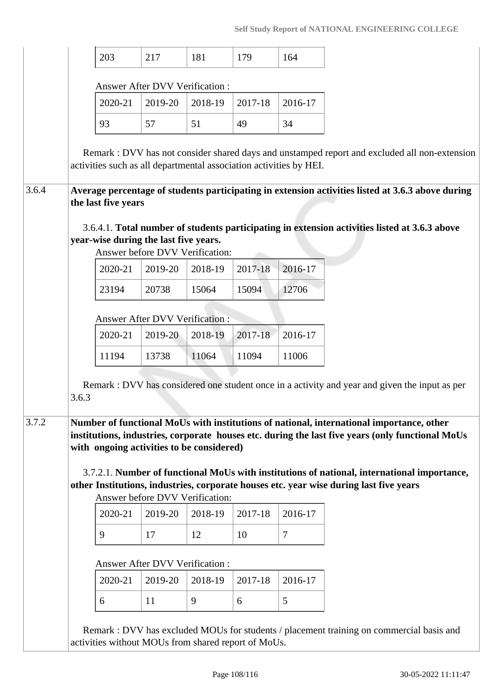|       | 203                                                                                                                                                                                                                                                                                                                                                                                                                                                                                                                                  | 217                                        | 181     | 179     | 164            |
|-------|--------------------------------------------------------------------------------------------------------------------------------------------------------------------------------------------------------------------------------------------------------------------------------------------------------------------------------------------------------------------------------------------------------------------------------------------------------------------------------------------------------------------------------------|--------------------------------------------|---------|---------|----------------|
|       |                                                                                                                                                                                                                                                                                                                                                                                                                                                                                                                                      |                                            |         |         |                |
|       |                                                                                                                                                                                                                                                                                                                                                                                                                                                                                                                                      | Answer After DVV Verification :            |         |         |                |
|       | 2020-21                                                                                                                                                                                                                                                                                                                                                                                                                                                                                                                              | 2019-20                                    | 2018-19 | 2017-18 | 2016-17        |
|       | 93                                                                                                                                                                                                                                                                                                                                                                                                                                                                                                                                   | 57                                         | 51      | 49      | 34             |
|       | Remark : DVV has not consider shared days and unstamped report and excluded all non-extension<br>activities such as all departmental association activities by HEI.<br>Average percentage of students participating in extension activities listed at 3.6.3 above during                                                                                                                                                                                                                                                             |                                            |         |         |                |
|       | the last five years                                                                                                                                                                                                                                                                                                                                                                                                                                                                                                                  |                                            |         |         |                |
|       | 3.6.4.1. Total number of students participating in extension activities listed at 3.6.3 above<br>year-wise during the last five years.<br>2020-21                                                                                                                                                                                                                                                                                                                                                                                    | Answer before DVV Verification:<br>2019-20 | 2018-19 | 2017-18 | 2016-17        |
|       | 23194                                                                                                                                                                                                                                                                                                                                                                                                                                                                                                                                | 20738                                      | 15064   | 15094   | 12706          |
|       |                                                                                                                                                                                                                                                                                                                                                                                                                                                                                                                                      |                                            |         |         |                |
|       |                                                                                                                                                                                                                                                                                                                                                                                                                                                                                                                                      | <b>Answer After DVV Verification:</b>      |         |         |                |
|       | 2020-21                                                                                                                                                                                                                                                                                                                                                                                                                                                                                                                              | 2019-20                                    | 2018-19 | 2017-18 | 2016-17        |
|       | 11194                                                                                                                                                                                                                                                                                                                                                                                                                                                                                                                                | 13738                                      | 11064   | 11094   | 11006          |
|       |                                                                                                                                                                                                                                                                                                                                                                                                                                                                                                                                      |                                            |         |         |                |
| 3.6.3 | Remark : DVV has considered one student once in a activity and year and given the input as per<br>Number of functional MoUs with institutions of national, international importance, other<br>institutions, industries, corporate houses etc. during the last five years (only functional MoUs<br>with ongoing activities to be considered)<br>3.7.2.1. Number of functional MoUs with institutions of national, international importance,<br>other Institutions, industries, corporate houses etc. year wise during last five years | Answer before DVV Verification:            |         |         |                |
|       | 2020-21                                                                                                                                                                                                                                                                                                                                                                                                                                                                                                                              | 2019-20                                    | 2018-19 | 2017-18 | 2016-17        |
|       | 9                                                                                                                                                                                                                                                                                                                                                                                                                                                                                                                                    | 17                                         | 12      | 10      | $\overline{7}$ |
|       | 2020-21                                                                                                                                                                                                                                                                                                                                                                                                                                                                                                                              | Answer After DVV Verification:<br>2019-20  | 2018-19 | 2017-18 | 2016-17        |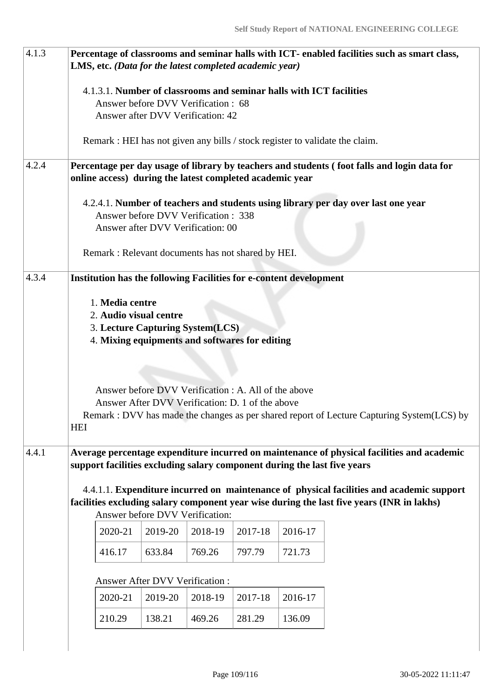| 4.1.3 |                                                                                                                                                                                                                          | Percentage of classrooms and seminar halls with ICT- enabled facilities such as smart class,<br>LMS, etc. (Data for the latest completed academic year)                                                                                                                                                                                   |                                |         |         |         |                                                                                                                                                                        |  |  |  |  |
|-------|--------------------------------------------------------------------------------------------------------------------------------------------------------------------------------------------------------------------------|-------------------------------------------------------------------------------------------------------------------------------------------------------------------------------------------------------------------------------------------------------------------------------------------------------------------------------------------|--------------------------------|---------|---------|---------|------------------------------------------------------------------------------------------------------------------------------------------------------------------------|--|--|--|--|
|       | 4.1.3.1. Number of classrooms and seminar halls with ICT facilities<br>Answer before DVV Verification : 68<br>Answer after DVV Verification: 42                                                                          |                                                                                                                                                                                                                                                                                                                                           |                                |         |         |         |                                                                                                                                                                        |  |  |  |  |
|       |                                                                                                                                                                                                                          |                                                                                                                                                                                                                                                                                                                                           |                                |         |         |         | Remark : HEI has not given any bills / stock register to validate the claim.                                                                                           |  |  |  |  |
| 4.2.4 | Percentage per day usage of library by teachers and students (foot falls and login data for<br>online access) during the latest completed academic year                                                                  |                                                                                                                                                                                                                                                                                                                                           |                                |         |         |         |                                                                                                                                                                        |  |  |  |  |
|       |                                                                                                                                                                                                                          | 4.2.4.1. Number of teachers and students using library per day over last one year<br>Answer before DVV Verification: 338<br>Answer after DVV Verification: 00<br>Remark: Relevant documents has not shared by HEI.                                                                                                                        |                                |         |         |         |                                                                                                                                                                        |  |  |  |  |
| 4.3.4 |                                                                                                                                                                                                                          | <b>Institution has the following Facilities for e-content development</b>                                                                                                                                                                                                                                                                 |                                |         |         |         |                                                                                                                                                                        |  |  |  |  |
|       | <b>HEI</b>                                                                                                                                                                                                               | 1. Media centre<br>2. Audio visual centre<br>3. Lecture Capturing System(LCS)<br>4. Mixing equipments and softwares for editing<br>Answer before DVV Verification : A. All of the above<br>Answer After DVV Verification: D. 1 of the above<br>Remark : DVV has made the changes as per shared report of Lecture Capturing System(LCS) by |                                |         |         |         |                                                                                                                                                                        |  |  |  |  |
| 4.4.1 |                                                                                                                                                                                                                          |                                                                                                                                                                                                                                                                                                                                           |                                |         |         |         | Average percentage expenditure incurred on maintenance of physical facilities and academic<br>support facilities excluding salary component during the last five years |  |  |  |  |
|       | 4.4.1.1. Expenditure incurred on maintenance of physical facilities and academic support<br>facilities excluding salary component year wise during the last five years (INR in lakhs)<br>Answer before DVV Verification: |                                                                                                                                                                                                                                                                                                                                           |                                |         |         |         |                                                                                                                                                                        |  |  |  |  |
|       |                                                                                                                                                                                                                          | 2020-21                                                                                                                                                                                                                                                                                                                                   | 2019-20                        | 2018-19 | 2017-18 | 2016-17 |                                                                                                                                                                        |  |  |  |  |
|       |                                                                                                                                                                                                                          | 633.84<br>416.17<br>769.26<br>797.79<br>721.73                                                                                                                                                                                                                                                                                            |                                |         |         |         |                                                                                                                                                                        |  |  |  |  |
|       |                                                                                                                                                                                                                          |                                                                                                                                                                                                                                                                                                                                           | Answer After DVV Verification: |         |         |         |                                                                                                                                                                        |  |  |  |  |
|       |                                                                                                                                                                                                                          | 2020-21                                                                                                                                                                                                                                                                                                                                   | 2019-20                        | 2018-19 | 2017-18 | 2016-17 |                                                                                                                                                                        |  |  |  |  |
|       |                                                                                                                                                                                                                          | 210.29                                                                                                                                                                                                                                                                                                                                    | 138.21                         | 469.26  | 281.29  | 136.09  |                                                                                                                                                                        |  |  |  |  |
|       |                                                                                                                                                                                                                          |                                                                                                                                                                                                                                                                                                                                           |                                |         |         |         |                                                                                                                                                                        |  |  |  |  |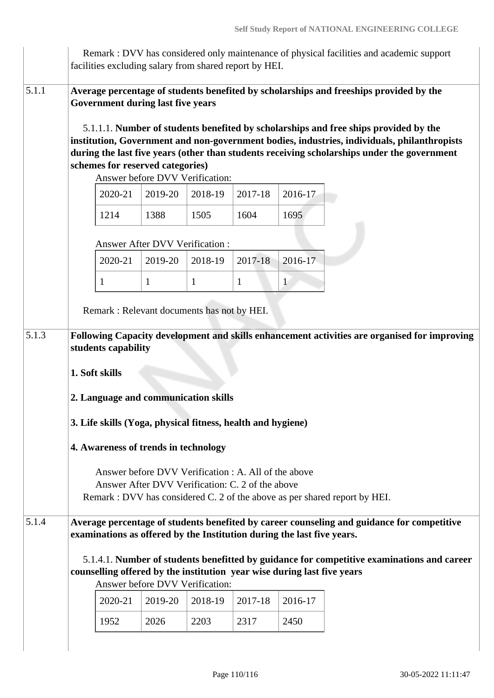|       |                                                                                                                                                                                        |                                       |                                                                              |              | facilities excluding salary from shared report by HEI.                  |              | Remark : DVV has considered only maintenance of physical facilities and academic support                                                                                                                                                                                                                                                                                     |  |  |  |  |
|-------|----------------------------------------------------------------------------------------------------------------------------------------------------------------------------------------|---------------------------------------|------------------------------------------------------------------------------|--------------|-------------------------------------------------------------------------|--------------|------------------------------------------------------------------------------------------------------------------------------------------------------------------------------------------------------------------------------------------------------------------------------------------------------------------------------------------------------------------------------|--|--|--|--|
| 5.1.1 |                                                                                                                                                                                        |                                       | <b>Government during last five years</b><br>schemes for reserved categories) |              |                                                                         |              | Average percentage of students benefited by scholarships and freeships provided by the<br>5.1.1.1. Number of students benefited by scholarships and free ships provided by the<br>institution, Government and non-government bodies, industries, individuals, philanthropists<br>during the last five years (other than students receiving scholarships under the government |  |  |  |  |
|       | Answer before DVV Verification:                                                                                                                                                        |                                       |                                                                              |              |                                                                         |              |                                                                                                                                                                                                                                                                                                                                                                              |  |  |  |  |
|       |                                                                                                                                                                                        | 2020-21                               | 2019-20                                                                      | 2018-19      | 2017-18                                                                 | 2016-17      |                                                                                                                                                                                                                                                                                                                                                                              |  |  |  |  |
|       |                                                                                                                                                                                        | 1214                                  | 1388                                                                         | 1505         | 1604                                                                    | 1695         |                                                                                                                                                                                                                                                                                                                                                                              |  |  |  |  |
|       |                                                                                                                                                                                        | <b>Answer After DVV Verification:</b> |                                                                              |              |                                                                         |              |                                                                                                                                                                                                                                                                                                                                                                              |  |  |  |  |
|       |                                                                                                                                                                                        | 2020-21                               | 2019-20                                                                      | 2018-19      | 2017-18                                                                 | 2016-17      |                                                                                                                                                                                                                                                                                                                                                                              |  |  |  |  |
|       |                                                                                                                                                                                        | 1                                     | $\mathbf{1}$                                                                 | $\mathbf{1}$ | $\mathbf{1}$                                                            | $\mathbf{1}$ |                                                                                                                                                                                                                                                                                                                                                                              |  |  |  |  |
| 5.1.3 | Remark: Relevant documents has not by HEI.<br>Following Capacity development and skills enhancement activities are organised for improving                                             |                                       |                                                                              |              |                                                                         |              |                                                                                                                                                                                                                                                                                                                                                                              |  |  |  |  |
|       | students capability<br>1. Soft skills<br>2. Language and communication skills                                                                                                          |                                       |                                                                              |              |                                                                         |              |                                                                                                                                                                                                                                                                                                                                                                              |  |  |  |  |
|       | 3. Life skills (Yoga, physical fitness, health and hygiene)<br>4. Awareness of trends in technology                                                                                    |                                       |                                                                              |              |                                                                         |              |                                                                                                                                                                                                                                                                                                                                                                              |  |  |  |  |
|       | Answer before DVV Verification : A. All of the above<br>Answer After DVV Verification: C. 2 of the above<br>Remark : DVV has considered C. 2 of the above as per shared report by HEI. |                                       |                                                                              |              |                                                                         |              |                                                                                                                                                                                                                                                                                                                                                                              |  |  |  |  |
| 5.1.4 | Average percentage of students benefited by career counseling and guidance for competitive<br>examinations as offered by the Institution during the last five years.                   |                                       |                                                                              |              |                                                                         |              |                                                                                                                                                                                                                                                                                                                                                                              |  |  |  |  |
|       |                                                                                                                                                                                        |                                       | Answer before DVV Verification:                                              |              | counselling offered by the institution year wise during last five years |              | 5.1.4.1. Number of students benefitted by guidance for competitive examinations and career                                                                                                                                                                                                                                                                                   |  |  |  |  |
|       |                                                                                                                                                                                        | 2020-21                               | 2019-20                                                                      | 2018-19      | 2017-18                                                                 | 2016-17      |                                                                                                                                                                                                                                                                                                                                                                              |  |  |  |  |
|       |                                                                                                                                                                                        | 1952                                  | 2026                                                                         | 2203         | 2317                                                                    | 2450         |                                                                                                                                                                                                                                                                                                                                                                              |  |  |  |  |
|       |                                                                                                                                                                                        |                                       |                                                                              |              |                                                                         |              |                                                                                                                                                                                                                                                                                                                                                                              |  |  |  |  |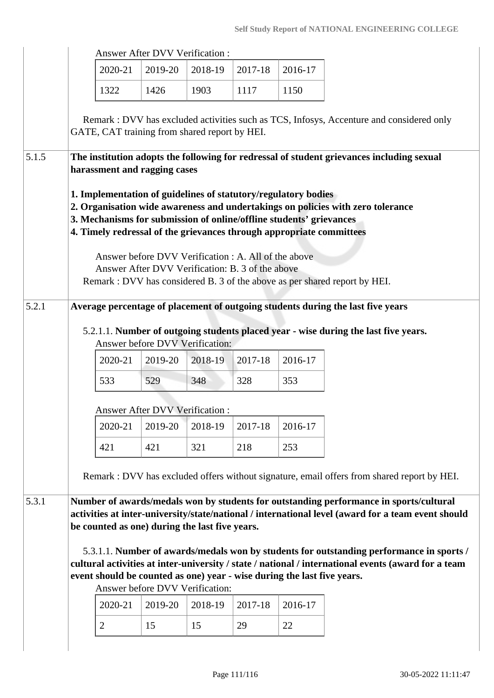|       |                                                                                                                                                                                                                                                                                                  |                | <b>Answer After DVV Verification:</b>                                                                    |         |         |                                                                         |                                                                                                                                                                                                 |  |  |  |
|-------|--------------------------------------------------------------------------------------------------------------------------------------------------------------------------------------------------------------------------------------------------------------------------------------------------|----------------|----------------------------------------------------------------------------------------------------------|---------|---------|-------------------------------------------------------------------------|-------------------------------------------------------------------------------------------------------------------------------------------------------------------------------------------------|--|--|--|
|       |                                                                                                                                                                                                                                                                                                  | 2020-21        | 2019-20                                                                                                  | 2018-19 | 2017-18 | 2016-17                                                                 |                                                                                                                                                                                                 |  |  |  |
|       |                                                                                                                                                                                                                                                                                                  | 1322           | 1426                                                                                                     | 1903    | 1117    | 1150                                                                    |                                                                                                                                                                                                 |  |  |  |
|       |                                                                                                                                                                                                                                                                                                  |                | GATE, CAT training from shared report by HEI.                                                            |         |         |                                                                         | Remark: DVV has excluded activities such as TCS, Infosys, Accenture and considered only                                                                                                         |  |  |  |
| 5.1.5 |                                                                                                                                                                                                                                                                                                  |                | harassment and ragging cases                                                                             |         |         |                                                                         | The institution adopts the following for redressal of student grievances including sexual                                                                                                       |  |  |  |
|       | 1. Implementation of guidelines of statutory/regulatory bodies<br>2. Organisation wide awareness and undertakings on policies with zero tolerance<br>3. Mechanisms for submission of online/offline students' grievances<br>4. Timely redressal of the grievances through appropriate committees |                |                                                                                                          |         |         |                                                                         |                                                                                                                                                                                                 |  |  |  |
|       |                                                                                                                                                                                                                                                                                                  |                | Answer before DVV Verification : A. All of the above<br>Answer After DVV Verification: B. 3 of the above |         |         |                                                                         | Remark : DVV has considered B. 3 of the above as per shared report by HEI.                                                                                                                      |  |  |  |
| 5.2.1 |                                                                                                                                                                                                                                                                                                  |                |                                                                                                          |         |         |                                                                         | Average percentage of placement of outgoing students during the last five years                                                                                                                 |  |  |  |
|       |                                                                                                                                                                                                                                                                                                  |                | Answer before DVV Verification:                                                                          |         |         |                                                                         | 5.2.1.1. Number of outgoing students placed year - wise during the last five years.                                                                                                             |  |  |  |
|       |                                                                                                                                                                                                                                                                                                  | 2020-21        | 2019-20                                                                                                  | 2018-19 | 2017-18 | 2016-17                                                                 |                                                                                                                                                                                                 |  |  |  |
|       |                                                                                                                                                                                                                                                                                                  | 533            | 529                                                                                                      | 348     | 328     | 353                                                                     |                                                                                                                                                                                                 |  |  |  |
|       |                                                                                                                                                                                                                                                                                                  |                | <b>Answer After DVV Verification:</b>                                                                    |         |         |                                                                         |                                                                                                                                                                                                 |  |  |  |
|       |                                                                                                                                                                                                                                                                                                  | 2020-21        | 2019-20                                                                                                  | 2018-19 | 2017-18 | 2016-17                                                                 |                                                                                                                                                                                                 |  |  |  |
|       |                                                                                                                                                                                                                                                                                                  | 421            | 421                                                                                                      | 321     | 218     | 253                                                                     |                                                                                                                                                                                                 |  |  |  |
|       | Remark : DVV has excluded offers without signature, email offers from shared report by HEI.                                                                                                                                                                                                      |                |                                                                                                          |         |         |                                                                         |                                                                                                                                                                                                 |  |  |  |
| 5.3.1 |                                                                                                                                                                                                                                                                                                  |                | be counted as one) during the last five years.                                                           |         |         |                                                                         | Number of awards/medals won by students for outstanding performance in sports/cultural<br>activities at inter-university/state/national / international level (award for a team event should    |  |  |  |
|       |                                                                                                                                                                                                                                                                                                  |                |                                                                                                          |         |         | event should be counted as one) year - wise during the last five years. | 5.3.1.1. Number of awards/medals won by students for outstanding performance in sports /<br>cultural activities at inter-university / state / national / international events (award for a team |  |  |  |
|       |                                                                                                                                                                                                                                                                                                  |                | Answer before DVV Verification:                                                                          |         |         |                                                                         |                                                                                                                                                                                                 |  |  |  |
|       |                                                                                                                                                                                                                                                                                                  | 2020-21        | 2019-20                                                                                                  | 2018-19 | 2017-18 | 2016-17                                                                 |                                                                                                                                                                                                 |  |  |  |
|       |                                                                                                                                                                                                                                                                                                  | $\overline{2}$ | 15                                                                                                       | 15      | 29      | 22                                                                      |                                                                                                                                                                                                 |  |  |  |
|       |                                                                                                                                                                                                                                                                                                  |                |                                                                                                          |         |         |                                                                         |                                                                                                                                                                                                 |  |  |  |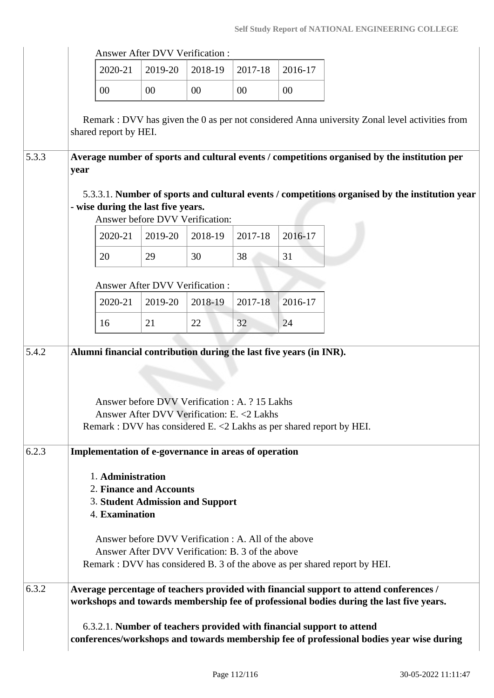|       |                                                                                                                                                                         |                                                                                                                                                                                        | <b>Answer After DVV Verification:</b> |         |                                                                                              |         |                                                                                                                                                                                   |  |  |  |  |
|-------|-------------------------------------------------------------------------------------------------------------------------------------------------------------------------|----------------------------------------------------------------------------------------------------------------------------------------------------------------------------------------|---------------------------------------|---------|----------------------------------------------------------------------------------------------|---------|-----------------------------------------------------------------------------------------------------------------------------------------------------------------------------------|--|--|--|--|
|       |                                                                                                                                                                         | 2020-21                                                                                                                                                                                | 2019-20                               | 2018-19 | 2017-18                                                                                      | 2016-17 |                                                                                                                                                                                   |  |  |  |  |
|       |                                                                                                                                                                         | $00\,$                                                                                                                                                                                 | 00                                    | 00      | $00\,$                                                                                       | 00      |                                                                                                                                                                                   |  |  |  |  |
|       |                                                                                                                                                                         | shared report by HEI.                                                                                                                                                                  |                                       |         |                                                                                              |         | Remark: DVV has given the 0 as per not considered Anna university Zonal level activities from                                                                                     |  |  |  |  |
| 5.3.3 | year                                                                                                                                                                    |                                                                                                                                                                                        |                                       |         |                                                                                              |         | Average number of sports and cultural events / competitions organised by the institution per                                                                                      |  |  |  |  |
|       | 5.3.3.1. Number of sports and cultural events / competitions organised by the institution year<br>- wise during the last five years.<br>Answer before DVV Verification: |                                                                                                                                                                                        |                                       |         |                                                                                              |         |                                                                                                                                                                                   |  |  |  |  |
|       |                                                                                                                                                                         | 2020-21                                                                                                                                                                                | 2019-20                               | 2018-19 | 2017-18                                                                                      | 2016-17 |                                                                                                                                                                                   |  |  |  |  |
|       |                                                                                                                                                                         | 20                                                                                                                                                                                     | 29                                    | 30      | 38                                                                                           | 31      |                                                                                                                                                                                   |  |  |  |  |
|       |                                                                                                                                                                         |                                                                                                                                                                                        | Answer After DVV Verification:        |         |                                                                                              |         |                                                                                                                                                                                   |  |  |  |  |
|       |                                                                                                                                                                         | 2020-21                                                                                                                                                                                | 2019-20                               | 2018-19 | $2017 - 18$                                                                                  | 2016-17 |                                                                                                                                                                                   |  |  |  |  |
|       |                                                                                                                                                                         | 16                                                                                                                                                                                     | 21                                    | 22      | 32                                                                                           | 24      |                                                                                                                                                                                   |  |  |  |  |
| 5.4.2 |                                                                                                                                                                         | Alumni financial contribution during the last five years (in INR).                                                                                                                     |                                       |         |                                                                                              |         |                                                                                                                                                                                   |  |  |  |  |
|       |                                                                                                                                                                         | Remark : DVV has considered E. <2 Lakhs as per shared report by HEI.                                                                                                                   |                                       |         | Answer before DVV Verification: A. ? 15 Lakhs<br>Answer After DVV Verification: E. < 2 Lakhs |         |                                                                                                                                                                                   |  |  |  |  |
| 6.2.3 | Implementation of e-governance in areas of operation                                                                                                                    |                                                                                                                                                                                        |                                       |         |                                                                                              |         |                                                                                                                                                                                   |  |  |  |  |
|       | 1. Administration<br>2. Finance and Accounts<br><b>3. Student Admission and Support</b><br>4. Examination                                                               |                                                                                                                                                                                        |                                       |         |                                                                                              |         |                                                                                                                                                                                   |  |  |  |  |
|       |                                                                                                                                                                         | Answer before DVV Verification : A. All of the above<br>Answer After DVV Verification: B. 3 of the above<br>Remark : DVV has considered B. 3 of the above as per shared report by HEI. |                                       |         |                                                                                              |         |                                                                                                                                                                                   |  |  |  |  |
| 6.3.2 |                                                                                                                                                                         |                                                                                                                                                                                        |                                       |         |                                                                                              |         | Average percentage of teachers provided with financial support to attend conferences /<br>workshops and towards membership fee of professional bodies during the last five years. |  |  |  |  |
|       |                                                                                                                                                                         |                                                                                                                                                                                        |                                       |         |                                                                                              |         | 6.3.2.1. Number of teachers provided with financial support to attend<br>conferences/workshops and towards membership fee of professional bodies year wise during                 |  |  |  |  |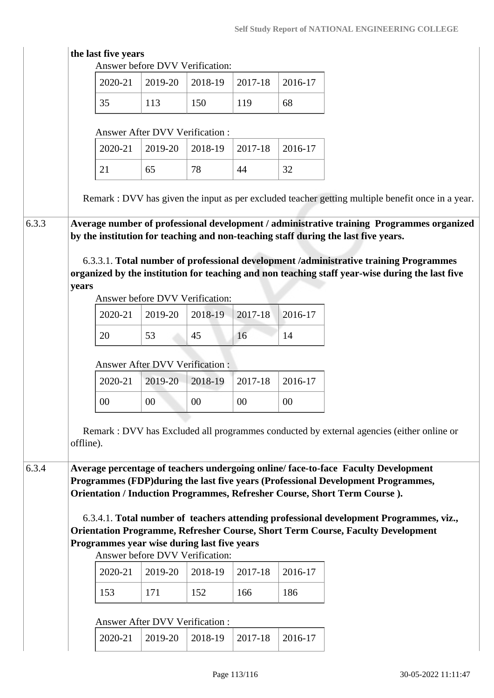|       | 2020-21                                     | Answer before DVV Verification:<br>2019-20 | 2018-19 | 2017-18 | 2016-17 |                                                                                                   |
|-------|---------------------------------------------|--------------------------------------------|---------|---------|---------|---------------------------------------------------------------------------------------------------|
|       | 35                                          | 113                                        | 150     | 119     | 68      |                                                                                                   |
|       |                                             |                                            |         |         |         |                                                                                                   |
|       |                                             | Answer After DVV Verification :            |         |         |         |                                                                                                   |
|       | 2020-21                                     | 2019-20                                    | 2018-19 | 2017-18 | 2016-17 |                                                                                                   |
|       | 21                                          | 65                                         | 78      | 44      | 32      |                                                                                                   |
|       |                                             |                                            |         |         |         | Remark : DVV has given the input as per excluded teacher getting multiple benefit once in a year. |
| 6.3.3 |                                             |                                            |         |         |         | Average number of professional development / administrative training Programmes organized         |
|       |                                             |                                            |         |         |         | by the institution for teaching and non-teaching staff during the last five years.                |
|       |                                             |                                            |         |         |         |                                                                                                   |
|       |                                             |                                            |         |         |         | 6.3.3.1. Total number of professional development /administrative training Programmes             |
|       |                                             |                                            |         |         |         | organized by the institution for teaching and non teaching staff year-wise during the last five   |
|       | years                                       |                                            |         |         |         |                                                                                                   |
|       |                                             | Answer before DVV Verification:            |         |         |         |                                                                                                   |
|       | 2020-21                                     | 2019-20                                    | 2018-19 | 2017-18 | 2016-17 |                                                                                                   |
|       | 20                                          | 53                                         | 45      | 16      | 14      |                                                                                                   |
|       |                                             | <b>Answer After DVV Verification:</b>      |         |         |         |                                                                                                   |
|       | 2020-21                                     | 2019-20                                    | 2018-19 | 2017-18 | 2016-17 |                                                                                                   |
|       | $00\,$                                      | $00\,$                                     | 00      | 00      | 00      |                                                                                                   |
|       |                                             |                                            |         |         |         |                                                                                                   |
|       |                                             |                                            |         |         |         |                                                                                                   |
|       |                                             |                                            |         |         |         | Remark : DVV has Excluded all programmes conducted by external agencies (either online or         |
|       | offline).                                   |                                            |         |         |         |                                                                                                   |
|       |                                             |                                            |         |         |         |                                                                                                   |
|       |                                             |                                            |         |         |         | Average percentage of teachers undergoing online/face-to-face Faculty Development                 |
|       |                                             |                                            |         |         |         | Programmes (FDP) during the last five years (Professional Development Programmes,                 |
|       |                                             |                                            |         |         |         | Orientation / Induction Programmes, Refresher Course, Short Term Course).                         |
|       |                                             |                                            |         |         |         | 6.3.4.1. Total number of teachers attending professional development Programmes, viz.,            |
|       |                                             |                                            |         |         |         | <b>Orientation Programme, Refresher Course, Short Term Course, Faculty Development</b>            |
|       | Programmes year wise during last five years |                                            |         |         |         |                                                                                                   |
|       |                                             | Answer before DVV Verification:            |         |         |         |                                                                                                   |
| 6.3.4 | 2020-21                                     | 2019-20                                    | 2018-19 | 2017-18 | 2016-17 |                                                                                                   |
|       | 153                                         | 171                                        | 152     | 166     | 186     |                                                                                                   |
|       |                                             | Answer After DVV Verification :            |         |         |         |                                                                                                   |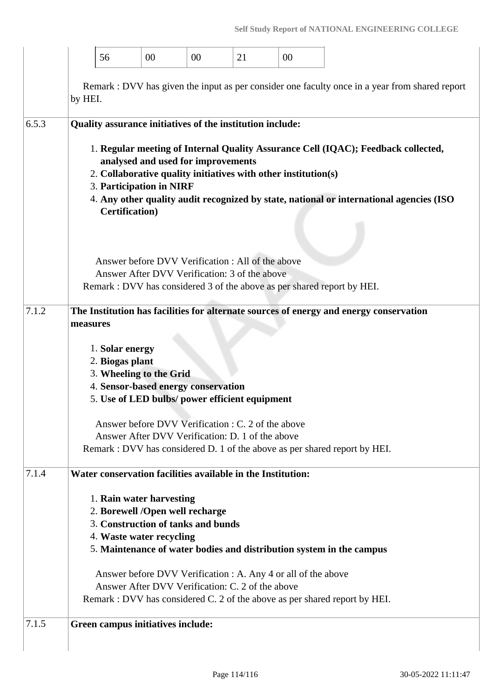|       | 56                                |                                    | 00                                                   | $00\,$                                                                | 21                                                                                                                                                              | 00                                                             |                                                                                                                                                                              |
|-------|-----------------------------------|------------------------------------|------------------------------------------------------|-----------------------------------------------------------------------|-----------------------------------------------------------------------------------------------------------------------------------------------------------------|----------------------------------------------------------------|------------------------------------------------------------------------------------------------------------------------------------------------------------------------------|
|       | by HEI.                           |                                    |                                                      |                                                                       |                                                                                                                                                                 |                                                                | Remark : DVV has given the input as per consider one faculty once in a year from shared report                                                                               |
| 6.5.3 |                                   | <b>Certification</b> )             | 3. Participation in NIRF                             | analysed and used for improvements                                    | Quality assurance initiatives of the institution include:<br>Answer before DVV Verification : All of the above<br>Answer After DVV Verification: 3 of the above | 2. Collaborative quality initiatives with other institution(s) | 1. Regular meeting of Internal Quality Assurance Cell (IQAC); Feedback collected,<br>4. Any other quality audit recognized by state, national or international agencies (ISO |
| 7.1.2 | measures                          | 1. Solar energy<br>2. Biogas plant | 3. Wheeling to the Grid                              | 4. Sensor-based energy conservation                                   | 5. Use of LED bulbs/ power efficient equipment<br>Answer before DVV Verification : C. 2 of the above<br>Answer After DVV Verification: D. 1 of the above        |                                                                | Remark : DVV has considered 3 of the above as per shared report by HEI.<br>The Institution has facilities for alternate sources of energy and energy conservation            |
| 7.1.4 |                                   |                                    | 1. Rain water harvesting<br>4. Waste water recycling | 2. Borewell /Open well recharge<br>3. Construction of tanks and bunds | Water conservation facilities available in the Institution:                                                                                                     |                                                                | Remark : DVV has considered D. 1 of the above as per shared report by HEI.<br>5. Maintenance of water bodies and distribution system in the campus                           |
| 7.1.5 | Green campus initiatives include: |                                    |                                                      |                                                                       | Answer After DVV Verification: C. 2 of the above                                                                                                                | Answer before DVV Verification : A. Any 4 or all of the above  | Remark : DVV has considered C. 2 of the above as per shared report by HEI.                                                                                                   |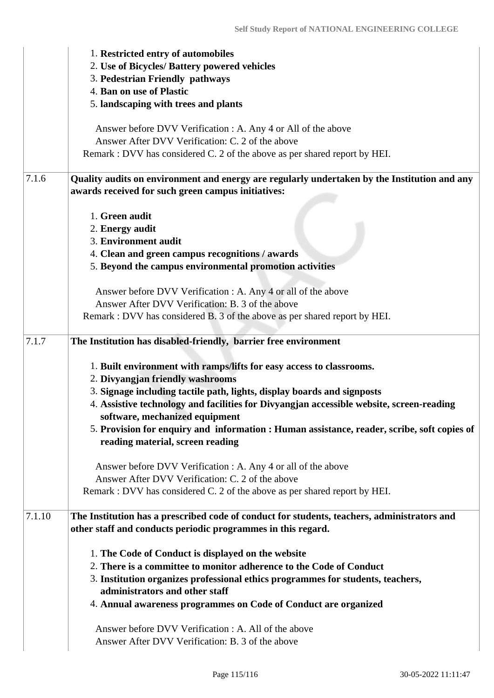|        | 1. Restricted entry of automobiles<br>2. Use of Bicycles/ Battery powered vehicles<br>3. Pedestrian Friendly pathways<br>4. Ban on use of Plastic<br>5. landscaping with trees and plants                                                                                                                                                                                                                                                                                                                                                                                                                                                    |
|--------|----------------------------------------------------------------------------------------------------------------------------------------------------------------------------------------------------------------------------------------------------------------------------------------------------------------------------------------------------------------------------------------------------------------------------------------------------------------------------------------------------------------------------------------------------------------------------------------------------------------------------------------------|
|        | Answer before DVV Verification : A. Any 4 or All of the above<br>Answer After DVV Verification: C. 2 of the above<br>Remark : DVV has considered C. 2 of the above as per shared report by HEI.                                                                                                                                                                                                                                                                                                                                                                                                                                              |
| 7.1.6  | Quality audits on environment and energy are regularly undertaken by the Institution and any<br>awards received for such green campus initiatives:                                                                                                                                                                                                                                                                                                                                                                                                                                                                                           |
|        | 1. Green audit<br>2. Energy audit<br>3. Environment audit<br>4. Clean and green campus recognitions / awards<br>5. Beyond the campus environmental promotion activities                                                                                                                                                                                                                                                                                                                                                                                                                                                                      |
|        | Answer before DVV Verification : A. Any 4 or all of the above<br>Answer After DVV Verification: B. 3 of the above<br>Remark : DVV has considered B. 3 of the above as per shared report by HEI.                                                                                                                                                                                                                                                                                                                                                                                                                                              |
| 7.1.7  | The Institution has disabled-friendly, barrier free environment<br>1. Built environment with ramps/lifts for easy access to classrooms.<br>2. Divyangjan friendly washrooms<br>3. Signage including tactile path, lights, display boards and signposts<br>4. Assistive technology and facilities for Divyangjan accessible website, screen-reading<br>software, mechanized equipment<br>5. Provision for enquiry and information : Human assistance, reader, scribe, soft copies of<br>reading material, screen reading<br>Answer before DVV Verification : A. Any 4 or all of the above<br>Answer After DVV Verification: C. 2 of the above |
| 7.1.10 | Remark : DVV has considered C. 2 of the above as per shared report by HEI.<br>The Institution has a prescribed code of conduct for students, teachers, administrators and<br>other staff and conducts periodic programmes in this regard.<br>1. The Code of Conduct is displayed on the website<br>2. There is a committee to monitor adherence to the Code of Conduct                                                                                                                                                                                                                                                                       |
|        | 3. Institution organizes professional ethics programmes for students, teachers,<br>administrators and other staff<br>4. Annual awareness programmes on Code of Conduct are organized                                                                                                                                                                                                                                                                                                                                                                                                                                                         |
|        | Answer before DVV Verification : A. All of the above                                                                                                                                                                                                                                                                                                                                                                                                                                                                                                                                                                                         |